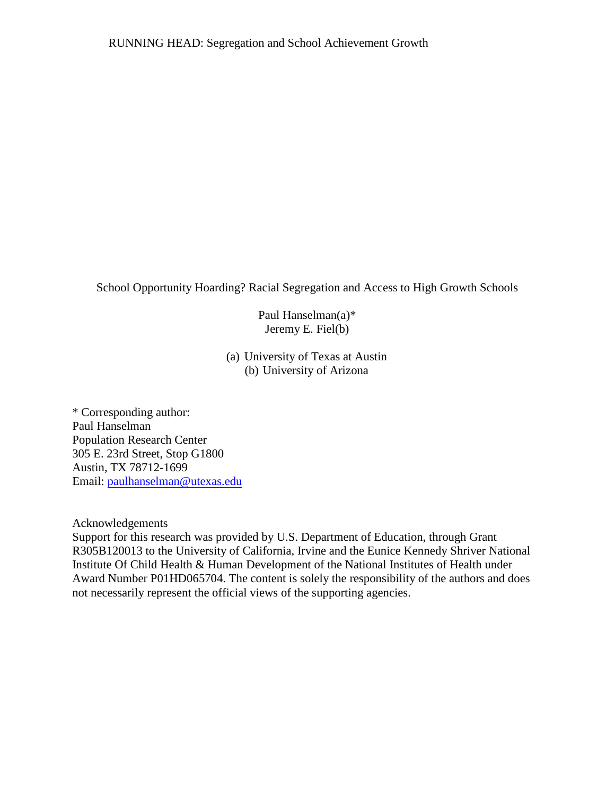School Opportunity Hoarding? Racial Segregation and Access to High Growth Schools

Paul Hanselman(a)\* Jeremy E. Fiel(b)

(a) University of Texas at Austin (b) University of Arizona

\* Corresponding author: Paul Hanselman Population Research Center 305 E. 23rd Street, Stop G1800 Austin, TX 78712-1699 Email: [paulhanselman@utexas.edu](mailto:paul.hanselman@uci.edu)

Acknowledgements

Support for this research was provided by U.S. Department of Education, through Grant R305B120013 to the University of California, Irvine and the Eunice Kennedy Shriver National Institute Of Child Health & Human Development of the National Institutes of Health under Award Number P01HD065704. The content is solely the responsibility of the authors and does not necessarily represent the official views of the supporting agencies.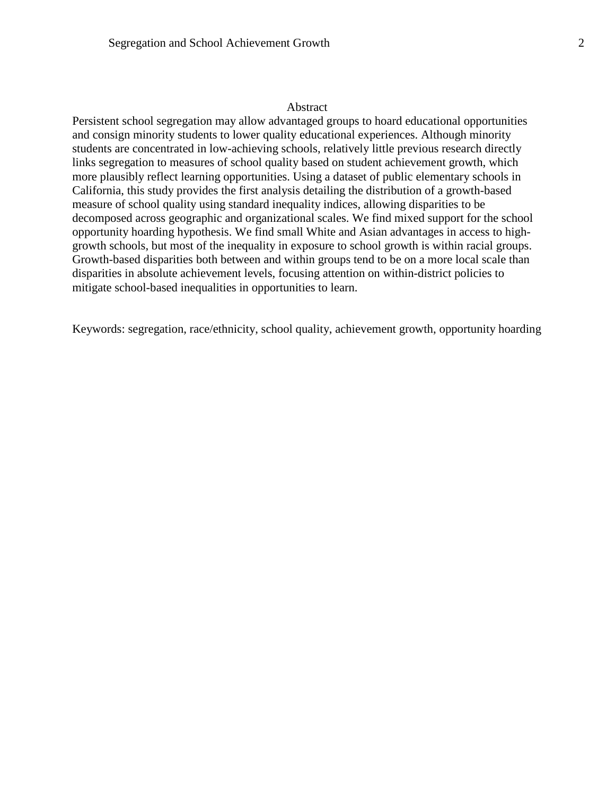#### Abstract

Persistent school segregation may allow advantaged groups to hoard educational opportunities and consign minority students to lower quality educational experiences. Although minority students are concentrated in low-achieving schools, relatively little previous research directly links segregation to measures of school quality based on student achievement growth, which more plausibly reflect learning opportunities. Using a dataset of public elementary schools in California, this study provides the first analysis detailing the distribution of a growth-based measure of school quality using standard inequality indices, allowing disparities to be decomposed across geographic and organizational scales. We find mixed support for the school opportunity hoarding hypothesis. We find small White and Asian advantages in access to highgrowth schools, but most of the inequality in exposure to school growth is within racial groups. Growth-based disparities both between and within groups tend to be on a more local scale than disparities in absolute achievement levels, focusing attention on within-district policies to mitigate school-based inequalities in opportunities to learn.

Keywords: segregation, race/ethnicity, school quality, achievement growth, opportunity hoarding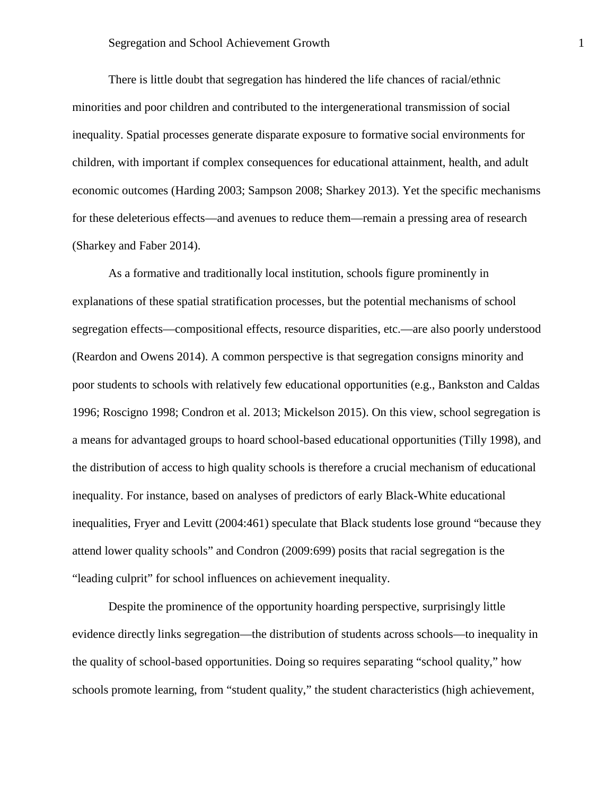There is little doubt that segregation has hindered the life chances of racial/ethnic minorities and poor children and contributed to the intergenerational transmission of social inequality. Spatial processes generate disparate exposure to formative social environments for children, with important if complex consequences for educational attainment, health, and adult economic outcomes (Harding 2003; Sampson 2008; Sharkey 2013). Yet the specific mechanisms for these deleterious effects—and avenues to reduce them—remain a pressing area of research (Sharkey and Faber 2014).

As a formative and traditionally local institution, schools figure prominently in explanations of these spatial stratification processes, but the potential mechanisms of school segregation effects—compositional effects, resource disparities, etc.—are also poorly understood (Reardon and Owens 2014). A common perspective is that segregation consigns minority and poor students to schools with relatively few educational opportunities (e.g., Bankston and Caldas 1996; Roscigno 1998; Condron et al. 2013; Mickelson 2015). On this view, school segregation is a means for advantaged groups to hoard school-based educational opportunities (Tilly 1998), and the distribution of access to high quality schools is therefore a crucial mechanism of educational inequality. For instance, based on analyses of predictors of early Black-White educational inequalities, Fryer and Levitt (2004:461) speculate that Black students lose ground "because they attend lower quality schools" and Condron (2009:699) posits that racial segregation is the "leading culprit" for school influences on achievement inequality.

Despite the prominence of the opportunity hoarding perspective, surprisingly little evidence directly links segregation—the distribution of students across schools—to inequality in the quality of school-based opportunities. Doing so requires separating "school quality," how schools promote learning, from "student quality," the student characteristics (high achievement,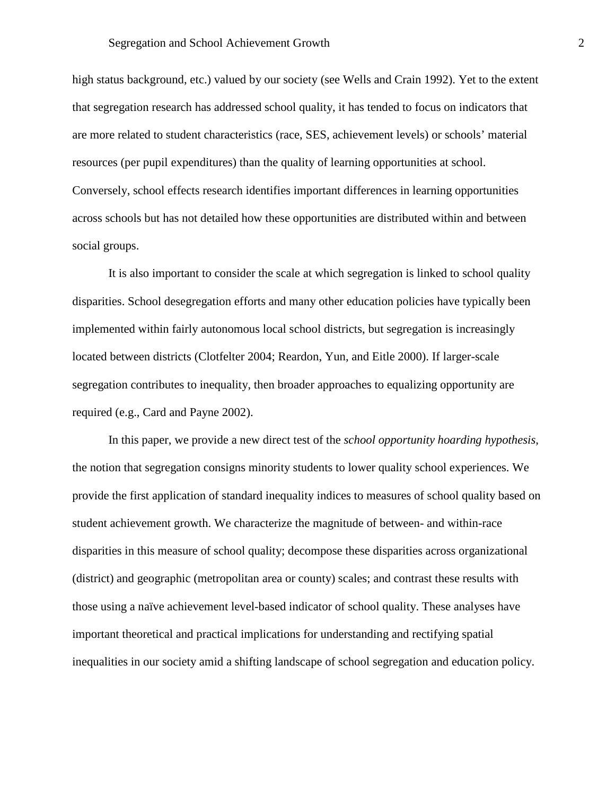high status background, etc.) valued by our society (see Wells and Crain 1992). Yet to the extent that segregation research has addressed school quality, it has tended to focus on indicators that are more related to student characteristics (race, SES, achievement levels) or schools' material resources (per pupil expenditures) than the quality of learning opportunities at school. Conversely, school effects research identifies important differences in learning opportunities across schools but has not detailed how these opportunities are distributed within and between social groups.

It is also important to consider the scale at which segregation is linked to school quality disparities. School desegregation efforts and many other education policies have typically been implemented within fairly autonomous local school districts, but segregation is increasingly located between districts (Clotfelter 2004; Reardon, Yun, and Eitle 2000). If larger-scale segregation contributes to inequality, then broader approaches to equalizing opportunity are required (e.g., Card and Payne 2002).

In this paper, we provide a new direct test of the *school opportunity hoarding hypothesis*, the notion that segregation consigns minority students to lower quality school experiences. We provide the first application of standard inequality indices to measures of school quality based on student achievement growth. We characterize the magnitude of between- and within-race disparities in this measure of school quality; decompose these disparities across organizational (district) and geographic (metropolitan area or county) scales; and contrast these results with those using a naïve achievement level-based indicator of school quality. These analyses have important theoretical and practical implications for understanding and rectifying spatial inequalities in our society amid a shifting landscape of school segregation and education policy.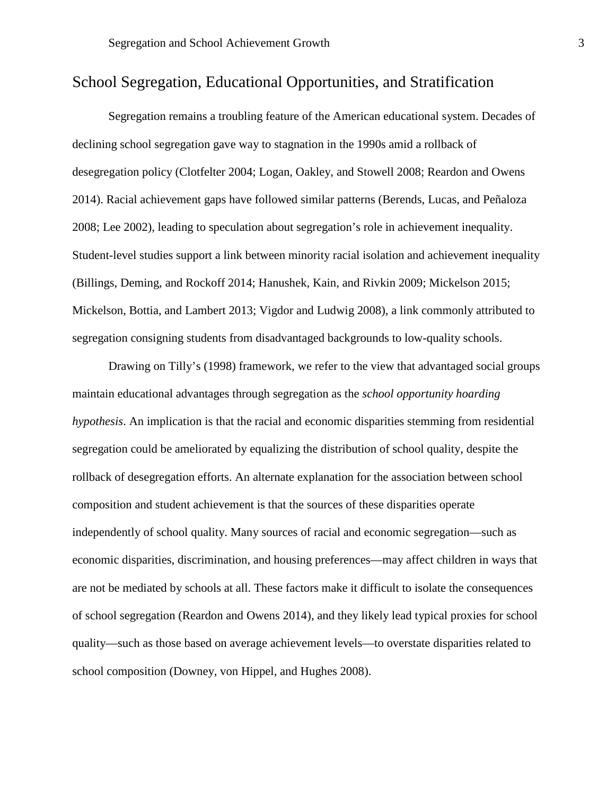# School Segregation, Educational Opportunities, and Stratification

Segregation remains a troubling feature of the American educational system. Decades of declining school segregation gave way to stagnation in the 1990s amid a rollback of desegregation policy (Clotfelter 2004; Logan, Oakley, and Stowell 2008; Reardon and Owens 2014). Racial achievement gaps have followed similar patterns (Berends, Lucas, and Peñaloza 2008; Lee 2002), leading to speculation about segregation's role in achievement inequality. Student-level studies support a link between minority racial isolation and achievement inequality (Billings, Deming, and Rockoff 2014; Hanushek, Kain, and Rivkin 2009; Mickelson 2015; Mickelson, Bottia, and Lambert 2013; Vigdor and Ludwig 2008), a link commonly attributed to segregation consigning students from disadvantaged backgrounds to low-quality schools.

Drawing on Tilly's (1998) framework, we refer to the view that advantaged social groups maintain educational advantages through segregation as the *school opportunity hoarding hypothesis*. An implication is that the racial and economic disparities stemming from residential segregation could be ameliorated by equalizing the distribution of school quality, despite the rollback of desegregation efforts. An alternate explanation for the association between school composition and student achievement is that the sources of these disparities operate independently of school quality. Many sources of racial and economic segregation—such as economic disparities, discrimination, and housing preferences—may affect children in ways that are not be mediated by schools at all. These factors make it difficult to isolate the consequences of school segregation (Reardon and Owens 2014), and they likely lead typical proxies for school quality—such as those based on average achievement levels—to overstate disparities related to school composition (Downey, von Hippel, and Hughes 2008).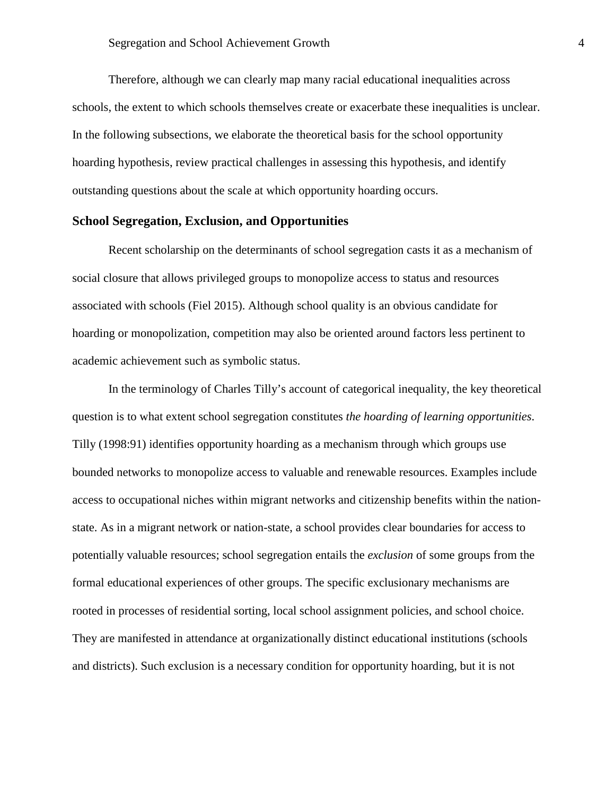Therefore, although we can clearly map many racial educational inequalities across schools, the extent to which schools themselves create or exacerbate these inequalities is unclear. In the following subsections, we elaborate the theoretical basis for the school opportunity hoarding hypothesis, review practical challenges in assessing this hypothesis, and identify outstanding questions about the scale at which opportunity hoarding occurs.

#### **School Segregation, Exclusion, and Opportunities**

Recent scholarship on the determinants of school segregation casts it as a mechanism of social closure that allows privileged groups to monopolize access to status and resources associated with schools (Fiel 2015). Although school quality is an obvious candidate for hoarding or monopolization, competition may also be oriented around factors less pertinent to academic achievement such as symbolic status.

In the terminology of Charles Tilly's account of categorical inequality, the key theoretical question is to what extent school segregation constitutes *the hoarding of learning opportunities*. Tilly (1998:91) identifies opportunity hoarding as a mechanism through which groups use bounded networks to monopolize access to valuable and renewable resources. Examples include access to occupational niches within migrant networks and citizenship benefits within the nationstate. As in a migrant network or nation-state, a school provides clear boundaries for access to potentially valuable resources; school segregation entails the *exclusion* of some groups from the formal educational experiences of other groups. The specific exclusionary mechanisms are rooted in processes of residential sorting, local school assignment policies, and school choice. They are manifested in attendance at organizationally distinct educational institutions (schools and districts). Such exclusion is a necessary condition for opportunity hoarding, but it is not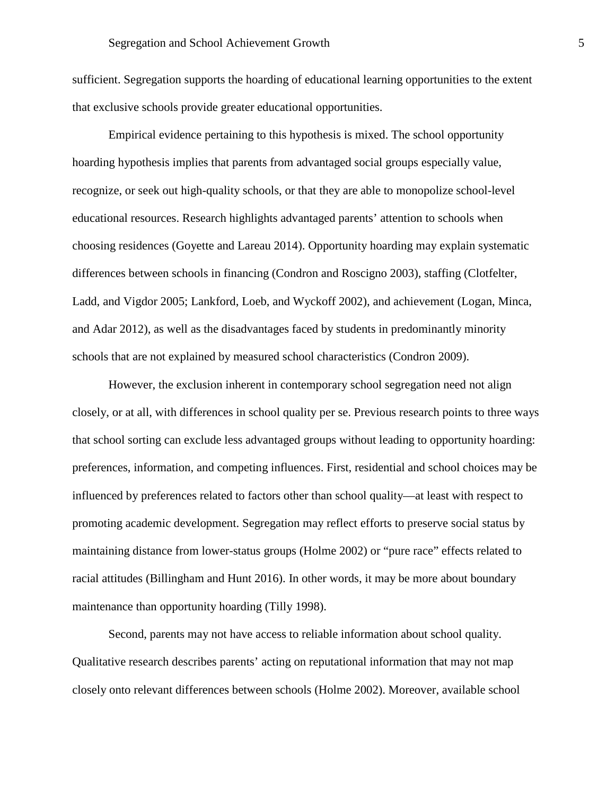sufficient. Segregation supports the hoarding of educational learning opportunities to the extent that exclusive schools provide greater educational opportunities.

Empirical evidence pertaining to this hypothesis is mixed. The school opportunity hoarding hypothesis implies that parents from advantaged social groups especially value, recognize, or seek out high-quality schools, or that they are able to monopolize school-level educational resources. Research highlights advantaged parents' attention to schools when choosing residences (Goyette and Lareau 2014). Opportunity hoarding may explain systematic differences between schools in financing (Condron and Roscigno 2003), staffing (Clotfelter, Ladd, and Vigdor 2005; Lankford, Loeb, and Wyckoff 2002), and achievement (Logan, Minca, and Adar 2012), as well as the disadvantages faced by students in predominantly minority schools that are not explained by measured school characteristics (Condron 2009).

However, the exclusion inherent in contemporary school segregation need not align closely, or at all, with differences in school quality per se. Previous research points to three ways that school sorting can exclude less advantaged groups without leading to opportunity hoarding: preferences, information, and competing influences. First, residential and school choices may be influenced by preferences related to factors other than school quality—at least with respect to promoting academic development. Segregation may reflect efforts to preserve social status by maintaining distance from lower-status groups (Holme 2002) or "pure race" effects related to racial attitudes (Billingham and Hunt 2016). In other words, it may be more about boundary maintenance than opportunity hoarding (Tilly 1998).

Second, parents may not have access to reliable information about school quality. Qualitative research describes parents' acting on reputational information that may not map closely onto relevant differences between schools (Holme 2002). Moreover, available school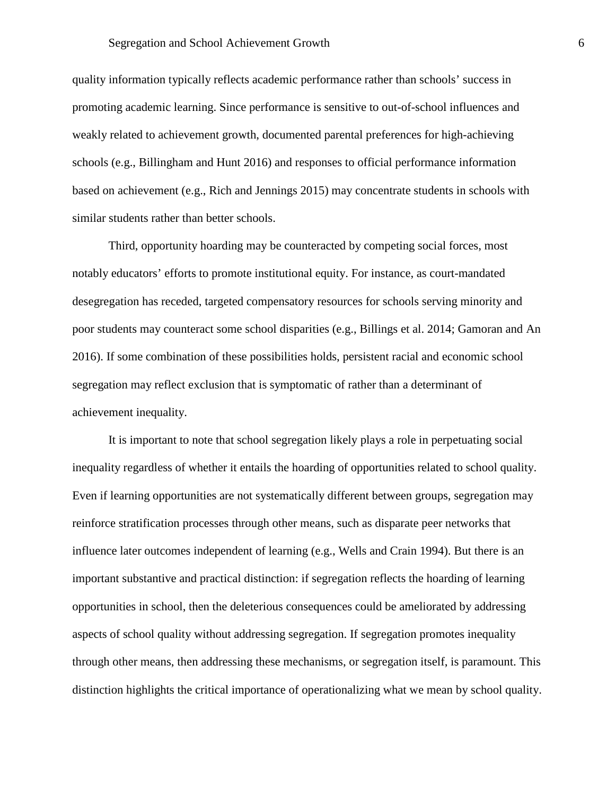quality information typically reflects academic performance rather than schools' success in promoting academic learning. Since performance is sensitive to out-of-school influences and weakly related to achievement growth, documented parental preferences for high-achieving schools (e.g., Billingham and Hunt 2016) and responses to official performance information based on achievement (e.g., Rich and Jennings 2015) may concentrate students in schools with similar students rather than better schools.

Third, opportunity hoarding may be counteracted by competing social forces, most notably educators' efforts to promote institutional equity. For instance, as court-mandated desegregation has receded, targeted compensatory resources for schools serving minority and poor students may counteract some school disparities (e.g., Billings et al. 2014; Gamoran and An 2016). If some combination of these possibilities holds, persistent racial and economic school segregation may reflect exclusion that is symptomatic of rather than a determinant of achievement inequality.

It is important to note that school segregation likely plays a role in perpetuating social inequality regardless of whether it entails the hoarding of opportunities related to school quality. Even if learning opportunities are not systematically different between groups, segregation may reinforce stratification processes through other means, such as disparate peer networks that influence later outcomes independent of learning (e.g., Wells and Crain 1994). But there is an important substantive and practical distinction: if segregation reflects the hoarding of learning opportunities in school, then the deleterious consequences could be ameliorated by addressing aspects of school quality without addressing segregation. If segregation promotes inequality through other means, then addressing these mechanisms, or segregation itself, is paramount. This distinction highlights the critical importance of operationalizing what we mean by school quality.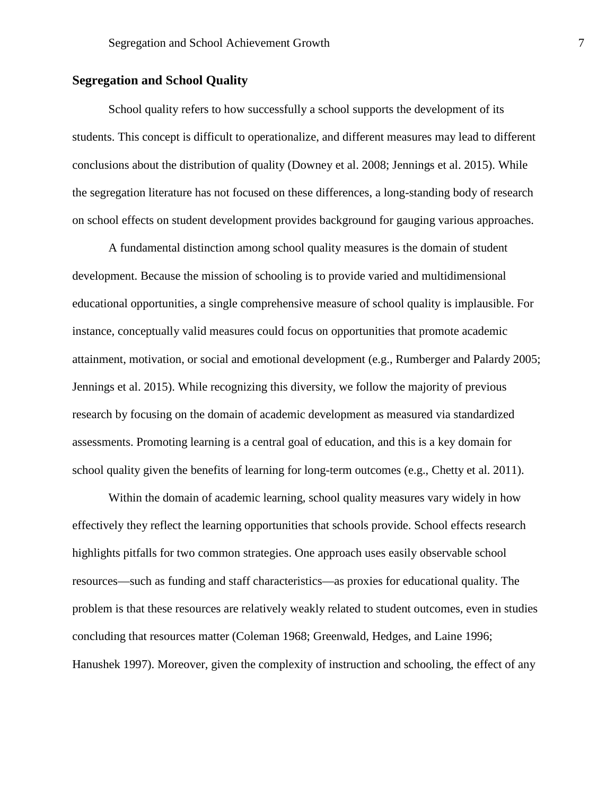### **Segregation and School Quality**

School quality refers to how successfully a school supports the development of its students. This concept is difficult to operationalize, and different measures may lead to different conclusions about the distribution of quality (Downey et al. 2008; Jennings et al. 2015). While the segregation literature has not focused on these differences, a long-standing body of research on school effects on student development provides background for gauging various approaches.

A fundamental distinction among school quality measures is the domain of student development. Because the mission of schooling is to provide varied and multidimensional educational opportunities, a single comprehensive measure of school quality is implausible. For instance, conceptually valid measures could focus on opportunities that promote academic attainment, motivation, or social and emotional development (e.g., Rumberger and Palardy 2005; Jennings et al. 2015). While recognizing this diversity, we follow the majority of previous research by focusing on the domain of academic development as measured via standardized assessments. Promoting learning is a central goal of education, and this is a key domain for school quality given the benefits of learning for long-term outcomes (e.g., Chetty et al. 2011).

Within the domain of academic learning, school quality measures vary widely in how effectively they reflect the learning opportunities that schools provide. School effects research highlights pitfalls for two common strategies. One approach uses easily observable school resources—such as funding and staff characteristics—as proxies for educational quality. The problem is that these resources are relatively weakly related to student outcomes, even in studies concluding that resources matter (Coleman 1968; Greenwald, Hedges, and Laine 1996; Hanushek 1997). Moreover, given the complexity of instruction and schooling, the effect of any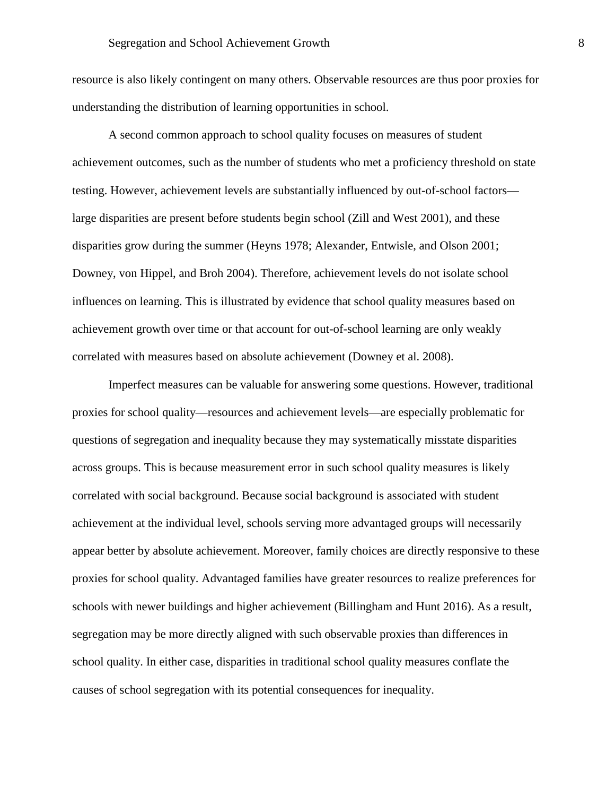resource is also likely contingent on many others. Observable resources are thus poor proxies for understanding the distribution of learning opportunities in school.

A second common approach to school quality focuses on measures of student achievement outcomes, such as the number of students who met a proficiency threshold on state testing. However, achievement levels are substantially influenced by out-of-school factors large disparities are present before students begin school (Zill and West 2001), and these disparities grow during the summer (Heyns 1978; Alexander, Entwisle, and Olson 2001; Downey, von Hippel, and Broh 2004). Therefore, achievement levels do not isolate school influences on learning. This is illustrated by evidence that school quality measures based on achievement growth over time or that account for out-of-school learning are only weakly correlated with measures based on absolute achievement (Downey et al. 2008).

Imperfect measures can be valuable for answering some questions. However, traditional proxies for school quality—resources and achievement levels—are especially problematic for questions of segregation and inequality because they may systematically misstate disparities across groups. This is because measurement error in such school quality measures is likely correlated with social background. Because social background is associated with student achievement at the individual level, schools serving more advantaged groups will necessarily appear better by absolute achievement. Moreover, family choices are directly responsive to these proxies for school quality. Advantaged families have greater resources to realize preferences for schools with newer buildings and higher achievement (Billingham and Hunt 2016). As a result, segregation may be more directly aligned with such observable proxies than differences in school quality. In either case, disparities in traditional school quality measures conflate the causes of school segregation with its potential consequences for inequality.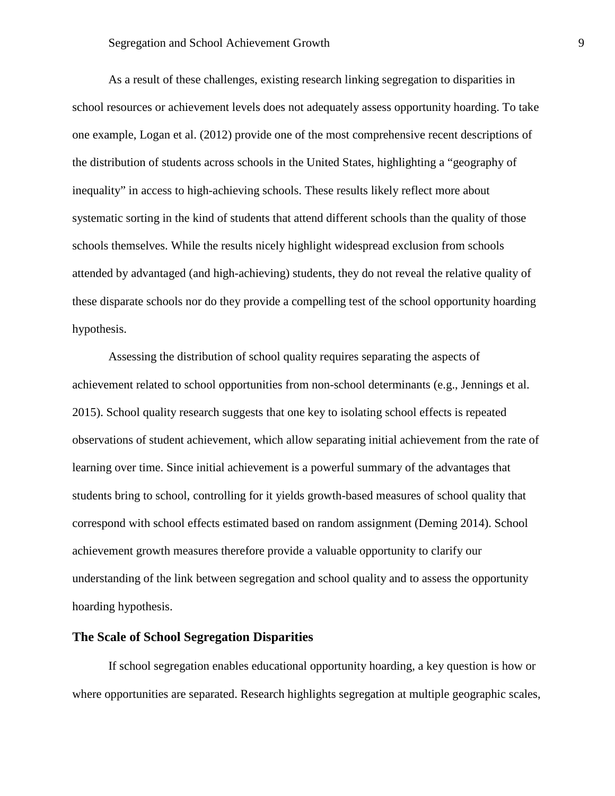As a result of these challenges, existing research linking segregation to disparities in school resources or achievement levels does not adequately assess opportunity hoarding. To take one example, Logan et al. (2012) provide one of the most comprehensive recent descriptions of the distribution of students across schools in the United States, highlighting a "geography of inequality" in access to high-achieving schools. These results likely reflect more about systematic sorting in the kind of students that attend different schools than the quality of those schools themselves. While the results nicely highlight widespread exclusion from schools attended by advantaged (and high-achieving) students, they do not reveal the relative quality of these disparate schools nor do they provide a compelling test of the school opportunity hoarding hypothesis.

Assessing the distribution of school quality requires separating the aspects of achievement related to school opportunities from non-school determinants (e.g., Jennings et al. 2015). School quality research suggests that one key to isolating school effects is repeated observations of student achievement, which allow separating initial achievement from the rate of learning over time. Since initial achievement is a powerful summary of the advantages that students bring to school, controlling for it yields growth-based measures of school quality that correspond with school effects estimated based on random assignment (Deming 2014). School achievement growth measures therefore provide a valuable opportunity to clarify our understanding of the link between segregation and school quality and to assess the opportunity hoarding hypothesis.

### **The Scale of School Segregation Disparities**

If school segregation enables educational opportunity hoarding, a key question is how or where opportunities are separated. Research highlights segregation at multiple geographic scales,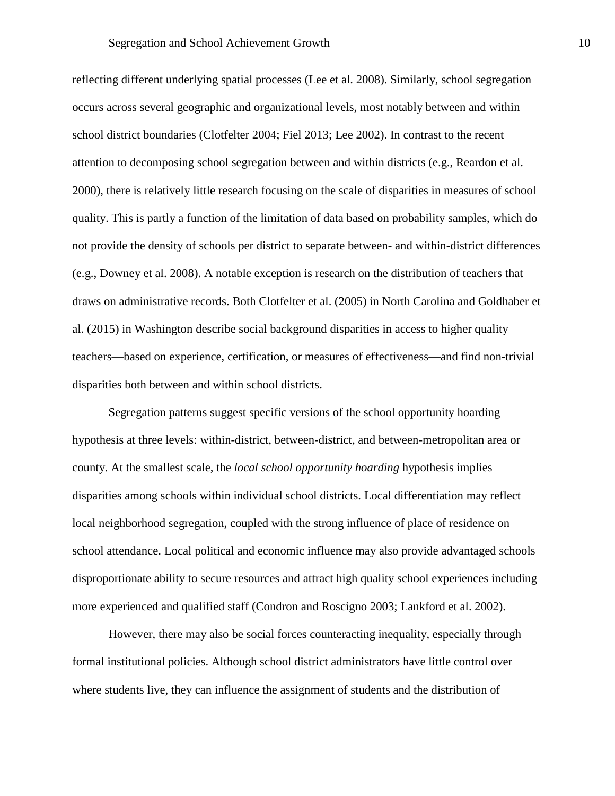reflecting different underlying spatial processes (Lee et al. 2008). Similarly, school segregation occurs across several geographic and organizational levels, most notably between and within school district boundaries (Clotfelter 2004; Fiel 2013; Lee 2002). In contrast to the recent attention to decomposing school segregation between and within districts (e.g., Reardon et al. 2000), there is relatively little research focusing on the scale of disparities in measures of school quality. This is partly a function of the limitation of data based on probability samples, which do not provide the density of schools per district to separate between- and within-district differences (e.g., Downey et al. 2008). A notable exception is research on the distribution of teachers that draws on administrative records. Both Clotfelter et al. (2005) in North Carolina and Goldhaber et al. (2015) in Washington describe social background disparities in access to higher quality teachers—based on experience, certification, or measures of effectiveness—and find non-trivial disparities both between and within school districts.

Segregation patterns suggest specific versions of the school opportunity hoarding hypothesis at three levels: within-district, between-district, and between-metropolitan area or county. At the smallest scale, the *local school opportunity hoarding* hypothesis implies disparities among schools within individual school districts. Local differentiation may reflect local neighborhood segregation, coupled with the strong influence of place of residence on school attendance. Local political and economic influence may also provide advantaged schools disproportionate ability to secure resources and attract high quality school experiences including more experienced and qualified staff (Condron and Roscigno 2003; Lankford et al. 2002).

However, there may also be social forces counteracting inequality, especially through formal institutional policies. Although school district administrators have little control over where students live, they can influence the assignment of students and the distribution of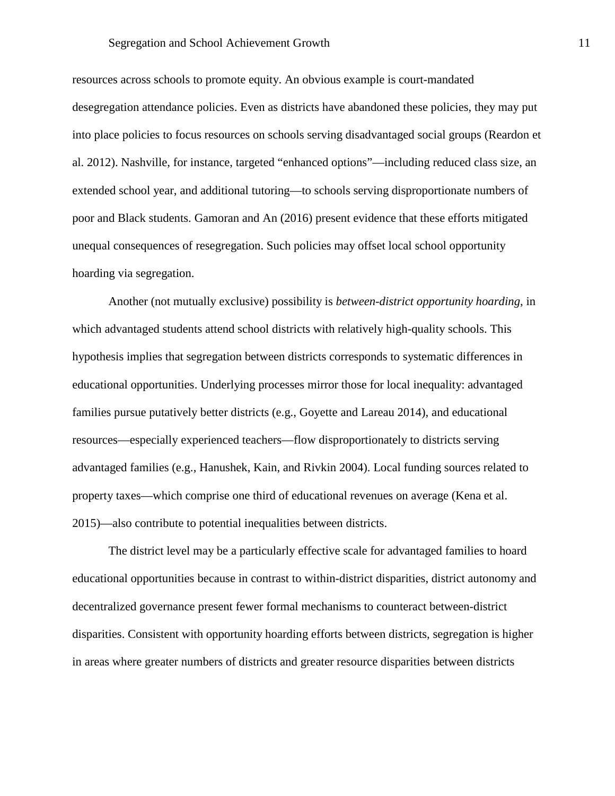#### Segregation and School Achievement Growth 11

resources across schools to promote equity. An obvious example is court-mandated desegregation attendance policies. Even as districts have abandoned these policies, they may put into place policies to focus resources on schools serving disadvantaged social groups (Reardon et al. 2012). Nashville, for instance, targeted "enhanced options"—including reduced class size, an extended school year, and additional tutoring—to schools serving disproportionate numbers of poor and Black students. Gamoran and An (2016) present evidence that these efforts mitigated unequal consequences of resegregation. Such policies may offset local school opportunity hoarding via segregation.

Another (not mutually exclusive) possibility is *between-district opportunity hoarding*, in which advantaged students attend school districts with relatively high-quality schools. This hypothesis implies that segregation between districts corresponds to systematic differences in educational opportunities. Underlying processes mirror those for local inequality: advantaged families pursue putatively better districts (e.g., Goyette and Lareau 2014), and educational resources—especially experienced teachers—flow disproportionately to districts serving advantaged families (e.g., Hanushek, Kain, and Rivkin 2004). Local funding sources related to property taxes—which comprise one third of educational revenues on average (Kena et al. 2015)—also contribute to potential inequalities between districts.

The district level may be a particularly effective scale for advantaged families to hoard educational opportunities because in contrast to within-district disparities, district autonomy and decentralized governance present fewer formal mechanisms to counteract between-district disparities. Consistent with opportunity hoarding efforts between districts, segregation is higher in areas where greater numbers of districts and greater resource disparities between districts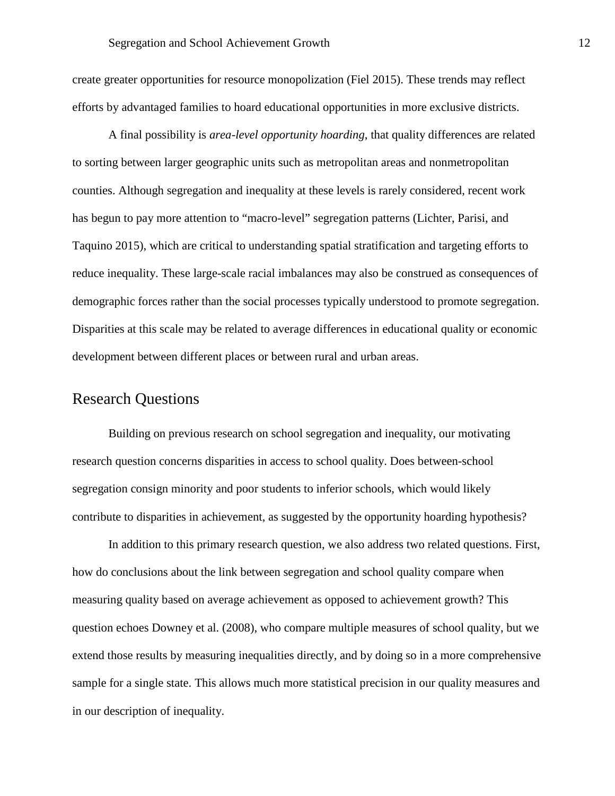create greater opportunities for resource monopolization (Fiel 2015). These trends may reflect efforts by advantaged families to hoard educational opportunities in more exclusive districts.

A final possibility is *area-level opportunity hoarding*, that quality differences are related to sorting between larger geographic units such as metropolitan areas and nonmetropolitan counties. Although segregation and inequality at these levels is rarely considered, recent work has begun to pay more attention to "macro-level" segregation patterns (Lichter, Parisi, and Taquino 2015), which are critical to understanding spatial stratification and targeting efforts to reduce inequality. These large-scale racial imbalances may also be construed as consequences of demographic forces rather than the social processes typically understood to promote segregation. Disparities at this scale may be related to average differences in educational quality or economic development between different places or between rural and urban areas.

## Research Questions

Building on previous research on school segregation and inequality, our motivating research question concerns disparities in access to school quality. Does between-school segregation consign minority and poor students to inferior schools, which would likely contribute to disparities in achievement, as suggested by the opportunity hoarding hypothesis?

In addition to this primary research question, we also address two related questions. First, how do conclusions about the link between segregation and school quality compare when measuring quality based on average achievement as opposed to achievement growth? This question echoes Downey et al. (2008), who compare multiple measures of school quality, but we extend those results by measuring inequalities directly, and by doing so in a more comprehensive sample for a single state. This allows much more statistical precision in our quality measures and in our description of inequality.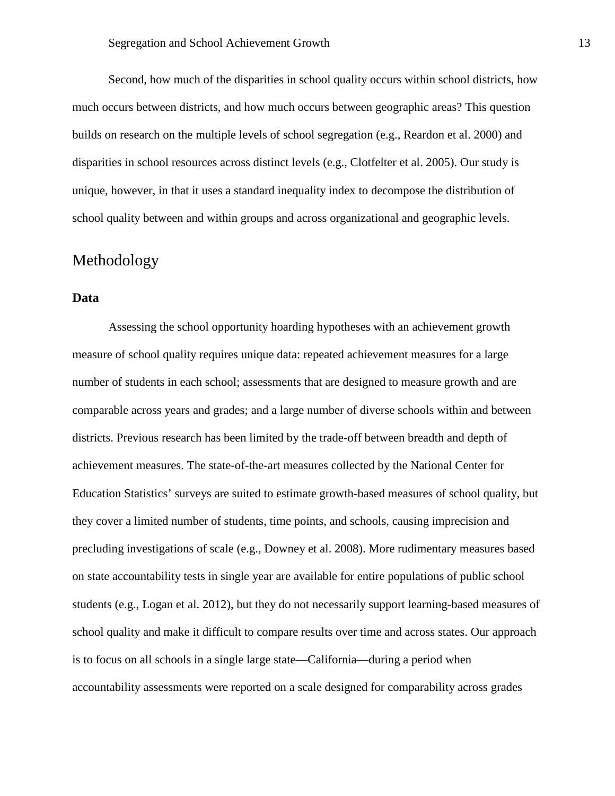Second, how much of the disparities in school quality occurs within school districts, how much occurs between districts, and how much occurs between geographic areas? This question builds on research on the multiple levels of school segregation (e.g., Reardon et al. 2000) and disparities in school resources across distinct levels (e.g., Clotfelter et al. 2005). Our study is unique, however, in that it uses a standard inequality index to decompose the distribution of school quality between and within groups and across organizational and geographic levels.

## Methodology

### **Data**

Assessing the school opportunity hoarding hypotheses with an achievement growth measure of school quality requires unique data: repeated achievement measures for a large number of students in each school; assessments that are designed to measure growth and are comparable across years and grades; and a large number of diverse schools within and between districts. Previous research has been limited by the trade-off between breadth and depth of achievement measures. The state-of-the-art measures collected by the National Center for Education Statistics' surveys are suited to estimate growth-based measures of school quality, but they cover a limited number of students, time points, and schools, causing imprecision and precluding investigations of scale (e.g., Downey et al. 2008). More rudimentary measures based on state accountability tests in single year are available for entire populations of public school students (e.g., Logan et al. 2012), but they do not necessarily support learning-based measures of school quality and make it difficult to compare results over time and across states. Our approach is to focus on all schools in a single large state—California—during a period when accountability assessments were reported on a scale designed for comparability across grades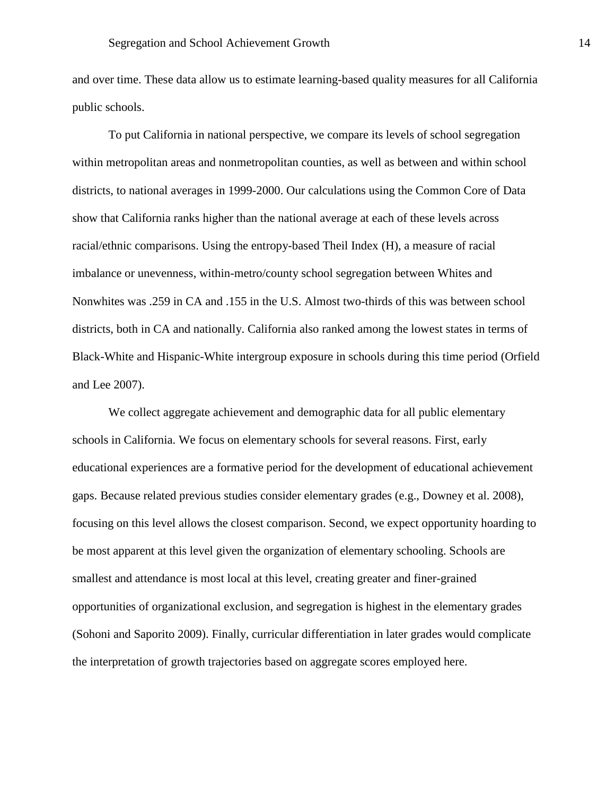and over time. These data allow us to estimate learning-based quality measures for all California public schools.

To put California in national perspective, we compare its levels of school segregation within metropolitan areas and nonmetropolitan counties, as well as between and within school districts, to national averages in 1999-2000. Our calculations using the Common Core of Data show that California ranks higher than the national average at each of these levels across racial/ethnic comparisons. Using the entropy-based Theil Index (H), a measure of racial imbalance or unevenness, within-metro/county school segregation between Whites and Nonwhites was .259 in CA and .155 in the U.S. Almost two-thirds of this was between school districts, both in CA and nationally. California also ranked among the lowest states in terms of Black-White and Hispanic-White intergroup exposure in schools during this time period (Orfield and Lee 2007).

We collect aggregate achievement and demographic data for all public elementary schools in California. We focus on elementary schools for several reasons. First, early educational experiences are a formative period for the development of educational achievement gaps. Because related previous studies consider elementary grades (e.g., Downey et al. 2008), focusing on this level allows the closest comparison. Second, we expect opportunity hoarding to be most apparent at this level given the organization of elementary schooling. Schools are smallest and attendance is most local at this level, creating greater and finer-grained opportunities of organizational exclusion, and segregation is highest in the elementary grades (Sohoni and Saporito 2009). Finally, curricular differentiation in later grades would complicate the interpretation of growth trajectories based on aggregate scores employed here.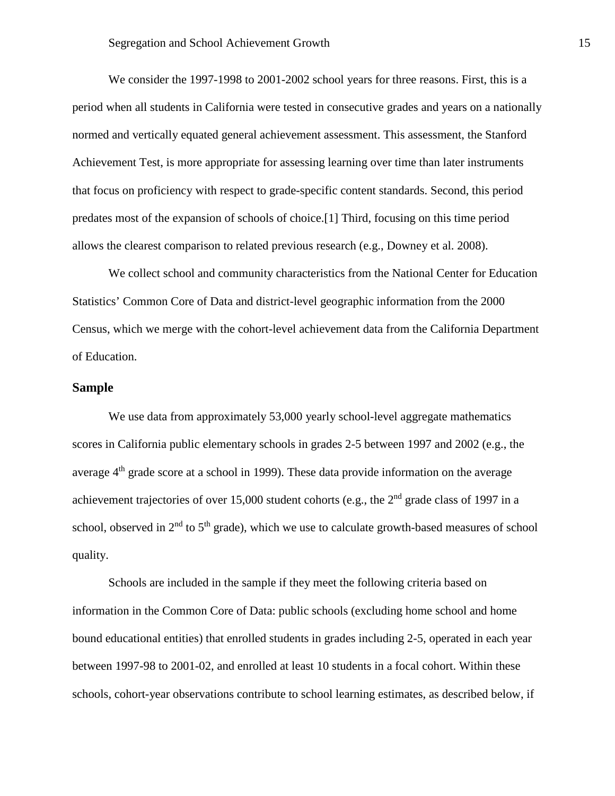We consider the 1997-1998 to 2001-2002 school years for three reasons. First, this is a period when all students in California were tested in consecutive grades and years on a nationally normed and vertically equated general achievement assessment. This assessment, the Stanford Achievement Test, is more appropriate for assessing learning over time than later instruments that focus on proficiency with respect to grade-specific content standards. Second, this period predates most of the expansion of schools of choice.[1] Third, focusing on this time period allows the clearest comparison to related previous research (e.g., Downey et al. 2008).

We collect school and community characteristics from the National Center for Education Statistics' Common Core of Data and district-level geographic information from the 2000 Census, which we merge with the cohort-level achievement data from the California Department of Education.

### **Sample**

We use data from approximately 53,000 yearly school-level aggregate mathematics scores in California public elementary schools in grades 2-5 between 1997 and 2002 (e.g., the average  $4<sup>th</sup>$  grade score at a school in 1999). These data provide information on the average achievement trajectories of over 15,000 student cohorts (e.g., the  $2<sup>nd</sup>$  grade class of 1997 in a school, observed in  $2<sup>nd</sup>$  to  $5<sup>th</sup>$  grade), which we use to calculate growth-based measures of school quality.

Schools are included in the sample if they meet the following criteria based on information in the Common Core of Data: public schools (excluding home school and home bound educational entities) that enrolled students in grades including 2-5, operated in each year between 1997-98 to 2001-02, and enrolled at least 10 students in a focal cohort. Within these schools, cohort-year observations contribute to school learning estimates, as described below, if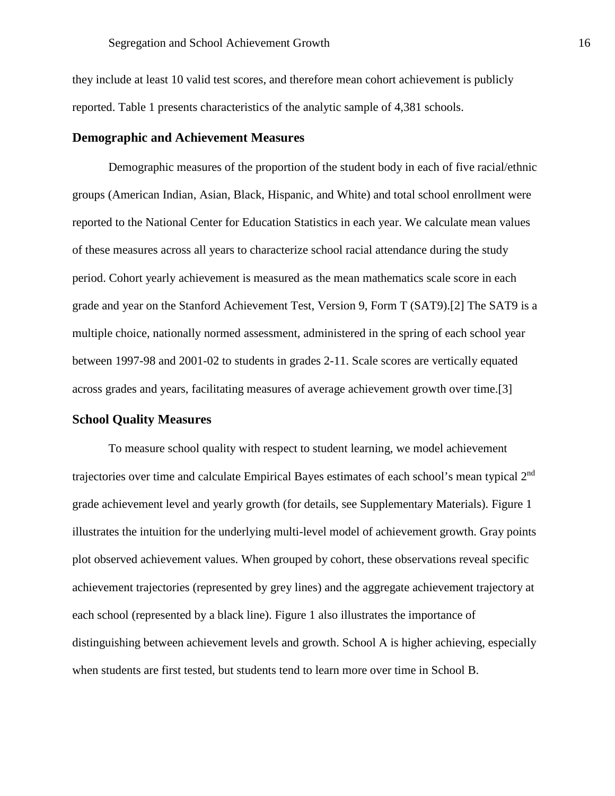they include at least 10 valid test scores, and therefore mean cohort achievement is publicly reported. Table 1 presents characteristics of the analytic sample of 4,381 schools.

### **Demographic and Achievement Measures**

Demographic measures of the proportion of the student body in each of five racial/ethnic groups (American Indian, Asian, Black, Hispanic, and White) and total school enrollment were reported to the National Center for Education Statistics in each year. We calculate mean values of these measures across all years to characterize school racial attendance during the study period. Cohort yearly achievement is measured as the mean mathematics scale score in each grade and year on the Stanford Achievement Test, Version 9, Form T (SAT9).[2] The SAT9 is a multiple choice, nationally normed assessment, administered in the spring of each school year between 1997-98 and 2001-02 to students in grades 2-11. Scale scores are vertically equated across grades and years, facilitating measures of average achievement growth over time.[3]

### **School Quality Measures**

To measure school quality with respect to student learning, we model achievement trajectories over time and calculate Empirical Bayes estimates of each school's mean typical 2nd grade achievement level and yearly growth (for details, see Supplementary Materials). Figure 1 illustrates the intuition for the underlying multi-level model of achievement growth. Gray points plot observed achievement values. When grouped by cohort, these observations reveal specific achievement trajectories (represented by grey lines) and the aggregate achievement trajectory at each school (represented by a black line). Figure 1 also illustrates the importance of distinguishing between achievement levels and growth. School A is higher achieving, especially when students are first tested, but students tend to learn more over time in School B.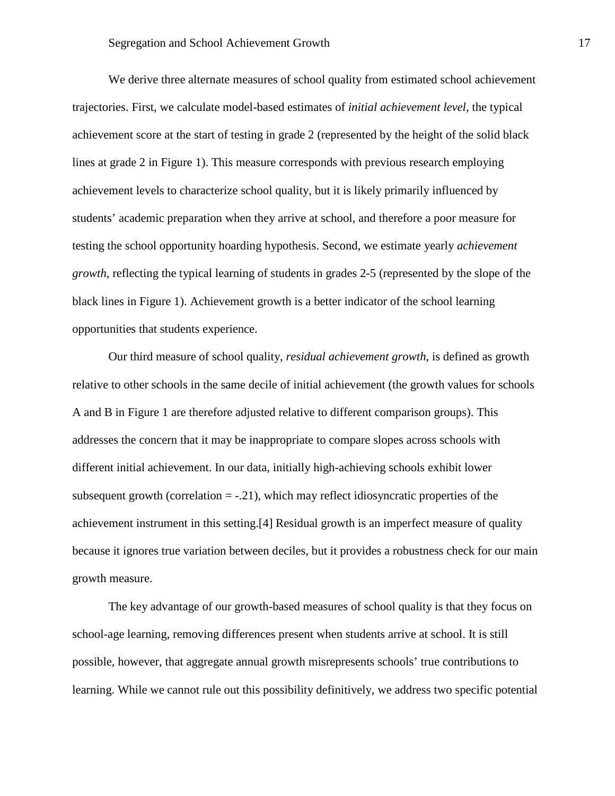We derive three alternate measures of school quality from estimated school achievement trajectories. First, we calculate model-based estimates of *initial achievement level*, the typical achievement score at the start of testing in grade 2 (represented by the height of the solid black lines at grade 2 in Figure 1). This measure corresponds with previous research employing achievement levels to characterize school quality, but it is likely primarily influenced by students' academic preparation when they arrive at school, and therefore a poor measure for testing the school opportunity hoarding hypothesis. Second, we estimate yearly *achievement growth*, reflecting the typical learning of students in grades 2-5 (represented by the slope of the black lines in Figure 1). Achievement growth is a better indicator of the school learning opportunities that students experience.

Our third measure of school quality, *residual achievement growth*, is defined as growth relative to other schools in the same decile of initial achievement (the growth values for schools A and B in Figure 1 are therefore adjusted relative to different comparison groups). This addresses the concern that it may be inappropriate to compare slopes across schools with different initial achievement. In our data, initially high-achieving schools exhibit lower subsequent growth (correlation  $= -0.21$ ), which may reflect idiosyncratic properties of the achievement instrument in this setting.[4] Residual growth is an imperfect measure of quality because it ignores true variation between deciles, but it provides a robustness check for our main growth measure.

The key advantage of our growth-based measures of school quality is that they focus on school-age learning, removing differences present when students arrive at school. It is still possible, however, that aggregate annual growth misrepresents schools' true contributions to learning. While we cannot rule out this possibility definitively, we address two specific potential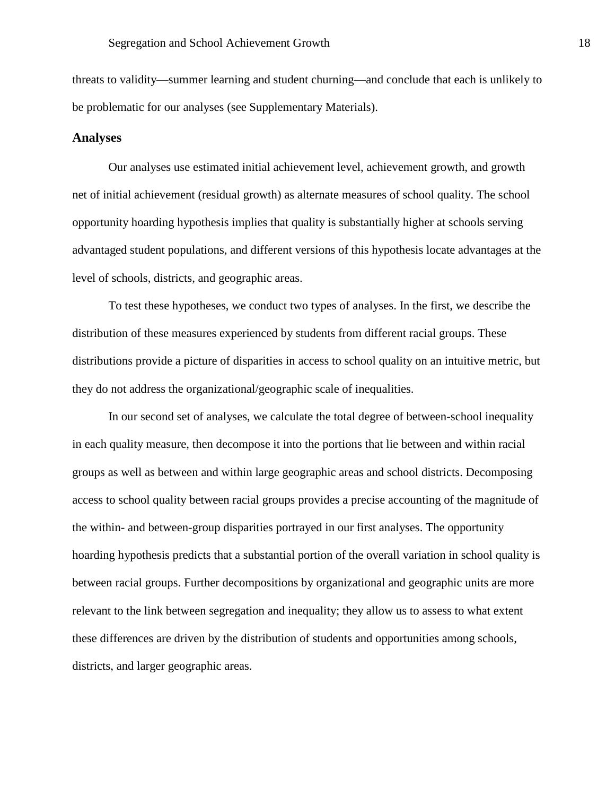threats to validity—summer learning and student churning—and conclude that each is unlikely to be problematic for our analyses (see Supplementary Materials).

#### **Analyses**

Our analyses use estimated initial achievement level, achievement growth, and growth net of initial achievement (residual growth) as alternate measures of school quality. The school opportunity hoarding hypothesis implies that quality is substantially higher at schools serving advantaged student populations, and different versions of this hypothesis locate advantages at the level of schools, districts, and geographic areas.

To test these hypotheses, we conduct two types of analyses. In the first, we describe the distribution of these measures experienced by students from different racial groups. These distributions provide a picture of disparities in access to school quality on an intuitive metric, but they do not address the organizational/geographic scale of inequalities.

In our second set of analyses, we calculate the total degree of between-school inequality in each quality measure, then decompose it into the portions that lie between and within racial groups as well as between and within large geographic areas and school districts. Decomposing access to school quality between racial groups provides a precise accounting of the magnitude of the within- and between-group disparities portrayed in our first analyses. The opportunity hoarding hypothesis predicts that a substantial portion of the overall variation in school quality is between racial groups. Further decompositions by organizational and geographic units are more relevant to the link between segregation and inequality; they allow us to assess to what extent these differences are driven by the distribution of students and opportunities among schools, districts, and larger geographic areas.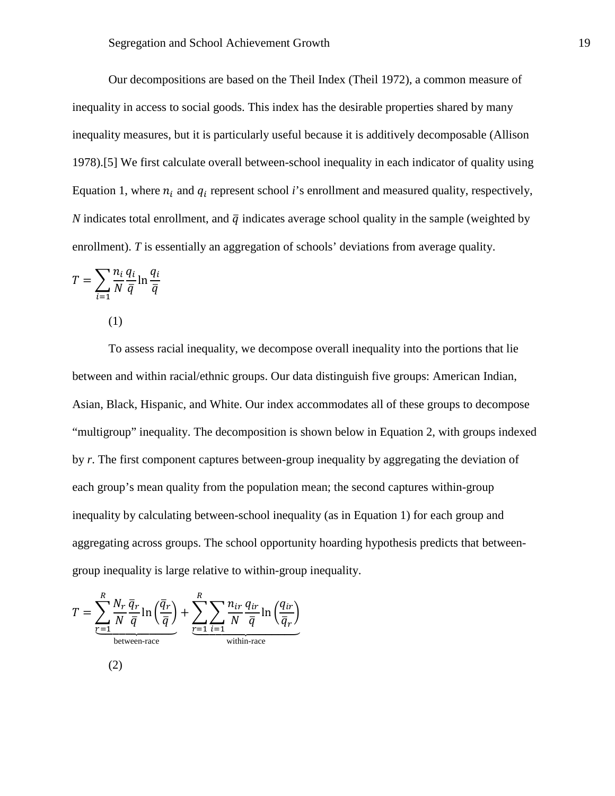Our decompositions are based on the Theil Index (Theil 1972), a common measure of inequality in access to social goods. This index has the desirable properties shared by many inequality measures, but it is particularly useful because it is additively decomposable (Allison 1978).[5] We first calculate overall between-school inequality in each indicator of quality using Equation 1, where  $n_i$  and  $q_i$  represent school *i*'s enrollment and measured quality, respectively, *N* indicates total enrollment, and  $\bar{q}$  indicates average school quality in the sample (weighted by enrollment). *T* is essentially an aggregation of schools' deviations from average quality.

$$
T = \sum_{i=1}^{\infty} \frac{n_i}{N} \frac{q_i}{\overline{q}} \ln \frac{q_i}{\overline{q}}
$$

(1)

To assess racial inequality, we decompose overall inequality into the portions that lie between and within racial/ethnic groups. Our data distinguish five groups: American Indian, Asian, Black, Hispanic, and White. Our index accommodates all of these groups to decompose "multigroup" inequality. The decomposition is shown below in Equation 2, with groups indexed by *r*. The first component captures between-group inequality by aggregating the deviation of each group's mean quality from the population mean; the second captures within-group inequality by calculating between-school inequality (as in Equation 1) for each group and aggregating across groups. The school opportunity hoarding hypothesis predicts that betweengroup inequality is large relative to within-group inequality.

$$
T = \underbrace{\sum_{r=1}^{R} \frac{N_r}{N} \frac{\overline{q}_r}{\overline{q}} \ln \left( \frac{\overline{q}_r}{\overline{q}} \right)}_{\text{between-race}} + \underbrace{\sum_{r=1}^{R} \sum_{i=1}^{n_{ir}} \frac{q_{ir}}{N} \frac{q_{ir}}{\overline{q}} \ln \left( \frac{q_{ir}}{\overline{q}_r} \right)}_{\text{within-race}}
$$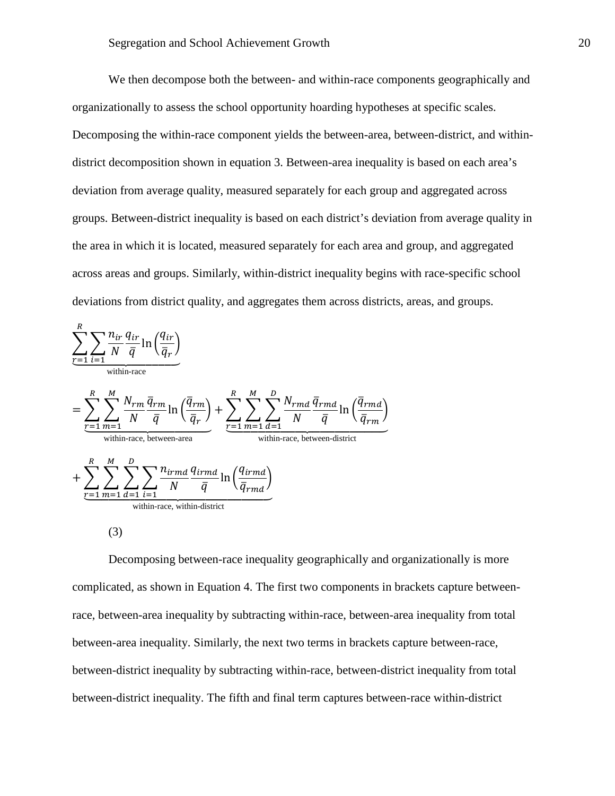We then decompose both the between- and within-race components geographically and organizationally to assess the school opportunity hoarding hypotheses at specific scales. Decomposing the within-race component yields the between-area, between-district, and withindistrict decomposition shown in equation 3. Between-area inequality is based on each area's deviation from average quality, measured separately for each group and aggregated across groups. Between-district inequality is based on each district's deviation from average quality in the area in which it is located, measured separately for each area and group, and aggregated across areas and groups. Similarly, within-district inequality begins with race-specific school deviations from district quality, and aggregates them across districts, areas, and groups.



 $(3)$ 

Decomposing between-race inequality geographically and organizationally is more complicated, as shown in Equation 4. The first two components in brackets capture betweenrace, between-area inequality by subtracting within-race, between-area inequality from total between-area inequality. Similarly, the next two terms in brackets capture between-race, between-district inequality by subtracting within-race, between-district inequality from total between-district inequality. The fifth and final term captures between-race within-district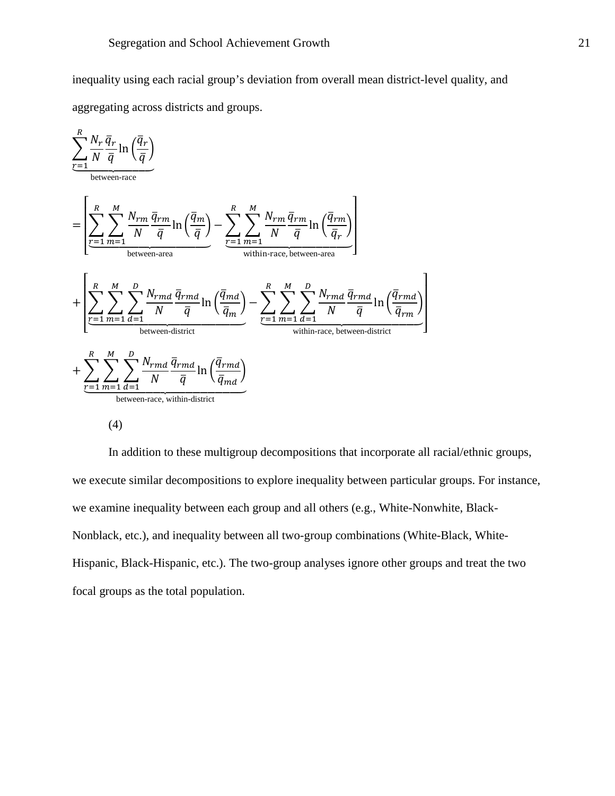inequality using each racial group's deviation from overall mean district-level quality, and aggregating across districts and groups.



 $(4)$ 

In addition to these multigroup decompositions that incorporate all racial/ethnic groups, we execute similar decompositions to explore inequality between particular groups. For instance, we examine inequality between each group and all others (e.g., White-Nonwhite, Black-Nonblack, etc.), and inequality between all two-group combinations (White-Black, White-Hispanic, Black-Hispanic, etc.). The two-group analyses ignore other groups and treat the two focal groups as the total population.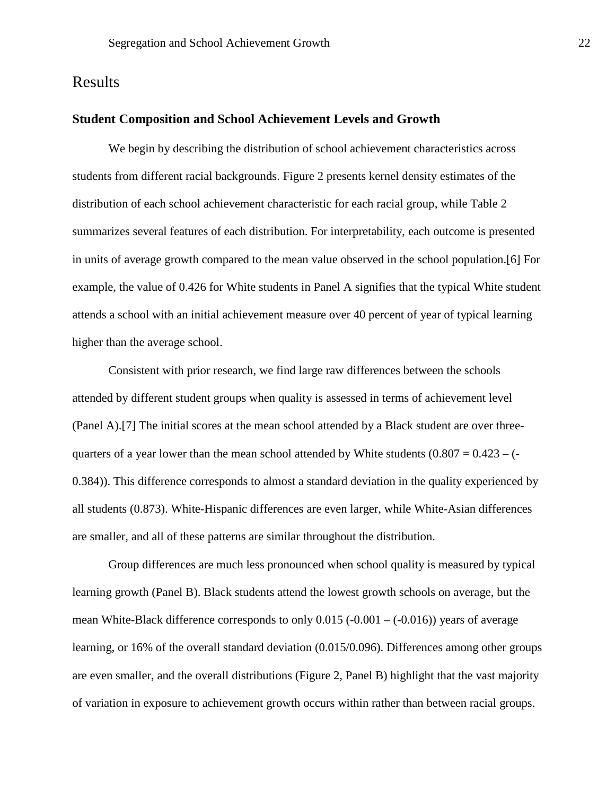## Results

#### **Student Composition and School Achievement Levels and Growth**

We begin by describing the distribution of school achievement characteristics across students from different racial backgrounds. Figure 2 presents kernel density estimates of the distribution of each school achievement characteristic for each racial group, while Table 2 summarizes several features of each distribution. For interpretability, each outcome is presented in units of average growth compared to the mean value observed in the school population.[6] For example, the value of 0.426 for White students in Panel A signifies that the typical White student attends a school with an initial achievement measure over 40 percent of year of typical learning higher than the average school.

Consistent with prior research, we find large raw differences between the schools attended by different student groups when quality is assessed in terms of achievement level (Panel A).[7] The initial scores at the mean school attended by a Black student are over threequarters of a year lower than the mean school attended by White students (0.807 = 0.423 – (- 0.384)). This difference corresponds to almost a standard deviation in the quality experienced by all students (0.873). White-Hispanic differences are even larger, while White-Asian differences are smaller, and all of these patterns are similar throughout the distribution.

Group differences are much less pronounced when school quality is measured by typical learning growth (Panel B). Black students attend the lowest growth schools on average, but the mean White-Black difference corresponds to only  $0.015$  (-0.001 – (-0.016)) years of average learning, or 16% of the overall standard deviation (0.015/0.096). Differences among other groups are even smaller, and the overall distributions (Figure 2, Panel B) highlight that the vast majority of variation in exposure to achievement growth occurs within rather than between racial groups.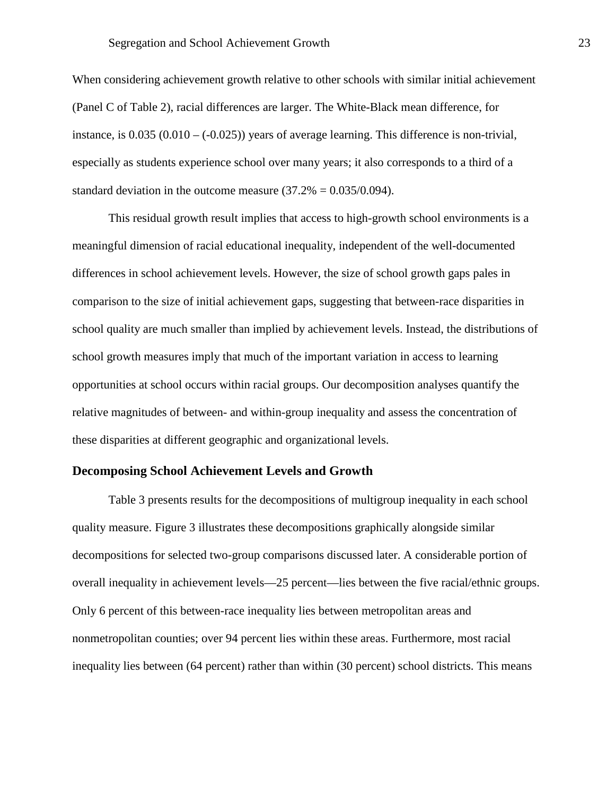When considering achievement growth relative to other schools with similar initial achievement (Panel C of Table 2), racial differences are larger. The White-Black mean difference, for instance, is  $0.035 (0.010 - (-0.025))$  years of average learning. This difference is non-trivial, especially as students experience school over many years; it also corresponds to a third of a standard deviation in the outcome measure  $(37.2% = 0.035/0.094)$ .

This residual growth result implies that access to high-growth school environments is a meaningful dimension of racial educational inequality, independent of the well-documented differences in school achievement levels. However, the size of school growth gaps pales in comparison to the size of initial achievement gaps, suggesting that between-race disparities in school quality are much smaller than implied by achievement levels. Instead, the distributions of school growth measures imply that much of the important variation in access to learning opportunities at school occurs within racial groups. Our decomposition analyses quantify the relative magnitudes of between- and within-group inequality and assess the concentration of these disparities at different geographic and organizational levels.

#### **Decomposing School Achievement Levels and Growth**

Table 3 presents results for the decompositions of multigroup inequality in each school quality measure. Figure 3 illustrates these decompositions graphically alongside similar decompositions for selected two-group comparisons discussed later. A considerable portion of overall inequality in achievement levels—25 percent—lies between the five racial/ethnic groups. Only 6 percent of this between-race inequality lies between metropolitan areas and nonmetropolitan counties; over 94 percent lies within these areas. Furthermore, most racial inequality lies between (64 percent) rather than within (30 percent) school districts. This means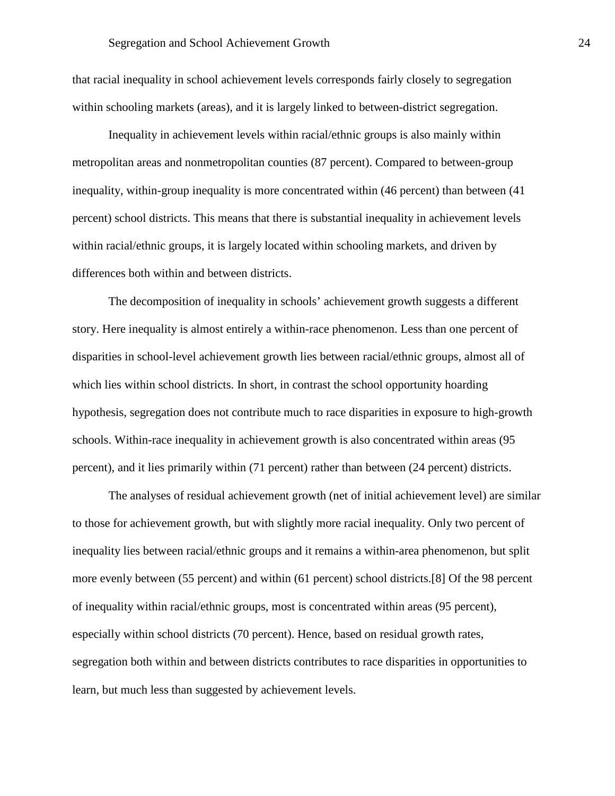that racial inequality in school achievement levels corresponds fairly closely to segregation within schooling markets (areas), and it is largely linked to between-district segregation.

Inequality in achievement levels within racial/ethnic groups is also mainly within metropolitan areas and nonmetropolitan counties (87 percent). Compared to between-group inequality, within-group inequality is more concentrated within (46 percent) than between (41 percent) school districts. This means that there is substantial inequality in achievement levels within racial/ethnic groups, it is largely located within schooling markets, and driven by differences both within and between districts.

The decomposition of inequality in schools' achievement growth suggests a different story. Here inequality is almost entirely a within-race phenomenon. Less than one percent of disparities in school-level achievement growth lies between racial/ethnic groups, almost all of which lies within school districts. In short, in contrast the school opportunity hoarding hypothesis, segregation does not contribute much to race disparities in exposure to high-growth schools. Within-race inequality in achievement growth is also concentrated within areas (95 percent), and it lies primarily within (71 percent) rather than between (24 percent) districts.

The analyses of residual achievement growth (net of initial achievement level) are similar to those for achievement growth, but with slightly more racial inequality. Only two percent of inequality lies between racial/ethnic groups and it remains a within-area phenomenon, but split more evenly between (55 percent) and within (61 percent) school districts.[8] Of the 98 percent of inequality within racial/ethnic groups, most is concentrated within areas (95 percent), especially within school districts (70 percent). Hence, based on residual growth rates, segregation both within and between districts contributes to race disparities in opportunities to learn, but much less than suggested by achievement levels.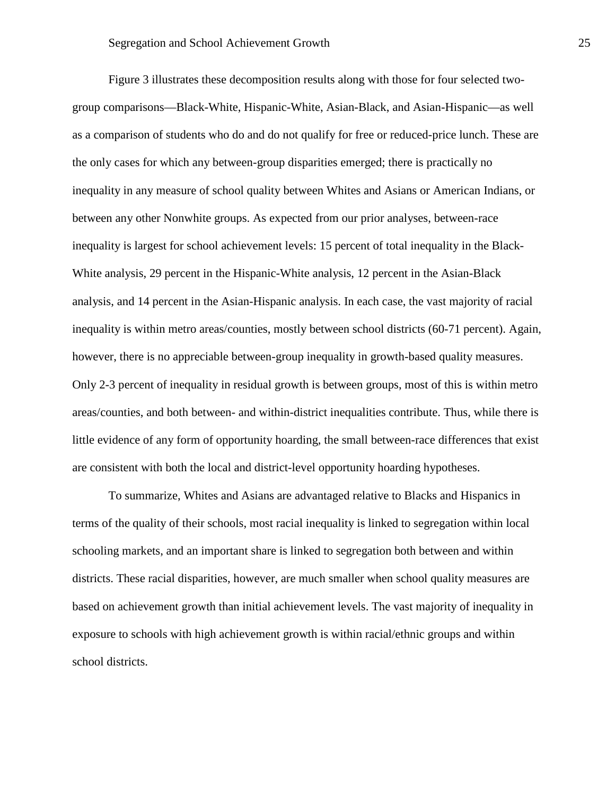Figure 3 illustrates these decomposition results along with those for four selected twogroup comparisons—Black-White, Hispanic-White, Asian-Black, and Asian-Hispanic—as well as a comparison of students who do and do not qualify for free or reduced-price lunch. These are the only cases for which any between-group disparities emerged; there is practically no inequality in any measure of school quality between Whites and Asians or American Indians, or between any other Nonwhite groups. As expected from our prior analyses, between-race inequality is largest for school achievement levels: 15 percent of total inequality in the Black-White analysis, 29 percent in the Hispanic-White analysis, 12 percent in the Asian-Black analysis, and 14 percent in the Asian-Hispanic analysis. In each case, the vast majority of racial inequality is within metro areas/counties, mostly between school districts (60-71 percent). Again, however, there is no appreciable between-group inequality in growth-based quality measures. Only 2-3 percent of inequality in residual growth is between groups, most of this is within metro areas/counties, and both between- and within-district inequalities contribute. Thus, while there is little evidence of any form of opportunity hoarding, the small between-race differences that exist are consistent with both the local and district-level opportunity hoarding hypotheses.

To summarize, Whites and Asians are advantaged relative to Blacks and Hispanics in terms of the quality of their schools, most racial inequality is linked to segregation within local schooling markets, and an important share is linked to segregation both between and within districts. These racial disparities, however, are much smaller when school quality measures are based on achievement growth than initial achievement levels. The vast majority of inequality in exposure to schools with high achievement growth is within racial/ethnic groups and within school districts.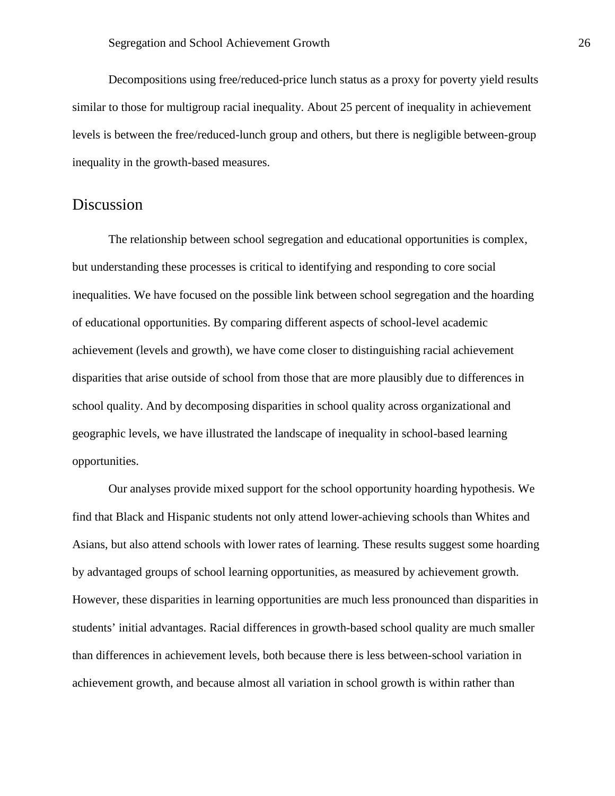Decompositions using free/reduced-price lunch status as a proxy for poverty yield results similar to those for multigroup racial inequality. About 25 percent of inequality in achievement levels is between the free/reduced-lunch group and others, but there is negligible between-group inequality in the growth-based measures.

## Discussion

The relationship between school segregation and educational opportunities is complex, but understanding these processes is critical to identifying and responding to core social inequalities. We have focused on the possible link between school segregation and the hoarding of educational opportunities. By comparing different aspects of school-level academic achievement (levels and growth), we have come closer to distinguishing racial achievement disparities that arise outside of school from those that are more plausibly due to differences in school quality. And by decomposing disparities in school quality across organizational and geographic levels, we have illustrated the landscape of inequality in school-based learning opportunities.

Our analyses provide mixed support for the school opportunity hoarding hypothesis. We find that Black and Hispanic students not only attend lower-achieving schools than Whites and Asians, but also attend schools with lower rates of learning. These results suggest some hoarding by advantaged groups of school learning opportunities, as measured by achievement growth. However, these disparities in learning opportunities are much less pronounced than disparities in students' initial advantages. Racial differences in growth-based school quality are much smaller than differences in achievement levels, both because there is less between-school variation in achievement growth, and because almost all variation in school growth is within rather than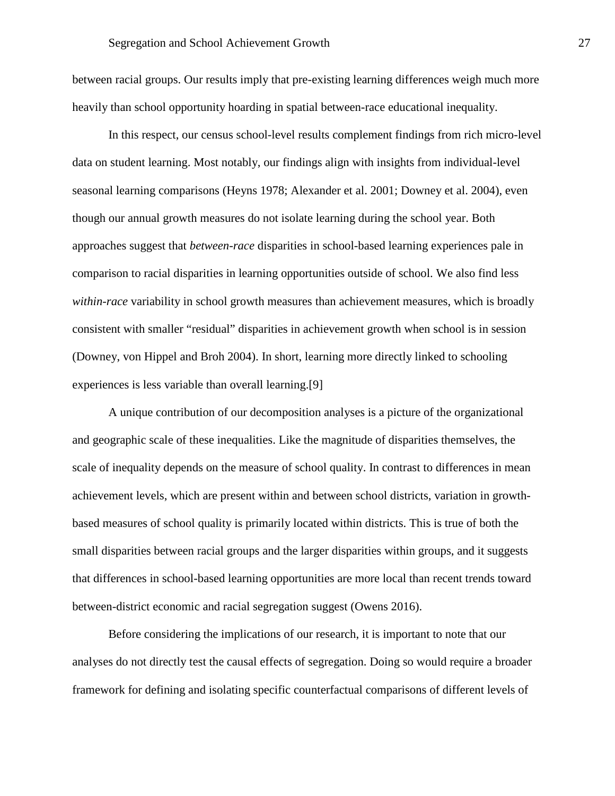between racial groups. Our results imply that pre-existing learning differences weigh much more heavily than school opportunity hoarding in spatial between-race educational inequality.

In this respect, our census school-level results complement findings from rich micro-level data on student learning. Most notably, our findings align with insights from individual-level seasonal learning comparisons (Heyns 1978; Alexander et al. 2001; Downey et al. 2004), even though our annual growth measures do not isolate learning during the school year. Both approaches suggest that *between-race* disparities in school-based learning experiences pale in comparison to racial disparities in learning opportunities outside of school. We also find less *within-race* variability in school growth measures than achievement measures, which is broadly consistent with smaller "residual" disparities in achievement growth when school is in session (Downey, von Hippel and Broh 2004). In short, learning more directly linked to schooling experiences is less variable than overall learning.[9]

A unique contribution of our decomposition analyses is a picture of the organizational and geographic scale of these inequalities. Like the magnitude of disparities themselves, the scale of inequality depends on the measure of school quality. In contrast to differences in mean achievement levels, which are present within and between school districts, variation in growthbased measures of school quality is primarily located within districts. This is true of both the small disparities between racial groups and the larger disparities within groups, and it suggests that differences in school-based learning opportunities are more local than recent trends toward between-district economic and racial segregation suggest (Owens 2016).

Before considering the implications of our research, it is important to note that our analyses do not directly test the causal effects of segregation. Doing so would require a broader framework for defining and isolating specific counterfactual comparisons of different levels of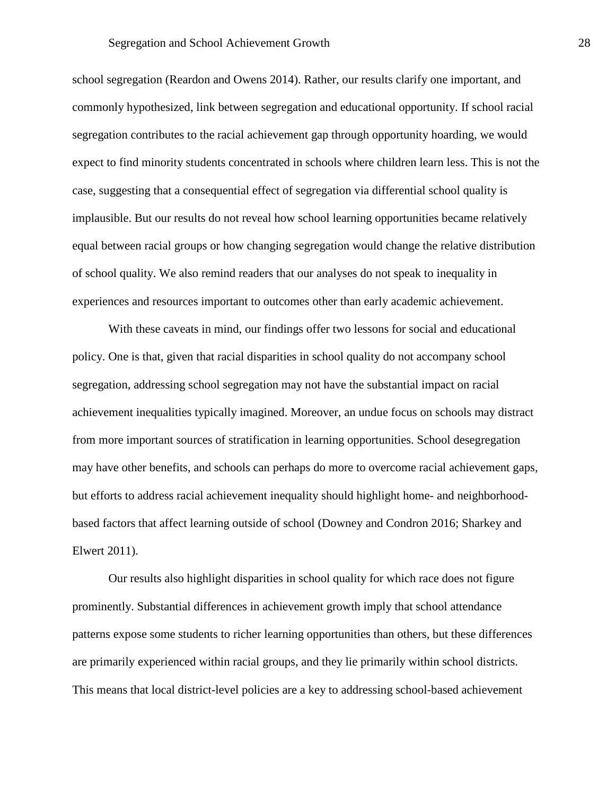school segregation (Reardon and Owens 2014). Rather, our results clarify one important, and commonly hypothesized, link between segregation and educational opportunity. If school racial segregation contributes to the racial achievement gap through opportunity hoarding, we would expect to find minority students concentrated in schools where children learn less. This is not the case, suggesting that a consequential effect of segregation via differential school quality is implausible. But our results do not reveal how school learning opportunities became relatively equal between racial groups or how changing segregation would change the relative distribution of school quality. We also remind readers that our analyses do not speak to inequality in experiences and resources important to outcomes other than early academic achievement.

With these caveats in mind, our findings offer two lessons for social and educational policy. One is that, given that racial disparities in school quality do not accompany school segregation, addressing school segregation may not have the substantial impact on racial achievement inequalities typically imagined. Moreover, an undue focus on schools may distract from more important sources of stratification in learning opportunities. School desegregation may have other benefits, and schools can perhaps do more to overcome racial achievement gaps, but efforts to address racial achievement inequality should highlight home- and neighborhoodbased factors that affect learning outside of school (Downey and Condron 2016; Sharkey and Elwert 2011).

Our results also highlight disparities in school quality for which race does not figure prominently. Substantial differences in achievement growth imply that school attendance patterns expose some students to richer learning opportunities than others, but these differences are primarily experienced within racial groups, and they lie primarily within school districts. This means that local district-level policies are a key to addressing school-based achievement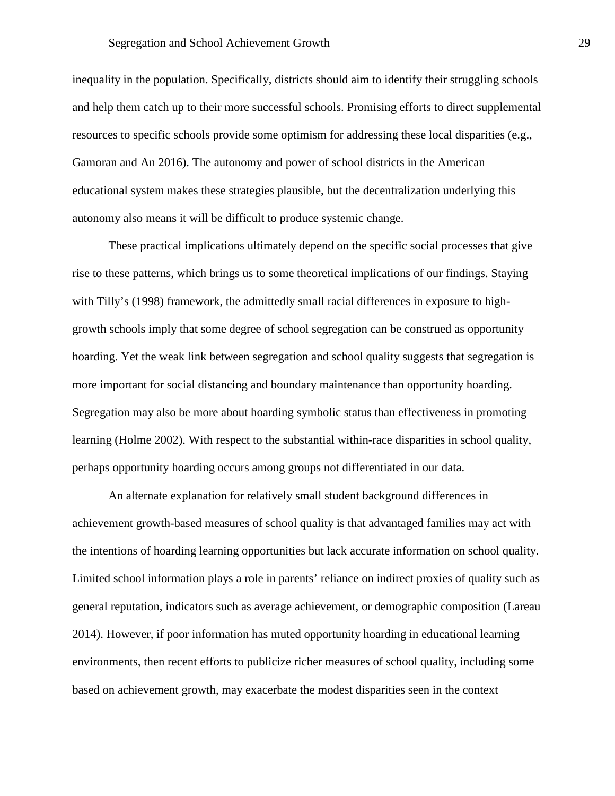inequality in the population. Specifically, districts should aim to identify their struggling schools and help them catch up to their more successful schools. Promising efforts to direct supplemental resources to specific schools provide some optimism for addressing these local disparities (e.g., Gamoran and An 2016). The autonomy and power of school districts in the American educational system makes these strategies plausible, but the decentralization underlying this autonomy also means it will be difficult to produce systemic change.

These practical implications ultimately depend on the specific social processes that give rise to these patterns, which brings us to some theoretical implications of our findings. Staying with Tilly's (1998) framework, the admittedly small racial differences in exposure to highgrowth schools imply that some degree of school segregation can be construed as opportunity hoarding. Yet the weak link between segregation and school quality suggests that segregation is more important for social distancing and boundary maintenance than opportunity hoarding. Segregation may also be more about hoarding symbolic status than effectiveness in promoting learning (Holme 2002). With respect to the substantial within-race disparities in school quality, perhaps opportunity hoarding occurs among groups not differentiated in our data.

An alternate explanation for relatively small student background differences in achievement growth-based measures of school quality is that advantaged families may act with the intentions of hoarding learning opportunities but lack accurate information on school quality. Limited school information plays a role in parents' reliance on indirect proxies of quality such as general reputation, indicators such as average achievement, or demographic composition (Lareau 2014). However, if poor information has muted opportunity hoarding in educational learning environments, then recent efforts to publicize richer measures of school quality, including some based on achievement growth, may exacerbate the modest disparities seen in the context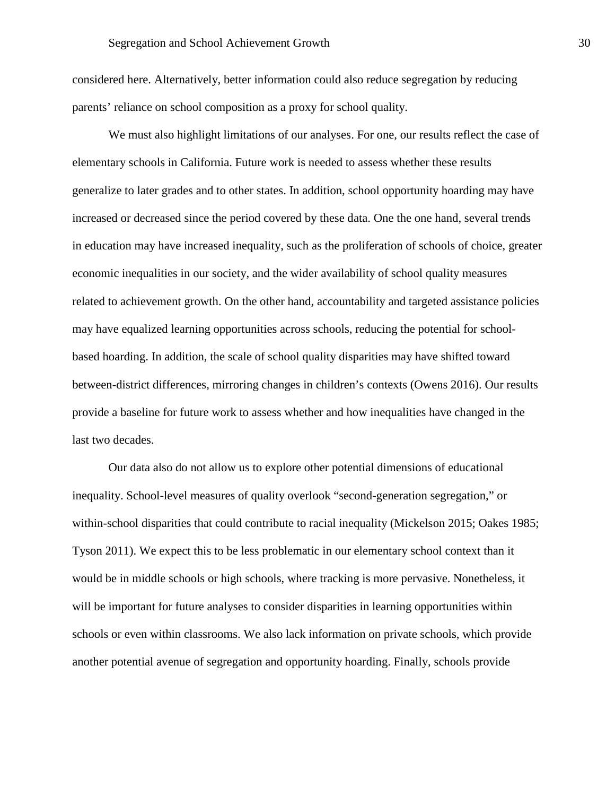considered here. Alternatively, better information could also reduce segregation by reducing parents' reliance on school composition as a proxy for school quality.

We must also highlight limitations of our analyses. For one, our results reflect the case of elementary schools in California. Future work is needed to assess whether these results generalize to later grades and to other states. In addition, school opportunity hoarding may have increased or decreased since the period covered by these data. One the one hand, several trends in education may have increased inequality, such as the proliferation of schools of choice, greater economic inequalities in our society, and the wider availability of school quality measures related to achievement growth. On the other hand, accountability and targeted assistance policies may have equalized learning opportunities across schools, reducing the potential for schoolbased hoarding. In addition, the scale of school quality disparities may have shifted toward between-district differences, mirroring changes in children's contexts (Owens 2016). Our results provide a baseline for future work to assess whether and how inequalities have changed in the last two decades.

Our data also do not allow us to explore other potential dimensions of educational inequality. School-level measures of quality overlook "second-generation segregation," or within-school disparities that could contribute to racial inequality (Mickelson 2015; Oakes 1985; Tyson 2011). We expect this to be less problematic in our elementary school context than it would be in middle schools or high schools, where tracking is more pervasive. Nonetheless, it will be important for future analyses to consider disparities in learning opportunities within schools or even within classrooms. We also lack information on private schools, which provide another potential avenue of segregation and opportunity hoarding. Finally, schools provide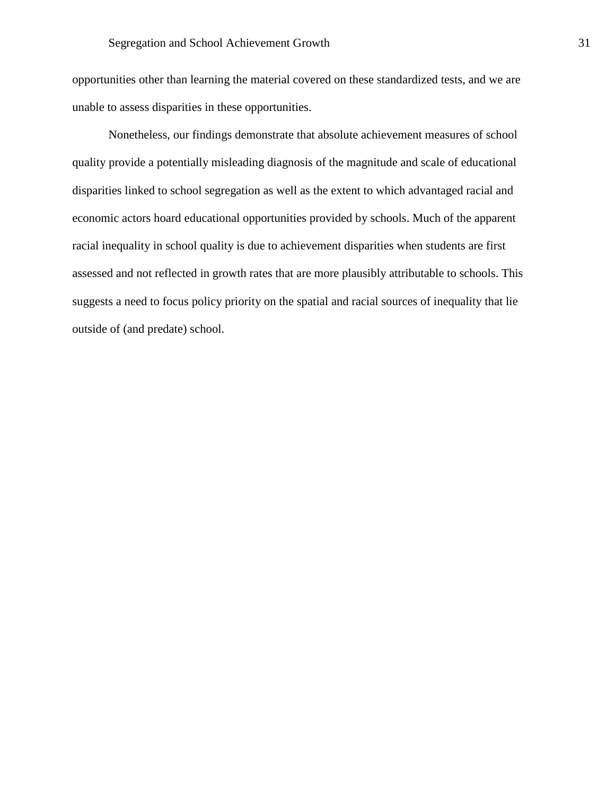opportunities other than learning the material covered on these standardized tests, and we are unable to assess disparities in these opportunities.

Nonetheless, our findings demonstrate that absolute achievement measures of school quality provide a potentially misleading diagnosis of the magnitude and scale of educational disparities linked to school segregation as well as the extent to which advantaged racial and economic actors hoard educational opportunities provided by schools. Much of the apparent racial inequality in school quality is due to achievement disparities when students are first assessed and not reflected in growth rates that are more plausibly attributable to schools. This suggests a need to focus policy priority on the spatial and racial sources of inequality that lie outside of (and predate) school.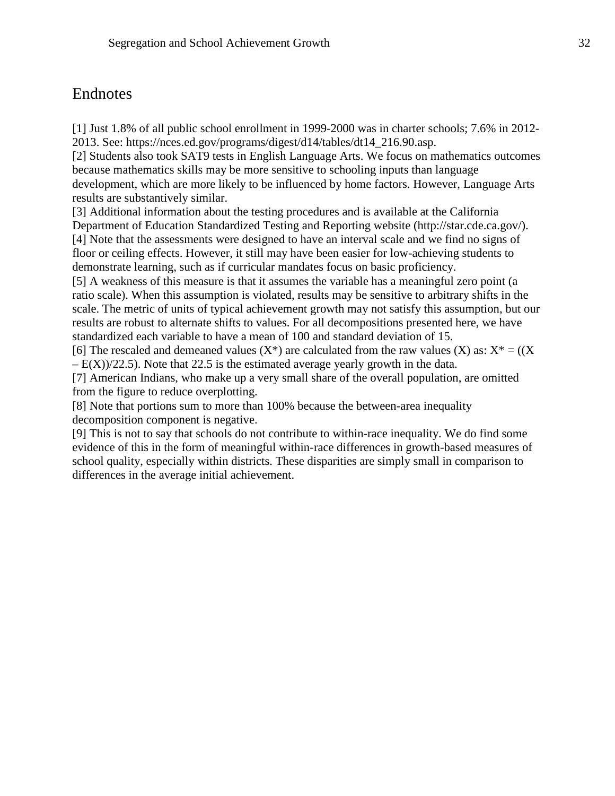# Endnotes

[1] Just 1.8% of all public school enrollment in 1999-2000 was in charter schools; 7.6% in 2012- 2013. See: https://nces.ed.gov/programs/digest/d14/tables/dt14\_216.90.asp.

[2] Students also took SAT9 tests in English Language Arts. We focus on mathematics outcomes because mathematics skills may be more sensitive to schooling inputs than language development, which are more likely to be influenced by home factors. However, Language Arts results are substantively similar.

[3] Additional information about the testing procedures and is available at the California Department of Education Standardized Testing and Reporting website (http://star.cde.ca.gov/). [4] Note that the assessments were designed to have an interval scale and we find no signs of floor or ceiling effects. However, it still may have been easier for low-achieving students to demonstrate learning, such as if curricular mandates focus on basic proficiency.

[5] A weakness of this measure is that it assumes the variable has a meaningful zero point (a ratio scale). When this assumption is violated, results may be sensitive to arbitrary shifts in the scale. The metric of units of typical achievement growth may not satisfy this assumption, but our results are robust to alternate shifts to values. For all decompositions presented here, we have standardized each variable to have a mean of 100 and standard deviation of 15.

[6] The rescaled and demeaned values  $(X^*)$  are calculated from the raw values  $(X)$  as:  $X^* = ((X^*)^* - (X^*)^*)^T$  $-E(X)/22.5$ ). Note that 22.5 is the estimated average yearly growth in the data.

[7] American Indians, who make up a very small share of the overall population, are omitted from the figure to reduce overplotting.

[8] Note that portions sum to more than 100% because the between-area inequality decomposition component is negative.

[9] This is not to say that schools do not contribute to within-race inequality. We do find some evidence of this in the form of meaningful within-race differences in growth-based measures of school quality, especially within districts. These disparities are simply small in comparison to differences in the average initial achievement.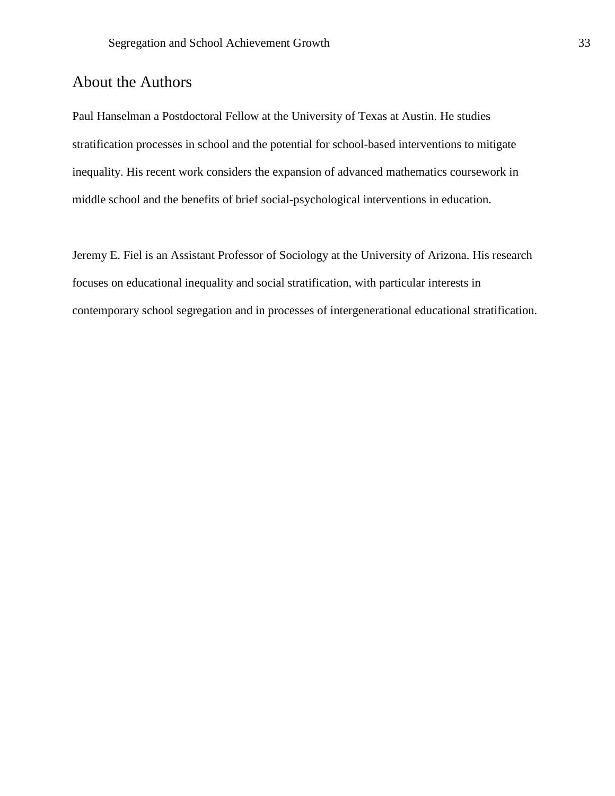# About the Authors

Paul Hanselman a Postdoctoral Fellow at the University of Texas at Austin. He studies stratification processes in school and the potential for school-based interventions to mitigate inequality. His recent work considers the expansion of advanced mathematics coursework in middle school and the benefits of brief social-psychological interventions in education.

Jeremy E. Fiel is an Assistant Professor of Sociology at the University of Arizona. His research focuses on educational inequality and social stratification, with particular interests in contemporary school segregation and in processes of intergenerational educational stratification.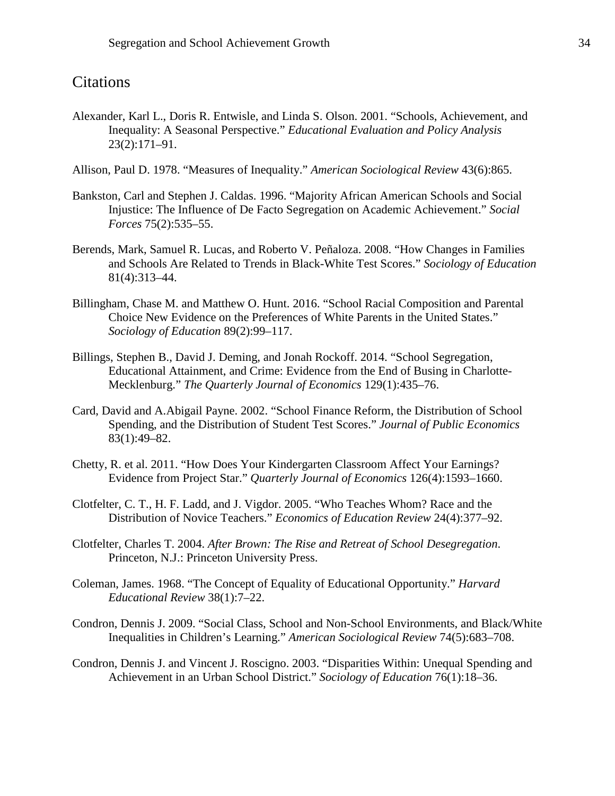# **Citations**

- Alexander, Karl L., Doris R. Entwisle, and Linda S. Olson. 2001. "Schools, Achievement, and Inequality: A Seasonal Perspective." *Educational Evaluation and Policy Analysis* 23(2):171–91.
- Allison, Paul D. 1978. "Measures of Inequality." *American Sociological Review* 43(6):865.
- Bankston, Carl and Stephen J. Caldas. 1996. "Majority African American Schools and Social Injustice: The Influence of De Facto Segregation on Academic Achievement." *Social Forces* 75(2):535–55.
- Berends, Mark, Samuel R. Lucas, and Roberto V. Peñaloza. 2008. "How Changes in Families and Schools Are Related to Trends in Black-White Test Scores." *Sociology of Education* 81(4):313–44.
- Billingham, Chase M. and Matthew O. Hunt. 2016. "School Racial Composition and Parental Choice New Evidence on the Preferences of White Parents in the United States." *Sociology of Education* 89(2):99–117.
- Billings, Stephen B., David J. Deming, and Jonah Rockoff. 2014. "School Segregation, Educational Attainment, and Crime: Evidence from the End of Busing in Charlotte-Mecklenburg." *The Quarterly Journal of Economics* 129(1):435–76.
- Card, David and A.Abigail Payne. 2002. "School Finance Reform, the Distribution of School Spending, and the Distribution of Student Test Scores." *Journal of Public Economics* 83(1):49–82.
- Chetty, R. et al. 2011. "How Does Your Kindergarten Classroom Affect Your Earnings? Evidence from Project Star." *Quarterly Journal of Economics* 126(4):1593–1660.
- Clotfelter, C. T., H. F. Ladd, and J. Vigdor. 2005. "Who Teaches Whom? Race and the Distribution of Novice Teachers." *Economics of Education Review* 24(4):377–92.
- Clotfelter, Charles T. 2004. *After Brown: The Rise and Retreat of School Desegregation*. Princeton, N.J.: Princeton University Press.
- Coleman, James. 1968. "The Concept of Equality of Educational Opportunity." *Harvard Educational Review* 38(1):7–22.
- Condron, Dennis J. 2009. "Social Class, School and Non-School Environments, and Black/White Inequalities in Children's Learning." *American Sociological Review* 74(5):683–708.
- Condron, Dennis J. and Vincent J. Roscigno. 2003. "Disparities Within: Unequal Spending and Achievement in an Urban School District." *Sociology of Education* 76(1):18–36.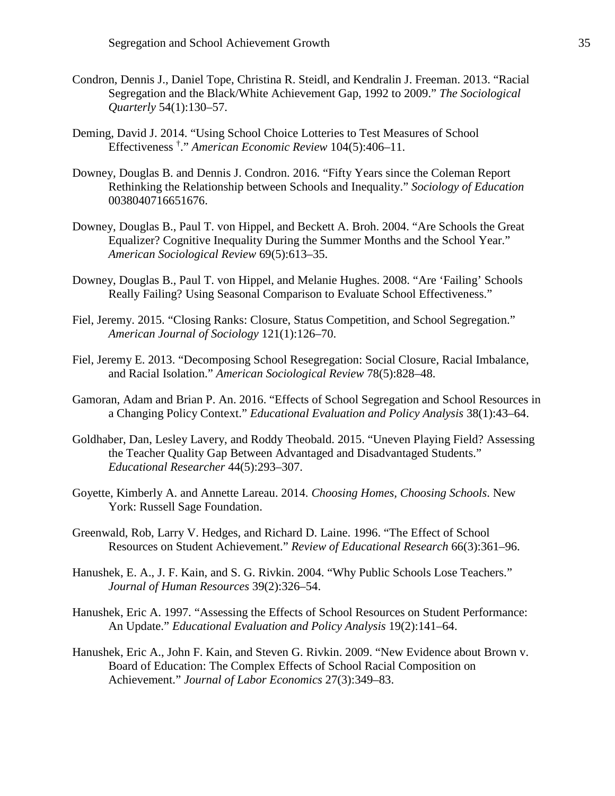- Condron, Dennis J., Daniel Tope, Christina R. Steidl, and Kendralin J. Freeman. 2013. "Racial Segregation and the Black/White Achievement Gap, 1992 to 2009." *The Sociological Quarterly* 54(1):130–57.
- Deming, David J. 2014. "Using School Choice Lotteries to Test Measures of School Effectiveness † ." *American Economic Review* 104(5):406–11.
- Downey, Douglas B. and Dennis J. Condron. 2016. "Fifty Years since the Coleman Report Rethinking the Relationship between Schools and Inequality." *Sociology of Education* 0038040716651676.
- Downey, Douglas B., Paul T. von Hippel, and Beckett A. Broh. 2004. "Are Schools the Great Equalizer? Cognitive Inequality During the Summer Months and the School Year." *American Sociological Review* 69(5):613–35.
- Downey, Douglas B., Paul T. von Hippel, and Melanie Hughes. 2008. "Are 'Failing' Schools Really Failing? Using Seasonal Comparison to Evaluate School Effectiveness."
- Fiel, Jeremy. 2015. "Closing Ranks: Closure, Status Competition, and School Segregation." *American Journal of Sociology* 121(1):126–70.
- Fiel, Jeremy E. 2013. "Decomposing School Resegregation: Social Closure, Racial Imbalance, and Racial Isolation." *American Sociological Review* 78(5):828–48.
- Gamoran, Adam and Brian P. An. 2016. "Effects of School Segregation and School Resources in a Changing Policy Context." *Educational Evaluation and Policy Analysis* 38(1):43–64.
- Goldhaber, Dan, Lesley Lavery, and Roddy Theobald. 2015. "Uneven Playing Field? Assessing the Teacher Quality Gap Between Advantaged and Disadvantaged Students." *Educational Researcher* 44(5):293–307.
- Goyette, Kimberly A. and Annette Lareau. 2014. *Choosing Homes, Choosing Schools*. New York: Russell Sage Foundation.
- Greenwald, Rob, Larry V. Hedges, and Richard D. Laine. 1996. "The Effect of School Resources on Student Achievement." *Review of Educational Research* 66(3):361–96.
- Hanushek, E. A., J. F. Kain, and S. G. Rivkin. 2004. "Why Public Schools Lose Teachers." *Journal of Human Resources* 39(2):326–54.
- Hanushek, Eric A. 1997. "Assessing the Effects of School Resources on Student Performance: An Update." *Educational Evaluation and Policy Analysis* 19(2):141–64.
- Hanushek, Eric A., John F. Kain, and Steven G. Rivkin. 2009. "New Evidence about Brown v. Board of Education: The Complex Effects of School Racial Composition on Achievement." *Journal of Labor Economics* 27(3):349–83.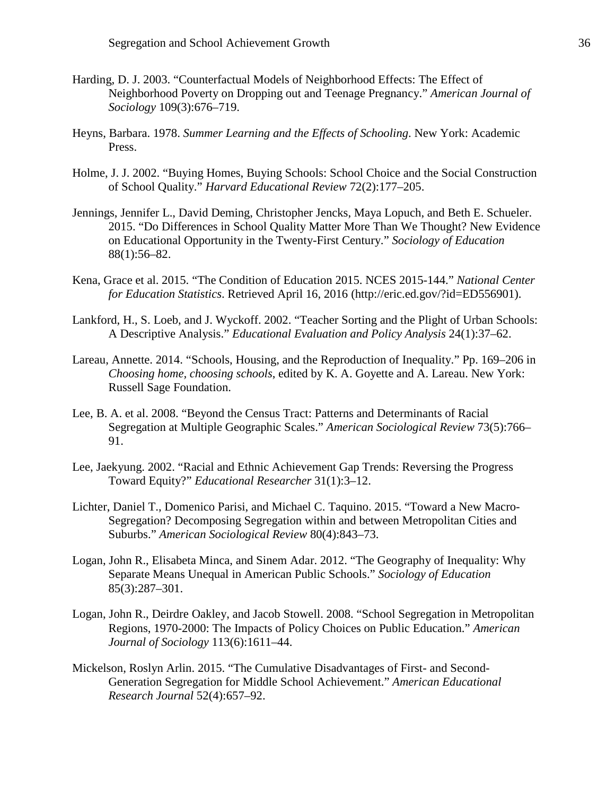- Harding, D. J. 2003. "Counterfactual Models of Neighborhood Effects: The Effect of Neighborhood Poverty on Dropping out and Teenage Pregnancy." *American Journal of Sociology* 109(3):676–719.
- Heyns, Barbara. 1978. *Summer Learning and the Effects of Schooling*. New York: Academic Press.
- Holme, J. J. 2002. "Buying Homes, Buying Schools: School Choice and the Social Construction of School Quality." *Harvard Educational Review* 72(2):177–205.
- Jennings, Jennifer L., David Deming, Christopher Jencks, Maya Lopuch, and Beth E. Schueler. 2015. "Do Differences in School Quality Matter More Than We Thought? New Evidence on Educational Opportunity in the Twenty-First Century." *Sociology of Education* 88(1):56–82.
- Kena, Grace et al. 2015. "The Condition of Education 2015. NCES 2015-144." *National Center for Education Statistics*. Retrieved April 16, 2016 (http://eric.ed.gov/?id=ED556901).
- Lankford, H., S. Loeb, and J. Wyckoff. 2002. "Teacher Sorting and the Plight of Urban Schools: A Descriptive Analysis." *Educational Evaluation and Policy Analysis* 24(1):37–62.
- Lareau, Annette. 2014. "Schools, Housing, and the Reproduction of Inequality." Pp. 169–206 in *Choosing home, choosing schools*, edited by K. A. Goyette and A. Lareau. New York: Russell Sage Foundation.
- Lee, B. A. et al. 2008. "Beyond the Census Tract: Patterns and Determinants of Racial Segregation at Multiple Geographic Scales." *American Sociological Review* 73(5):766– 91.
- Lee, Jaekyung. 2002. "Racial and Ethnic Achievement Gap Trends: Reversing the Progress Toward Equity?" *Educational Researcher* 31(1):3–12.
- Lichter, Daniel T., Domenico Parisi, and Michael C. Taquino. 2015. "Toward a New Macro-Segregation? Decomposing Segregation within and between Metropolitan Cities and Suburbs." *American Sociological Review* 80(4):843–73.
- Logan, John R., Elisabeta Minca, and Sinem Adar. 2012. "The Geography of Inequality: Why Separate Means Unequal in American Public Schools." *Sociology of Education* 85(3):287–301.
- Logan, John R., Deirdre Oakley, and Jacob Stowell. 2008. "School Segregation in Metropolitan Regions, 1970-2000: The Impacts of Policy Choices on Public Education." *American Journal of Sociology* 113(6):1611–44.
- Mickelson, Roslyn Arlin. 2015. "The Cumulative Disadvantages of First- and Second-Generation Segregation for Middle School Achievement." *American Educational Research Journal* 52(4):657–92.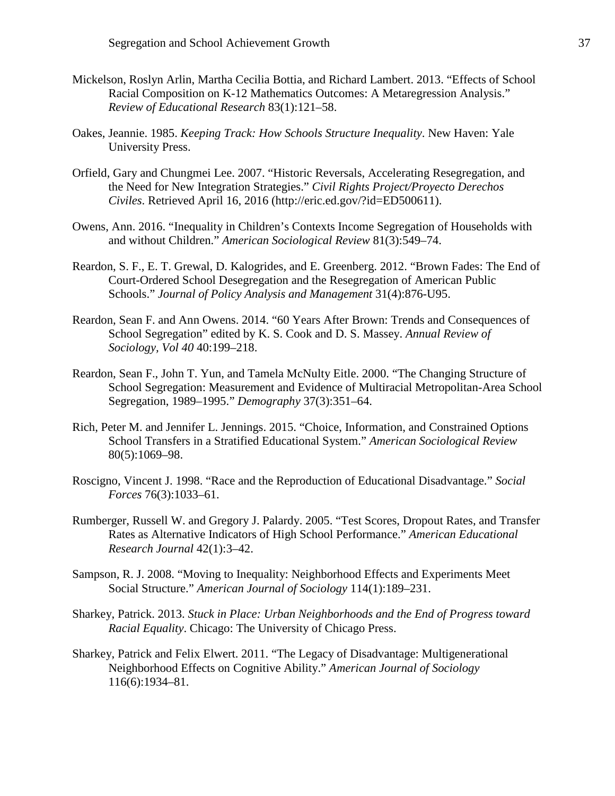- Mickelson, Roslyn Arlin, Martha Cecilia Bottia, and Richard Lambert. 2013. "Effects of School Racial Composition on K-12 Mathematics Outcomes: A Metaregression Analysis." *Review of Educational Research* 83(1):121–58.
- Oakes, Jeannie. 1985. *Keeping Track: How Schools Structure Inequality*. New Haven: Yale University Press.
- Orfield, Gary and Chungmei Lee. 2007. "Historic Reversals, Accelerating Resegregation, and the Need for New Integration Strategies." *Civil Rights Project/Proyecto Derechos Civiles*. Retrieved April 16, 2016 (http://eric.ed.gov/?id=ED500611).
- Owens, Ann. 2016. "Inequality in Children's Contexts Income Segregation of Households with and without Children." *American Sociological Review* 81(3):549–74.
- Reardon, S. F., E. T. Grewal, D. Kalogrides, and E. Greenberg. 2012. "Brown Fades: The End of Court-Ordered School Desegregation and the Resegregation of American Public Schools." *Journal of Policy Analysis and Management* 31(4):876-U95.
- Reardon, Sean F. and Ann Owens. 2014. "60 Years After Brown: Trends and Consequences of School Segregation" edited by K. S. Cook and D. S. Massey. *Annual Review of Sociology, Vol 40* 40:199–218.
- Reardon, Sean F., John T. Yun, and Tamela McNulty Eitle. 2000. "The Changing Structure of School Segregation: Measurement and Evidence of Multiracial Metropolitan-Area School Segregation, 1989–1995." *Demography* 37(3):351–64.
- Rich, Peter M. and Jennifer L. Jennings. 2015. "Choice, Information, and Constrained Options School Transfers in a Stratified Educational System." *American Sociological Review* 80(5):1069–98.
- Roscigno, Vincent J. 1998. "Race and the Reproduction of Educational Disadvantage." *Social Forces* 76(3):1033–61.
- Rumberger, Russell W. and Gregory J. Palardy. 2005. "Test Scores, Dropout Rates, and Transfer Rates as Alternative Indicators of High School Performance." *American Educational Research Journal* 42(1):3–42.
- Sampson, R. J. 2008. "Moving to Inequality: Neighborhood Effects and Experiments Meet Social Structure." *American Journal of Sociology* 114(1):189–231.
- Sharkey, Patrick. 2013. *Stuck in Place: Urban Neighborhoods and the End of Progress toward Racial Equality*. Chicago: The University of Chicago Press.
- Sharkey, Patrick and Felix Elwert. 2011. "The Legacy of Disadvantage: Multigenerational Neighborhood Effects on Cognitive Ability." *American Journal of Sociology* 116(6):1934–81.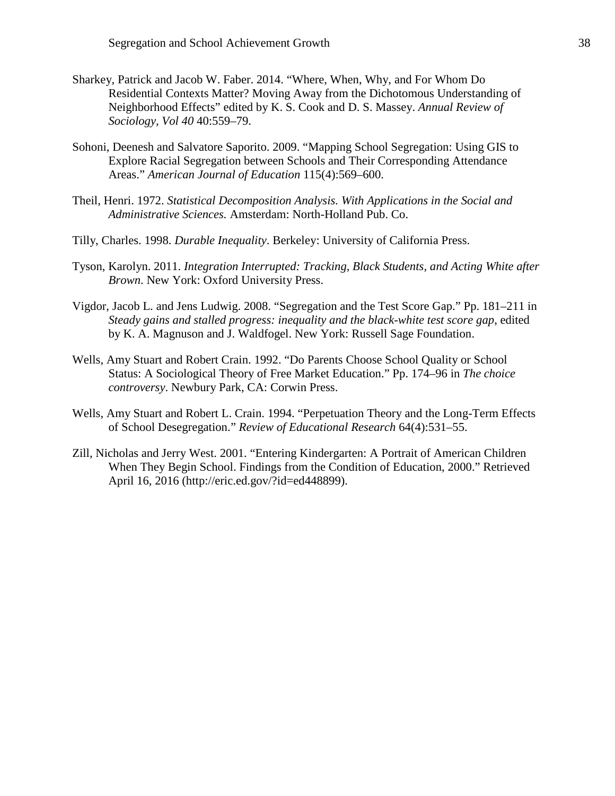- Sharkey, Patrick and Jacob W. Faber. 2014. "Where, When, Why, and For Whom Do Residential Contexts Matter? Moving Away from the Dichotomous Understanding of Neighborhood Effects" edited by K. S. Cook and D. S. Massey. *Annual Review of Sociology, Vol 40* 40:559–79.
- Sohoni, Deenesh and Salvatore Saporito. 2009. "Mapping School Segregation: Using GIS to Explore Racial Segregation between Schools and Their Corresponding Attendance Areas." *American Journal of Education* 115(4):569–600.
- Theil, Henri. 1972. *Statistical Decomposition Analysis. With Applications in the Social and Administrative Sciences.* Amsterdam: North-Holland Pub. Co.
- Tilly, Charles. 1998. *Durable Inequality*. Berkeley: University of California Press.
- Tyson, Karolyn. 2011. *Integration Interrupted: Tracking, Black Students, and Acting White after Brown*. New York: Oxford University Press.
- Vigdor, Jacob L. and Jens Ludwig. 2008. "Segregation and the Test Score Gap." Pp. 181–211 in *Steady gains and stalled progress: inequality and the black-white test score gap*, edited by K. A. Magnuson and J. Waldfogel. New York: Russell Sage Foundation.
- Wells, Amy Stuart and Robert Crain. 1992. "Do Parents Choose School Quality or School Status: A Sociological Theory of Free Market Education." Pp. 174–96 in *The choice controversy*. Newbury Park, CA: Corwin Press.
- Wells, Amy Stuart and Robert L. Crain. 1994. "Perpetuation Theory and the Long-Term Effects of School Desegregation." *Review of Educational Research* 64(4):531–55.
- Zill, Nicholas and Jerry West. 2001. "Entering Kindergarten: A Portrait of American Children When They Begin School. Findings from the Condition of Education, 2000." Retrieved April 16, 2016 (http://eric.ed.gov/?id=ed448899).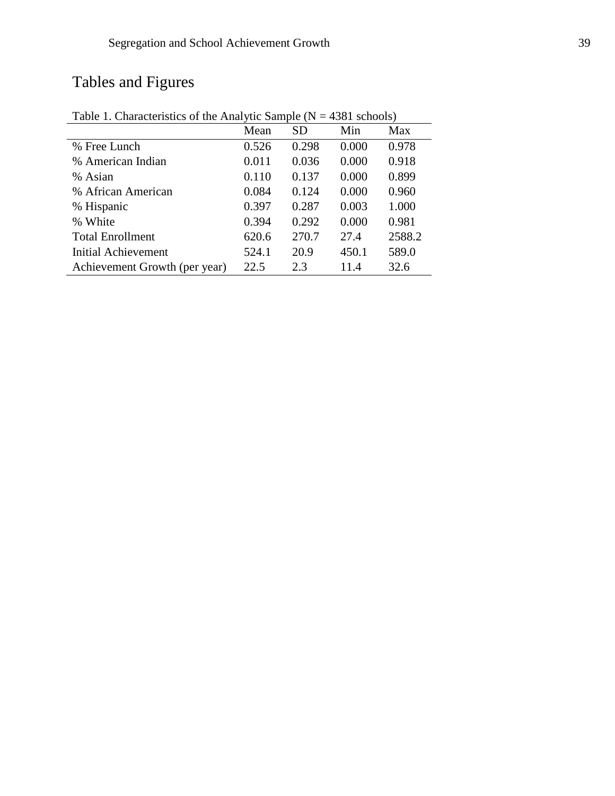# Tables and Figures

|                               | Mean  | <b>SD</b> | Min   | Max    |
|-------------------------------|-------|-----------|-------|--------|
| % Free Lunch                  | 0.526 | 0.298     | 0.000 | 0.978  |
| % American Indian             | 0.011 | 0.036     | 0.000 | 0.918  |
| % Asian                       | 0.110 | 0.137     | 0.000 | 0.899  |
| % African American            | 0.084 | 0.124     | 0.000 | 0.960  |
| % Hispanic                    | 0.397 | 0.287     | 0.003 | 1.000  |
| % White                       | 0.394 | 0.292     | 0.000 | 0.981  |
| <b>Total Enrollment</b>       | 620.6 | 270.7     | 27.4  | 2588.2 |
| <b>Initial Achievement</b>    | 524.1 | 20.9      | 450.1 | 589.0  |
| Achievement Growth (per year) | 22.5  | 2.3       | 11.4  | 32.6   |
|                               |       |           |       |        |

Table 1. Characteristics of the Analytic Sample ( $N = 4381$  schools)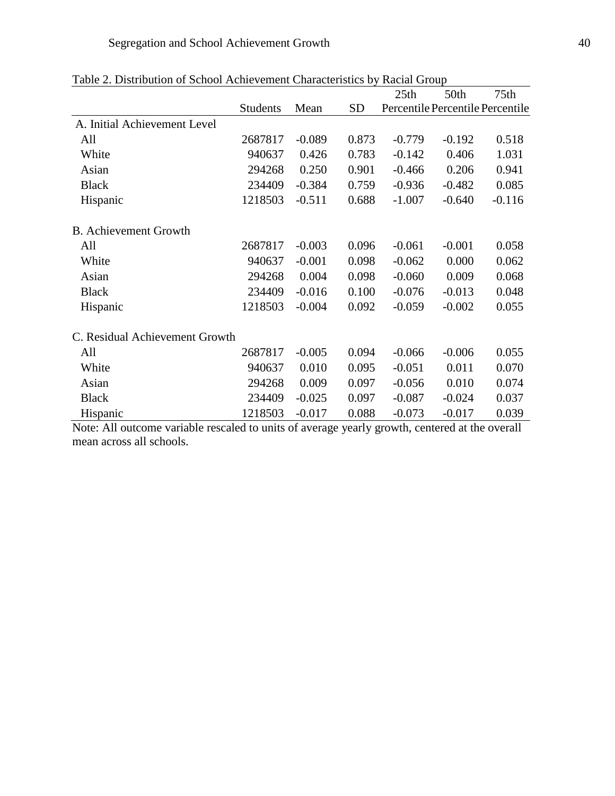|                                |                 |          |           | 25th                             | 50th     | 75th     |
|--------------------------------|-----------------|----------|-----------|----------------------------------|----------|----------|
|                                | <b>Students</b> | Mean     | <b>SD</b> | Percentile Percentile Percentile |          |          |
| A. Initial Achievement Level   |                 |          |           |                                  |          |          |
| All                            | 2687817         | $-0.089$ | 0.873     | $-0.779$                         | $-0.192$ | 0.518    |
| White                          | 940637          | 0.426    | 0.783     | $-0.142$                         | 0.406    | 1.031    |
| Asian                          | 294268          | 0.250    | 0.901     | $-0.466$                         | 0.206    | 0.941    |
| <b>Black</b>                   | 234409          | $-0.384$ | 0.759     | $-0.936$                         | $-0.482$ | 0.085    |
| Hispanic                       | 1218503         | $-0.511$ | 0.688     | $-1.007$                         | $-0.640$ | $-0.116$ |
| <b>B.</b> Achievement Growth   |                 |          |           |                                  |          |          |
| All                            | 2687817         | $-0.003$ | 0.096     | $-0.061$                         | $-0.001$ | 0.058    |
| White                          | 940637          | $-0.001$ | 0.098     | $-0.062$                         | 0.000    | 0.062    |
| Asian                          | 294268          | 0.004    | 0.098     | $-0.060$                         | 0.009    | 0.068    |
| <b>Black</b>                   | 234409          | $-0.016$ | 0.100     | $-0.076$                         | $-0.013$ | 0.048    |
| Hispanic                       | 1218503         | $-0.004$ | 0.092     | $-0.059$                         | $-0.002$ | 0.055    |
| C. Residual Achievement Growth |                 |          |           |                                  |          |          |
| All                            | 2687817         | $-0.005$ | 0.094     | $-0.066$                         | $-0.006$ | 0.055    |
| White                          | 940637          | 0.010    | 0.095     | $-0.051$                         | 0.011    | 0.070    |
| Asian                          | 294268          | 0.009    | 0.097     | $-0.056$                         | 0.010    | 0.074    |
| <b>Black</b>                   | 234409          | $-0.025$ | 0.097     | $-0.087$                         | $-0.024$ | 0.037    |
| Hispanic                       | 1218503         | $-0.017$ | 0.088     | $-0.073$                         | $-0.017$ | 0.039    |

|  |  |  | Table 2. Distribution of School Achievement Characteristics by Racial Group |
|--|--|--|-----------------------------------------------------------------------------|
|--|--|--|-----------------------------------------------------------------------------|

Note: All outcome variable rescaled to units of average yearly growth, centered at the overall mean across all schools.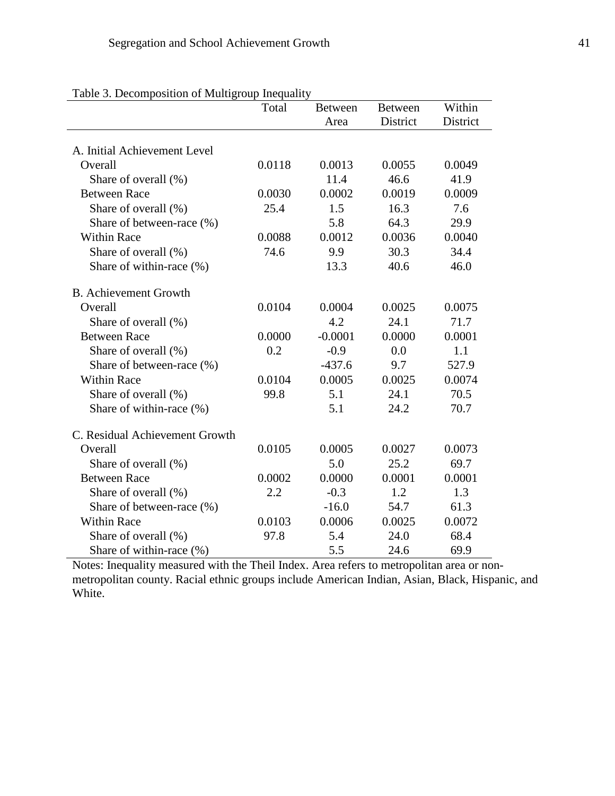|                                | Total  | <b>Between</b> | <b>Between</b> | Within   |
|--------------------------------|--------|----------------|----------------|----------|
|                                |        | Area           | District       | District |
|                                |        |                |                |          |
| A. Initial Achievement Level   |        |                |                |          |
| Overall                        | 0.0118 | 0.0013         | 0.0055         | 0.0049   |
| Share of overall (%)           |        | 11.4           | 46.6           | 41.9     |
| <b>Between Race</b>            | 0.0030 | 0.0002         | 0.0019         | 0.0009   |
| Share of overall (%)           | 25.4   | 1.5            | 16.3           | 7.6      |
| Share of between-race (%)      |        | 5.8            | 64.3           | 29.9     |
| <b>Within Race</b>             | 0.0088 | 0.0012         | 0.0036         | 0.0040   |
| Share of overall (%)           | 74.6   | 9.9            | 30.3           | 34.4     |
| Share of within-race (%)       |        | 13.3           | 40.6           | 46.0     |
| <b>B.</b> Achievement Growth   |        |                |                |          |
| Overall                        | 0.0104 | 0.0004         | 0.0025         | 0.0075   |
| Share of overall (%)           |        | 4.2            | 24.1           | 71.7     |
| <b>Between Race</b>            | 0.0000 | $-0.0001$      | 0.0000         | 0.0001   |
| Share of overall (%)           | 0.2    | $-0.9$         | 0.0            | 1.1      |
| Share of between-race (%)      |        | $-437.6$       | 9.7            | 527.9    |
| <b>Within Race</b>             | 0.0104 | 0.0005         | 0.0025         | 0.0074   |
| Share of overall (%)           | 99.8   | 5.1            | 24.1           | 70.5     |
| Share of within-race (%)       |        | 5.1            | 24.2           | 70.7     |
| C. Residual Achievement Growth |        |                |                |          |
| Overall                        | 0.0105 | 0.0005         | 0.0027         | 0.0073   |
| Share of overall (%)           |        | 5.0            | 25.2           | 69.7     |
| <b>Between Race</b>            | 0.0002 | 0.0000         | 0.0001         | 0.0001   |
| Share of overall (%)           | 2.2    | $-0.3$         | 1.2            | 1.3      |
| Share of between-race (%)      |        | $-16.0$        | 54.7           | 61.3     |
| <b>Within Race</b>             | 0.0103 | 0.0006         | 0.0025         | 0.0072   |
| Share of overall (%)           | 97.8   | 5.4            | 24.0           | 68.4     |
| Share of within-race (%)       |        | 5.5            | 24.6           | 69.9     |

| Table 3. Decomposition of Multigroup Inequality |  |
|-------------------------------------------------|--|
|                                                 |  |

Notes: Inequality measured with the Theil Index. Area refers to metropolitan area or nonmetropolitan county. Racial ethnic groups include American Indian, Asian, Black, Hispanic, and White.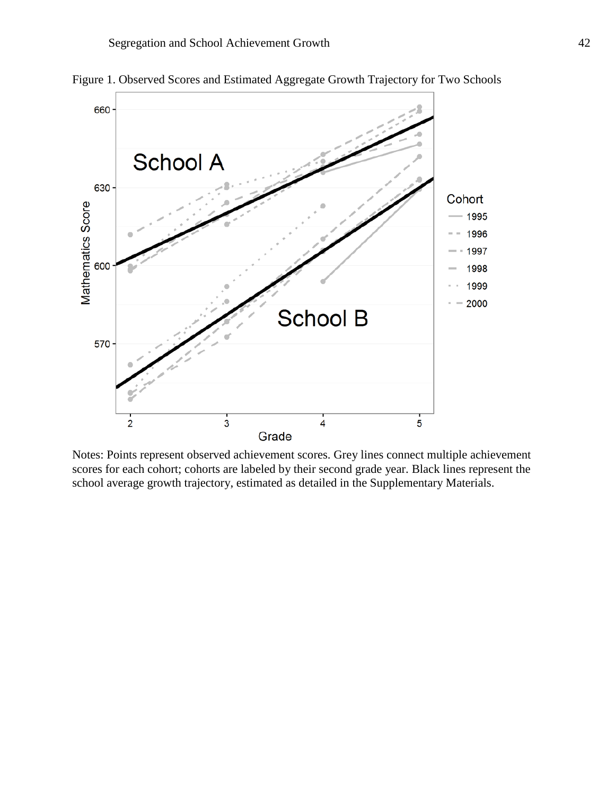

Figure 1. Observed Scores and Estimated Aggregate Growth Trajectory for Two Schools

Notes: Points represent observed achievement scores. Grey lines connect multiple achievement scores for each cohort; cohorts are labeled by their second grade year. Black lines represent the school average growth trajectory, estimated as detailed in the Supplementary Materials.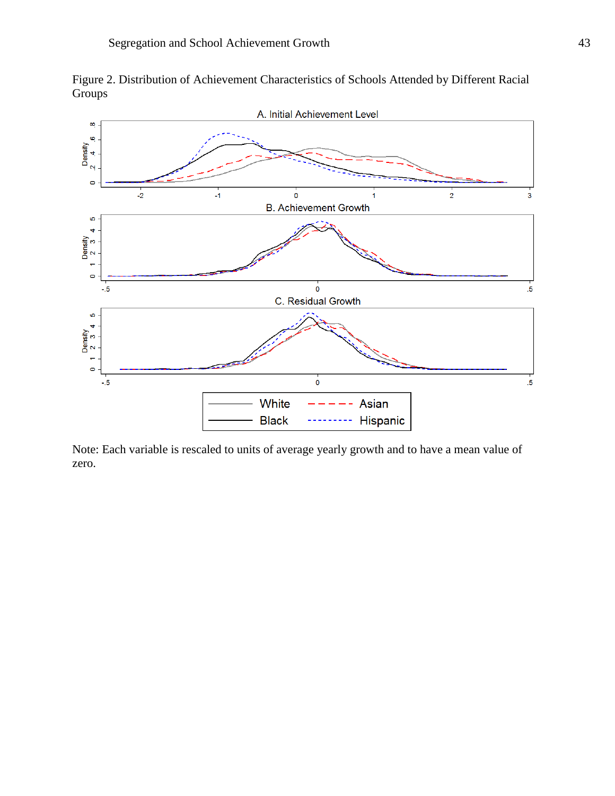



Note: Each variable is rescaled to units of average yearly growth and to have a mean value of zero.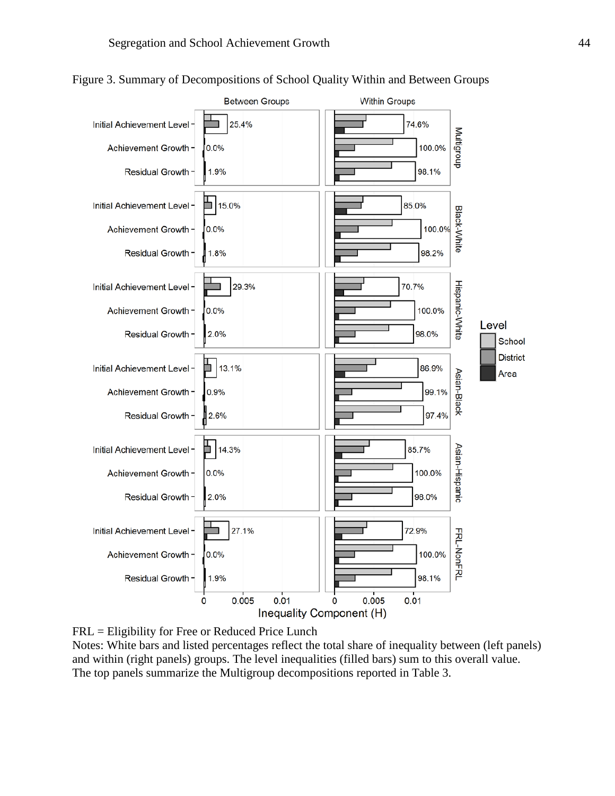

Figure 3. Summary of Decompositions of School Quality Within and Between Groups

FRL = Eligibility for Free or Reduced Price Lunch Notes: White bars and listed percentages reflect the total share of inequality between (left panels) and within (right panels) groups. The level inequalities (filled bars) sum to this overall value. The top panels summarize the Multigroup decompositions reported in Table 3.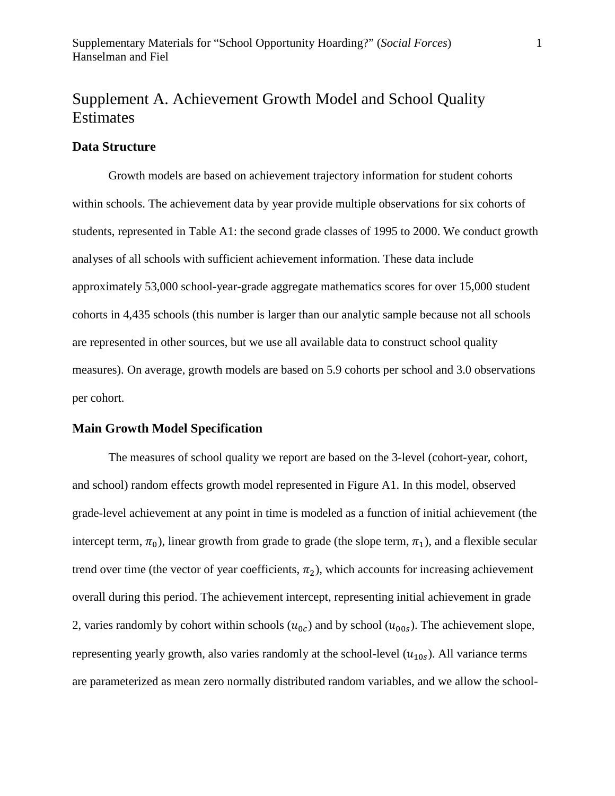## Supplement A. Achievement Growth Model and School Quality Estimates

#### **Data Structure**

Growth models are based on achievement trajectory information for student cohorts within schools. The achievement data by year provide multiple observations for six cohorts of students, represented in Table A1: the second grade classes of 1995 to 2000. We conduct growth analyses of all schools with sufficient achievement information. These data include approximately 53,000 school-year-grade aggregate mathematics scores for over 15,000 student cohorts in 4,435 schools (this number is larger than our analytic sample because not all schools are represented in other sources, but we use all available data to construct school quality measures). On average, growth models are based on 5.9 cohorts per school and 3.0 observations per cohort.

#### **Main Growth Model Specification**

The measures of school quality we report are based on the 3-level (cohort-year, cohort, and school) random effects growth model represented in Figure A1. In this model, observed grade-level achievement at any point in time is modeled as a function of initial achievement (the intercept term,  $\pi_0$ ), linear growth from grade to grade (the slope term,  $\pi_1$ ), and a flexible secular trend over time (the vector of year coefficients,  $\pi_2$ ), which accounts for increasing achievement overall during this period. The achievement intercept, representing initial achievement in grade 2, varies randomly by cohort within schools  $(u_{0c})$  and by school  $(u_{00s})$ . The achievement slope, representing yearly growth, also varies randomly at the school-level  $(u_{10s})$ . All variance terms are parameterized as mean zero normally distributed random variables, and we allow the school-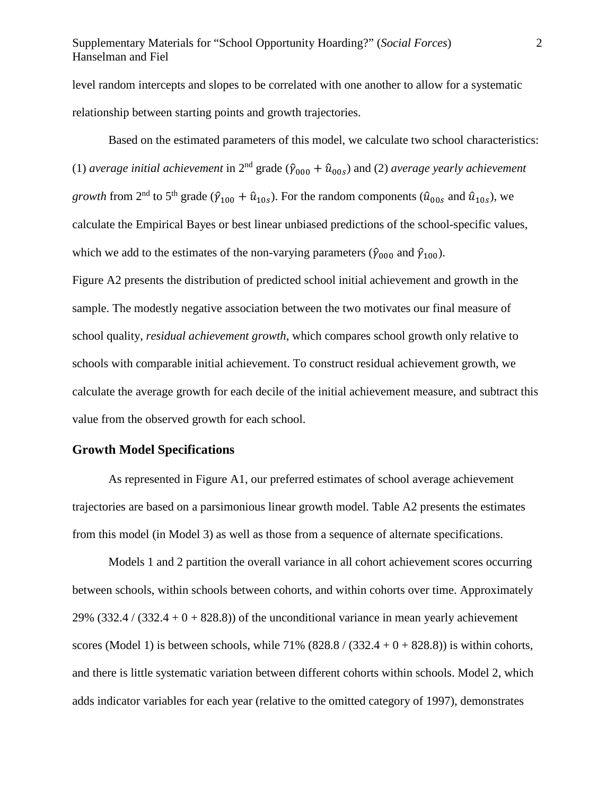#### Supplementary Materials for "School Opportunity Hoarding?" (*Social Forces*) 2 Hanselman and Fiel

level random intercepts and slopes to be correlated with one another to allow for a systematic relationship between starting points and growth trajectories.

Based on the estimated parameters of this model, we calculate two school characteristics: (1) *average initial achievement* in 2<sup>nd</sup> grade ( $\hat{\gamma}_{000} + \hat{u}_{00s}$ ) and (2) *average yearly achievement growth* from 2<sup>nd</sup> to 5<sup>th</sup> grade ( $\hat{v}_{100} + \hat{u}_{10s}$ ). For the random components ( $\hat{u}_{00s}$  and  $\hat{u}_{10s}$ ), we calculate the Empirical Bayes or best linear unbiased predictions of the school-specific values, which we add to the estimates of the non-varying parameters ( $\hat{\gamma}_{000}$  and  $\hat{\gamma}_{100}$ ). Figure A2 presents the distribution of predicted school initial achievement and growth in the sample. The modestly negative association between the two motivates our final measure of school quality, *residual achievement growth*, which compares school growth only relative to schools with comparable initial achievement. To construct residual achievement growth, we calculate the average growth for each decile of the initial achievement measure, and subtract this value from the observed growth for each school.

#### **Growth Model Specifications**

As represented in Figure A1, our preferred estimates of school average achievement trajectories are based on a parsimonious linear growth model. Table A2 presents the estimates from this model (in Model 3) as well as those from a sequence of alternate specifications.

Models 1 and 2 partition the overall variance in all cohort achievement scores occurring between schools, within schools between cohorts, and within cohorts over time. Approximately 29% (332.4 / (332.4 + 0 + 828.8)) of the unconditional variance in mean yearly achievement scores (Model 1) is between schools, while  $71\%$  (828.8 / (332.4 + 0 + 828.8)) is within cohorts, and there is little systematic variation between different cohorts within schools. Model 2, which adds indicator variables for each year (relative to the omitted category of 1997), demonstrates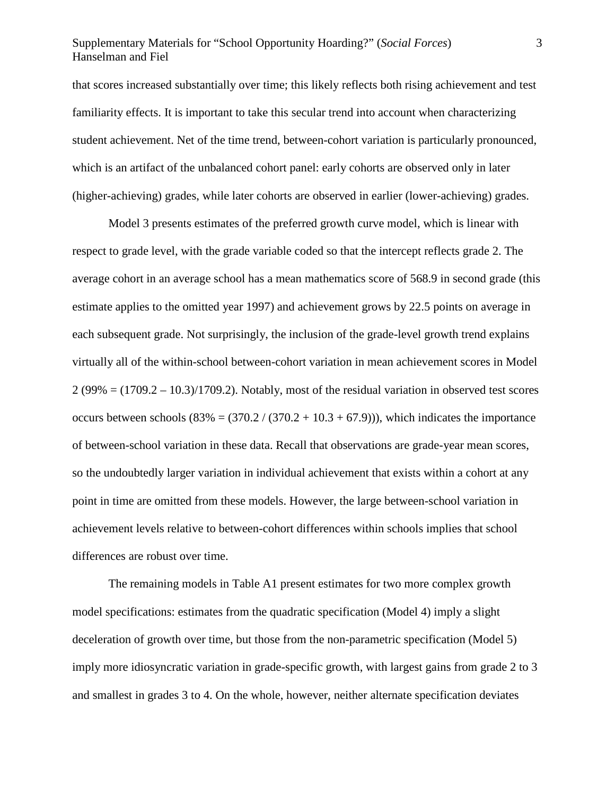## Supplementary Materials for "School Opportunity Hoarding?" (*Social Forces*) 3 Hanselman and Fiel

that scores increased substantially over time; this likely reflects both rising achievement and test familiarity effects. It is important to take this secular trend into account when characterizing student achievement. Net of the time trend, between-cohort variation is particularly pronounced, which is an artifact of the unbalanced cohort panel: early cohorts are observed only in later (higher-achieving) grades, while later cohorts are observed in earlier (lower-achieving) grades.

Model 3 presents estimates of the preferred growth curve model, which is linear with respect to grade level, with the grade variable coded so that the intercept reflects grade 2. The average cohort in an average school has a mean mathematics score of 568.9 in second grade (this estimate applies to the omitted year 1997) and achievement grows by 22.5 points on average in each subsequent grade. Not surprisingly, the inclusion of the grade-level growth trend explains virtually all of the within-school between-cohort variation in mean achievement scores in Model  $2(99\% = (1709.2 - 10.3)/1709.2)$ . Notably, most of the residual variation in observed test scores occurs between schools  $(83\% = (370.2 / (370.2 + 10.3 + 67.9)))$ , which indicates the importance of between-school variation in these data. Recall that observations are grade-year mean scores, so the undoubtedly larger variation in individual achievement that exists within a cohort at any point in time are omitted from these models. However, the large between-school variation in achievement levels relative to between-cohort differences within schools implies that school differences are robust over time.

The remaining models in Table A1 present estimates for two more complex growth model specifications: estimates from the quadratic specification (Model 4) imply a slight deceleration of growth over time, but those from the non-parametric specification (Model 5) imply more idiosyncratic variation in grade-specific growth, with largest gains from grade 2 to 3 and smallest in grades 3 to 4. On the whole, however, neither alternate specification deviates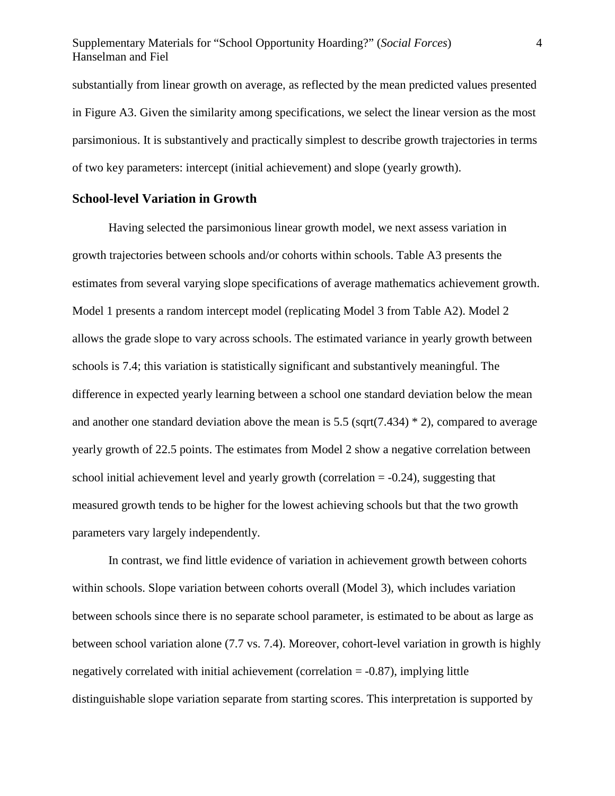#### Supplementary Materials for "School Opportunity Hoarding?" (*Social Forces*) 4 Hanselman and Fiel

substantially from linear growth on average, as reflected by the mean predicted values presented in Figure A3. Given the similarity among specifications, we select the linear version as the most parsimonious. It is substantively and practically simplest to describe growth trajectories in terms of two key parameters: intercept (initial achievement) and slope (yearly growth).

#### **School-level Variation in Growth**

Having selected the parsimonious linear growth model, we next assess variation in growth trajectories between schools and/or cohorts within schools. Table A3 presents the estimates from several varying slope specifications of average mathematics achievement growth. Model 1 presents a random intercept model (replicating Model 3 from Table A2). Model 2 allows the grade slope to vary across schools. The estimated variance in yearly growth between schools is 7.4; this variation is statistically significant and substantively meaningful. The difference in expected yearly learning between a school one standard deviation below the mean and another one standard deviation above the mean is 5.5 (sqrt(7.434)  $*$  2), compared to average yearly growth of 22.5 points. The estimates from Model 2 show a negative correlation between school initial achievement level and yearly growth (correlation  $= -0.24$ ), suggesting that measured growth tends to be higher for the lowest achieving schools but that the two growth parameters vary largely independently.

In contrast, we find little evidence of variation in achievement growth between cohorts within schools. Slope variation between cohorts overall (Model 3), which includes variation between schools since there is no separate school parameter, is estimated to be about as large as between school variation alone (7.7 vs. 7.4). Moreover, cohort-level variation in growth is highly negatively correlated with initial achievement (correlation = -0.87), implying little distinguishable slope variation separate from starting scores. This interpretation is supported by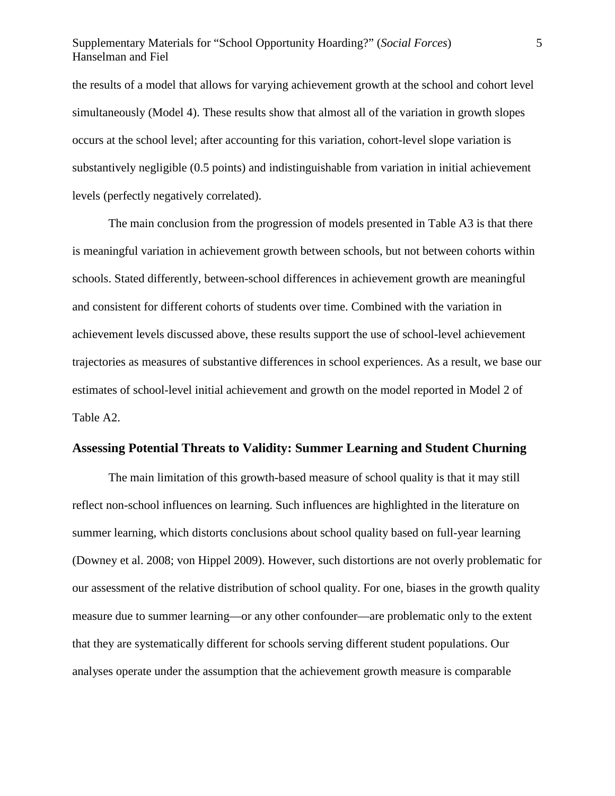## Supplementary Materials for "School Opportunity Hoarding?" (*Social Forces*) 5 Hanselman and Fiel

the results of a model that allows for varying achievement growth at the school and cohort level simultaneously (Model 4). These results show that almost all of the variation in growth slopes occurs at the school level; after accounting for this variation, cohort-level slope variation is substantively negligible (0.5 points) and indistinguishable from variation in initial achievement levels (perfectly negatively correlated).

The main conclusion from the progression of models presented in Table A3 is that there is meaningful variation in achievement growth between schools, but not between cohorts within schools. Stated differently, between-school differences in achievement growth are meaningful and consistent for different cohorts of students over time. Combined with the variation in achievement levels discussed above, these results support the use of school-level achievement trajectories as measures of substantive differences in school experiences. As a result, we base our estimates of school-level initial achievement and growth on the model reported in Model 2 of Table A2.

#### **Assessing Potential Threats to Validity: Summer Learning and Student Churning**

The main limitation of this growth-based measure of school quality is that it may still reflect non-school influences on learning. Such influences are highlighted in the literature on summer learning, which distorts conclusions about school quality based on full-year learning (Downey et al. 2008; von Hippel 2009). However, such distortions are not overly problematic for our assessment of the relative distribution of school quality. For one, biases in the growth quality measure due to summer learning—or any other confounder—are problematic only to the extent that they are systematically different for schools serving different student populations. Our analyses operate under the assumption that the achievement growth measure is comparable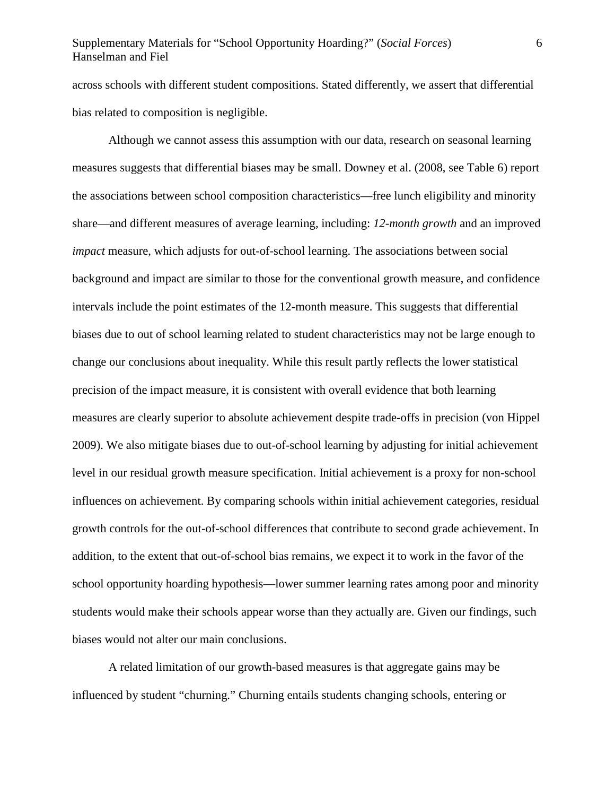## Supplementary Materials for "School Opportunity Hoarding?" (*Social Forces*) 6 Hanselman and Fiel

across schools with different student compositions. Stated differently, we assert that differential bias related to composition is negligible.

Although we cannot assess this assumption with our data, research on seasonal learning measures suggests that differential biases may be small. Downey et al. (2008, see Table 6) report the associations between school composition characteristics—free lunch eligibility and minority share—and different measures of average learning, including: *12-month growth* and an improved *impact* measure, which adjusts for out-of-school learning. The associations between social background and impact are similar to those for the conventional growth measure, and confidence intervals include the point estimates of the 12-month measure. This suggests that differential biases due to out of school learning related to student characteristics may not be large enough to change our conclusions about inequality. While this result partly reflects the lower statistical precision of the impact measure, it is consistent with overall evidence that both learning measures are clearly superior to absolute achievement despite trade-offs in precision (von Hippel 2009). We also mitigate biases due to out-of-school learning by adjusting for initial achievement level in our residual growth measure specification. Initial achievement is a proxy for non-school influences on achievement. By comparing schools within initial achievement categories, residual growth controls for the out-of-school differences that contribute to second grade achievement. In addition, to the extent that out-of-school bias remains, we expect it to work in the favor of the school opportunity hoarding hypothesis—lower summer learning rates among poor and minority students would make their schools appear worse than they actually are. Given our findings, such biases would not alter our main conclusions.

A related limitation of our growth-based measures is that aggregate gains may be influenced by student "churning." Churning entails students changing schools, entering or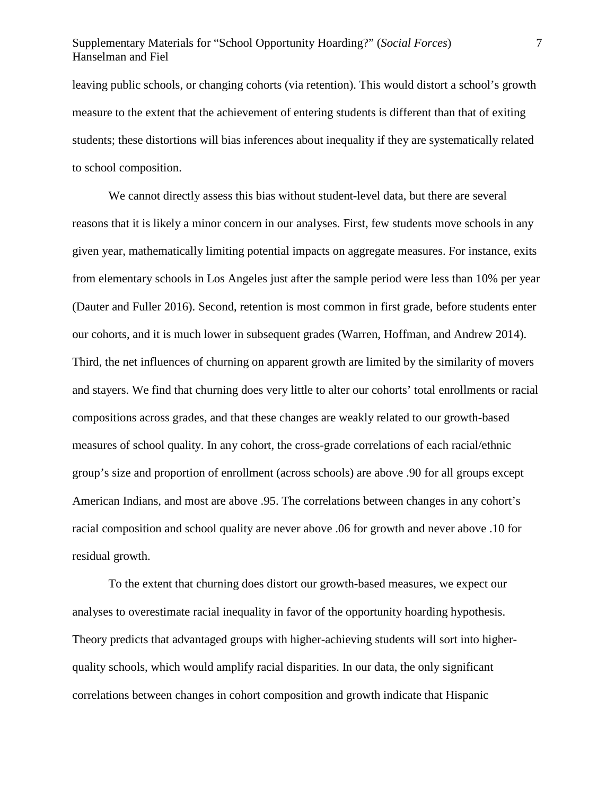## Supplementary Materials for "School Opportunity Hoarding?" (*Social Forces*) 7 Hanselman and Fiel

leaving public schools, or changing cohorts (via retention). This would distort a school's growth measure to the extent that the achievement of entering students is different than that of exiting students; these distortions will bias inferences about inequality if they are systematically related to school composition.

We cannot directly assess this bias without student-level data, but there are several reasons that it is likely a minor concern in our analyses. First, few students move schools in any given year, mathematically limiting potential impacts on aggregate measures. For instance, exits from elementary schools in Los Angeles just after the sample period were less than 10% per year (Dauter and Fuller 2016). Second, retention is most common in first grade, before students enter our cohorts, and it is much lower in subsequent grades (Warren, Hoffman, and Andrew 2014). Third, the net influences of churning on apparent growth are limited by the similarity of movers and stayers. We find that churning does very little to alter our cohorts' total enrollments or racial compositions across grades, and that these changes are weakly related to our growth-based measures of school quality. In any cohort, the cross-grade correlations of each racial/ethnic group's size and proportion of enrollment (across schools) are above .90 for all groups except American Indians, and most are above .95. The correlations between changes in any cohort's racial composition and school quality are never above .06 for growth and never above .10 for residual growth.

To the extent that churning does distort our growth-based measures, we expect our analyses to overestimate racial inequality in favor of the opportunity hoarding hypothesis. Theory predicts that advantaged groups with higher-achieving students will sort into higherquality schools, which would amplify racial disparities. In our data, the only significant correlations between changes in cohort composition and growth indicate that Hispanic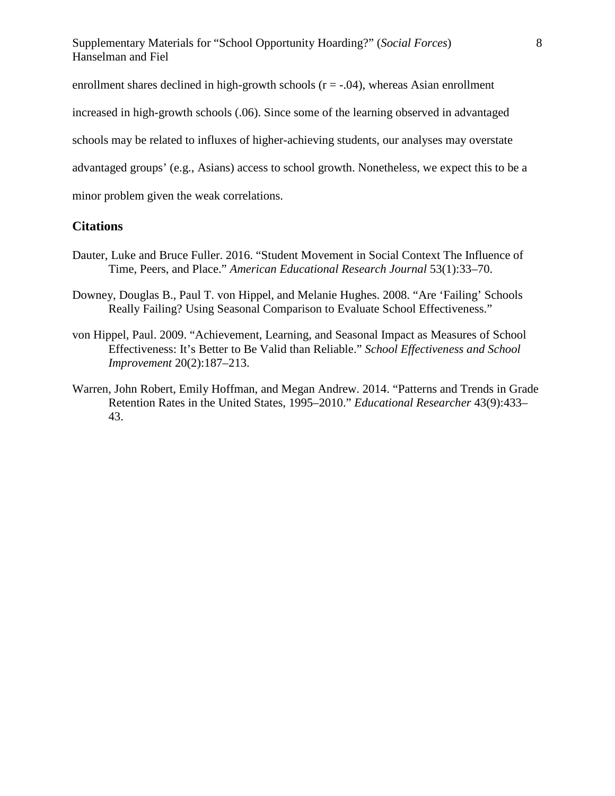enrollment shares declined in high-growth schools  $(r = -.04)$ , whereas Asian enrollment

increased in high-growth schools (.06). Since some of the learning observed in advantaged

schools may be related to influxes of higher-achieving students, our analyses may overstate

advantaged groups' (e.g., Asians) access to school growth. Nonetheless, we expect this to be a

minor problem given the weak correlations.

### **Citations**

- Dauter, Luke and Bruce Fuller. 2016. "Student Movement in Social Context The Influence of Time, Peers, and Place." *American Educational Research Journal* 53(1):33–70.
- Downey, Douglas B., Paul T. von Hippel, and Melanie Hughes. 2008. "Are 'Failing' Schools Really Failing? Using Seasonal Comparison to Evaluate School Effectiveness."
- von Hippel, Paul. 2009. "Achievement, Learning, and Seasonal Impact as Measures of School Effectiveness: It's Better to Be Valid than Reliable." *School Effectiveness and School Improvement* 20(2):187–213.
- Warren, John Robert, Emily Hoffman, and Megan Andrew. 2014. "Patterns and Trends in Grade Retention Rates in the United States, 1995–2010." *Educational Researcher* 43(9):433– 43.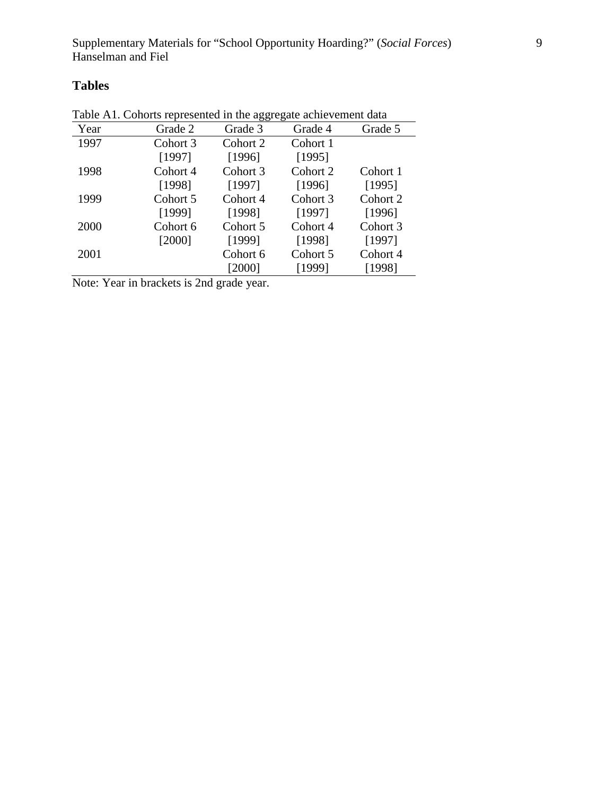## **Tables**

| raore Tri. Conoras representeu in une aggregate aeme centem untu |          |          |          |          |  |  |  |
|------------------------------------------------------------------|----------|----------|----------|----------|--|--|--|
| Year                                                             | Grade 2  | Grade 3  | Grade 4  | Grade 5  |  |  |  |
| 1997                                                             | Cohort 3 | Cohort 2 | Cohort 1 |          |  |  |  |
|                                                                  | [1997]   | [1996]   | [1995]   |          |  |  |  |
| 1998                                                             | Cohort 4 | Cohort 3 | Cohort 2 | Cohort 1 |  |  |  |
|                                                                  | [1998]   | [1997]   | [1996]   | [1995]   |  |  |  |
| 1999                                                             | Cohort 5 | Cohort 4 | Cohort 3 | Cohort 2 |  |  |  |
|                                                                  | [1999]   | [1998]   | [1997]   | [1996]   |  |  |  |
| 2000                                                             | Cohort 6 | Cohort 5 | Cohort 4 | Cohort 3 |  |  |  |
|                                                                  | [2000]   | [1999]   | [1998]   | [1997]   |  |  |  |
| 2001                                                             |          | Cohort 6 | Cohort 5 | Cohort 4 |  |  |  |
|                                                                  |          | [2000]   | [1999]   | [1998]   |  |  |  |

Table A1. Cohorts represented in the aggregate achievement data

Note: Year in brackets is 2nd grade year.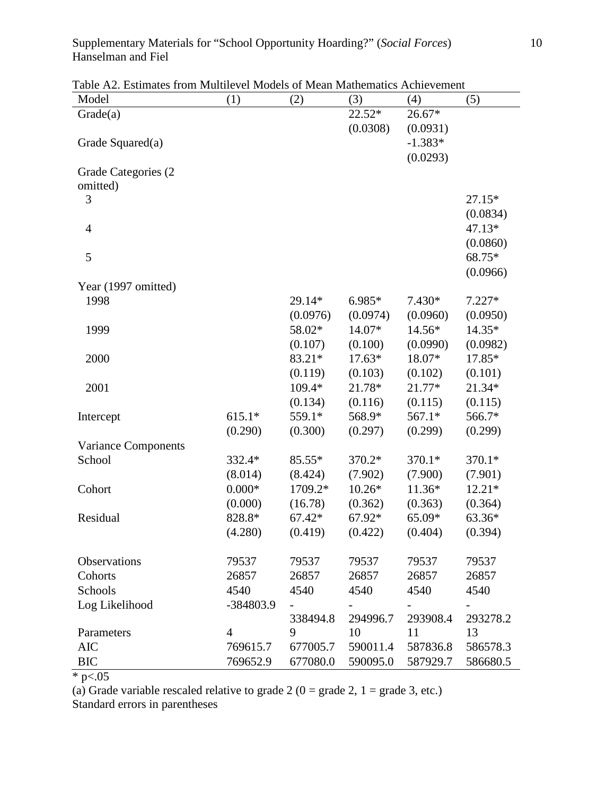## Supplementary Materials for "School Opportunity Hoarding?" (*Social Forces*) 10 Hanselman and Fiel

Table A2. Estimates from Multilevel Models of Mean Mathematics Achievement

| Model                | (1)            | (2)      | (3)      | (4)       | (5)      |
|----------------------|----------------|----------|----------|-----------|----------|
| Grade(a)             |                |          | $22.52*$ | 26.67*    |          |
|                      |                |          | (0.0308) | (0.0931)  |          |
| Grade Squared(a)     |                |          |          | $-1.383*$ |          |
|                      |                |          |          | (0.0293)  |          |
| Grade Categories (2) |                |          |          |           |          |
| omitted)             |                |          |          |           |          |
| 3                    |                |          |          |           | 27.15*   |
|                      |                |          |          |           | (0.0834) |
| $\overline{4}$       |                |          |          |           | 47.13*   |
|                      |                |          |          |           | (0.0860) |
| 5                    |                |          |          |           | 68.75*   |
|                      |                |          |          |           | (0.0966) |
| Year (1997 omitted)  |                |          |          |           |          |
| 1998                 |                | 29.14*   | 6.985*   | $7.430*$  | $7.227*$ |
|                      |                | (0.0976) | (0.0974) | (0.0960)  | (0.0950) |
| 1999                 |                | 58.02*   | 14.07*   | 14.56*    | 14.35*   |
|                      |                | (0.107)  | (0.100)  | (0.0990)  | (0.0982) |
| 2000                 |                | 83.21*   | $17.63*$ | 18.07*    | 17.85*   |
|                      |                | (0.119)  | (0.103)  | (0.102)   | (0.101)  |
| 2001                 |                | 109.4*   | 21.78*   | 21.77*    | 21.34*   |
|                      |                | (0.134)  | (0.116)  | (0.115)   | (0.115)  |
| Intercept            | $615.1*$       | 559.1*   | 568.9*   | 567.1*    | 566.7*   |
|                      | (0.290)        | (0.300)  | (0.297)  | (0.299)   | (0.299)  |
| Variance Components  |                |          |          |           |          |
| School               | 332.4*         | 85.55*   | 370.2*   | 370.1*    | 370.1*   |
|                      | (8.014)        | (8.424)  | (7.902)  | (7.900)   | (7.901)  |
| Cohort               | $0.000*$       | 1709.2*  | $10.26*$ | 11.36*    | $12.21*$ |
|                      | (0.000)        | (16.78)  | (0.362)  | (0.363)   | (0.364)  |
| Residual             | 828.8*         | $67.42*$ | 67.92*   | 65.09*    | 63.36*   |
|                      | (4.280)        | (0.419)  | (0.422)  | (0.404)   | (0.394)  |
|                      |                |          |          |           |          |
| Observations         | 79537          | 79537    | 79537    | 79537     | 79537    |
| Cohorts              | 26857          | 26857    | 26857    | 26857     | 26857    |
| Schools              | 4540           | 4540     | 4540     | 4540      | 4540     |
| Log Likelihood       | -384803.9      |          |          |           |          |
|                      |                | 338494.8 | 294996.7 | 293908.4  | 293278.2 |
| Parameters           | $\overline{4}$ | 9        | 10       | 11        | 13       |
| <b>AIC</b>           | 769615.7       | 677005.7 | 590011.4 | 587836.8  | 586578.3 |
| <b>BIC</b>           | 769652.9       | 677080.0 | 590095.0 | 587929.7  | 586680.5 |

 $*$  p $< 05$ 

(a) Grade variable rescaled relative to grade 2 ( $0 =$  grade 2,  $1 =$  grade 3, etc.) Standard errors in parentheses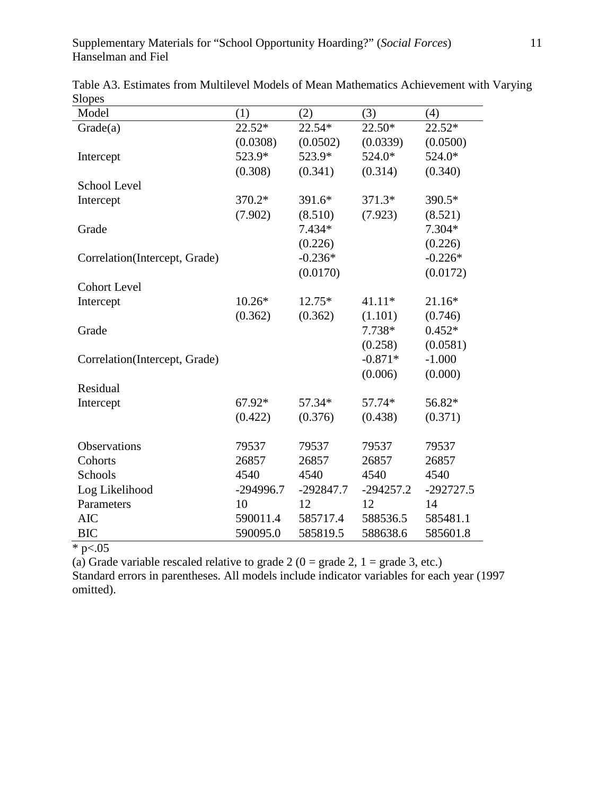| Model                         | (1)         | (2)         | (3)         | (4)         |
|-------------------------------|-------------|-------------|-------------|-------------|
| Grade(a)                      | $22.52*$    | $22.54*$    | 22.50*      | $22.52*$    |
|                               | (0.0308)    | (0.0502)    | (0.0339)    | (0.0500)    |
| Intercept                     | 523.9*      | 523.9*      | 524.0*      | 524.0*      |
|                               | (0.308)     | (0.341)     | (0.314)     | (0.340)     |
| School Level                  |             |             |             |             |
| Intercept                     | 370.2*      | 391.6*      | 371.3*      | 390.5*      |
|                               | (7.902)     | (8.510)     | (7.923)     | (8.521)     |
| Grade                         |             | 7.434*      |             | 7.304*      |
|                               |             | (0.226)     |             | (0.226)     |
| Correlation(Intercept, Grade) |             | $-0.236*$   |             | $-0.226*$   |
|                               |             | (0.0170)    |             | (0.0172)    |
| <b>Cohort Level</b>           |             |             |             |             |
| Intercept                     | $10.26*$    | 12.75*      | $41.11*$    | 21.16*      |
|                               | (0.362)     | (0.362)     | (1.101)     | (0.746)     |
| Grade                         |             |             | 7.738*      | $0.452*$    |
|                               |             |             | (0.258)     | (0.0581)    |
| Correlation(Intercept, Grade) |             |             | $-0.871*$   | $-1.000$    |
|                               |             |             | (0.006)     | (0.000)     |
| Residual                      |             |             |             |             |
| Intercept                     | 67.92*      | 57.34*      | 57.74*      | 56.82*      |
|                               | (0.422)     | (0.376)     | (0.438)     | (0.371)     |
|                               |             |             |             |             |
| Observations                  | 79537       | 79537       | 79537       | 79537       |
| Cohorts                       | 26857       | 26857       | 26857       | 26857       |
| Schools                       | 4540        | 4540        | 4540        | 4540        |
| Log Likelihood                | $-294996.7$ | $-292847.7$ | $-294257.2$ | $-292727.5$ |
| Parameters                    | 10          | 12          | 12          | 14          |
| <b>AIC</b>                    | 590011.4    | 585717.4    | 588536.5    | 585481.1    |
| <b>BIC</b>                    | 590095.0    | 585819.5    | 588638.6    | 585601.8    |

Table A3. Estimates from Multilevel Models of Mean Mathematics Achievement with Varying Slopes

 $*$  p<.05

(a) Grade variable rescaled relative to grade 2 ( $0 =$  grade 2,  $1 =$  grade 3, etc.)

Standard errors in parentheses. All models include indicator variables for each year (1997 omitted).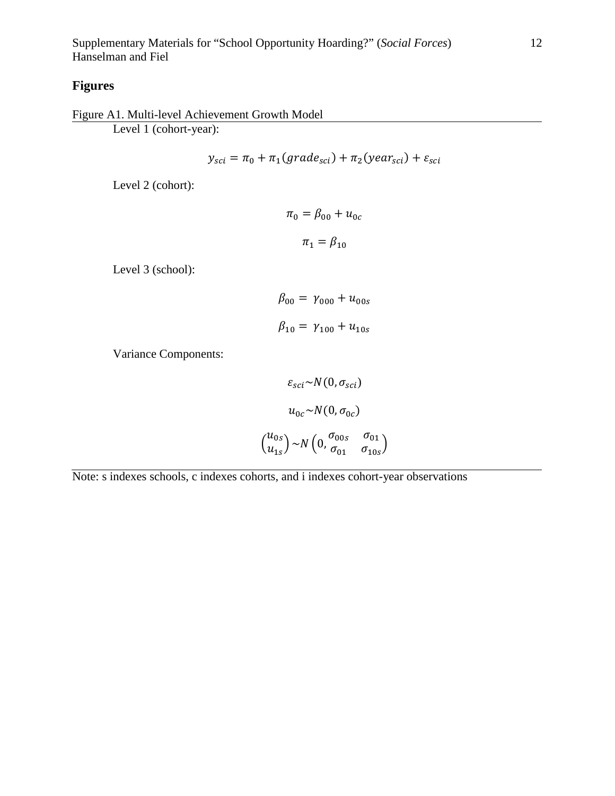## **Figures**

Figure A1. Multi-level Achievement Growth Model Level 1 (cohort-year):

$$
y_{sci} = \pi_0 + \pi_1(grade_{sci}) + \pi_2(year_{sci}) + \varepsilon_{sci}
$$

Level 2 (cohort):

 $\pi_0 = \beta_{00} + u_{0c}$  $\pi_1 = \beta_{10}$ 

Level 3 (school):

$$
\beta_{00} = \gamma_{000} + u_{00s}
$$

$$
\beta_{10} = \gamma_{100} + u_{10s}
$$

Variance Components:

$$
\varepsilon_{sci} \sim N(0, \sigma_{sci})
$$

$$
u_{0c} \sim N(0, \sigma_{0c})
$$

$$
u_{0s}
$$

$$
u_{1s}
$$

$$
v_{1s} \sim N\left(0, \frac{\sigma_{00s}}{\sigma_{01}} - \frac{\sigma_{01}}{\sigma_{10s}}\right)
$$

Note: s indexes schools, c indexes cohorts, and i indexes cohort-year observations

 $\overline{\mathcal{L}}$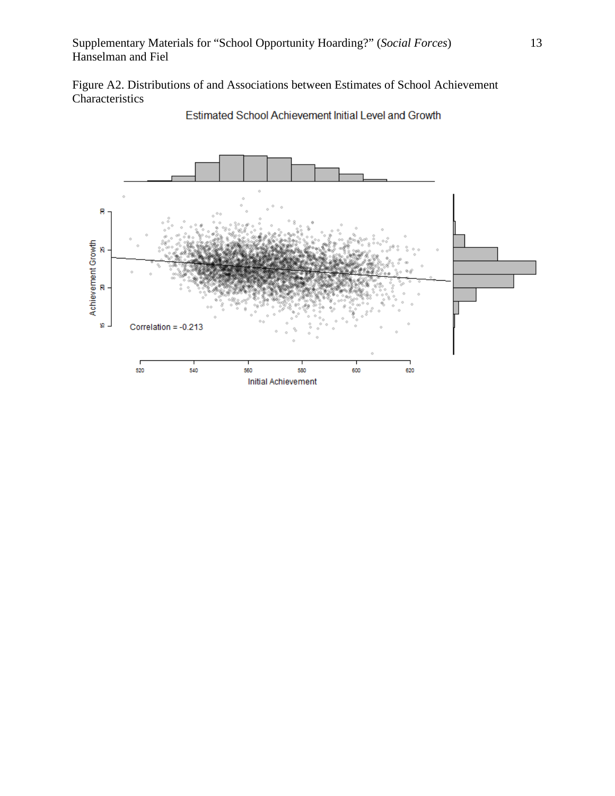Figure A2. Distributions of and Associations between Estimates of School Achievement Characteristics



Estimated School Achievement Initial Level and Growth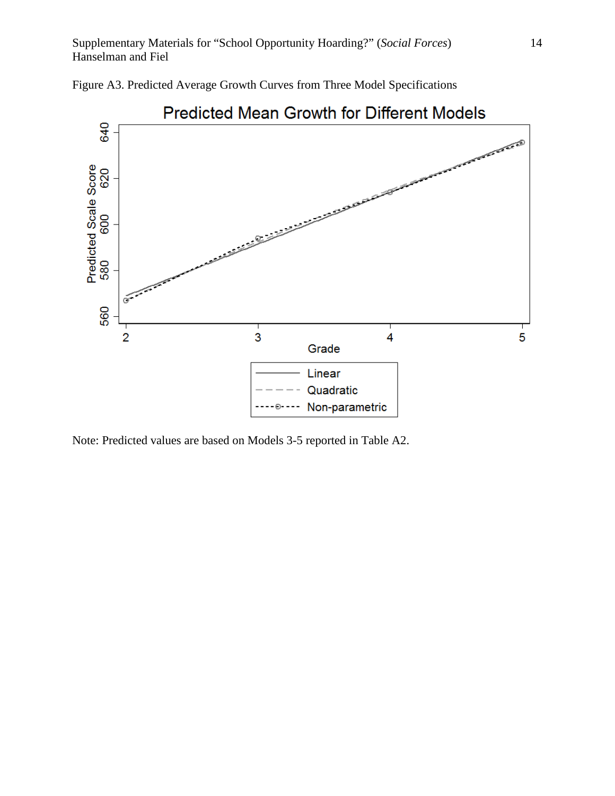

Figure A3. Predicted Average Growth Curves from Three Model Specifications

Note: Predicted values are based on Models 3-5 reported in Table A2.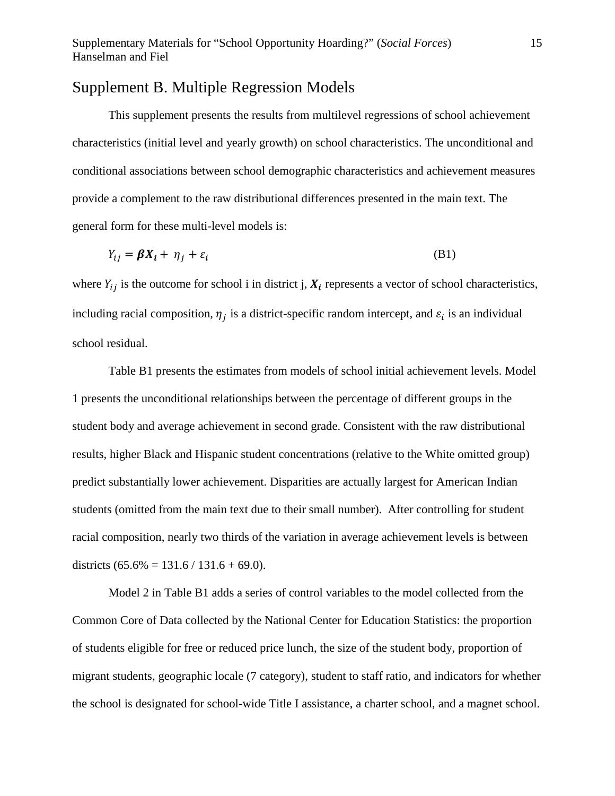## Supplement B. Multiple Regression Models

This supplement presents the results from multilevel regressions of school achievement characteristics (initial level and yearly growth) on school characteristics. The unconditional and conditional associations between school demographic characteristics and achievement measures provide a complement to the raw distributional differences presented in the main text. The general form for these multi-level models is:

$$
Y_{ij} = \beta X_i + \eta_j + \varepsilon_i \tag{B1}
$$

where  $Y_{ij}$  is the outcome for school i in district j,  $X_i$  represents a vector of school characteristics, including racial composition,  $\eta_i$  is a district-specific random intercept, and  $\varepsilon_i$  is an individual school residual.

Table B1 presents the estimates from models of school initial achievement levels. Model 1 presents the unconditional relationships between the percentage of different groups in the student body and average achievement in second grade. Consistent with the raw distributional results, higher Black and Hispanic student concentrations (relative to the White omitted group) predict substantially lower achievement. Disparities are actually largest for American Indian students (omitted from the main text due to their small number). After controlling for student racial composition, nearly two thirds of the variation in average achievement levels is between districts  $(65.6\% = 131.6 / 131.6 + 69.0)$ .

Model 2 in Table B1 adds a series of control variables to the model collected from the Common Core of Data collected by the National Center for Education Statistics: the proportion of students eligible for free or reduced price lunch, the size of the student body, proportion of migrant students, geographic locale (7 category), student to staff ratio, and indicators for whether the school is designated for school-wide Title I assistance, a charter school, and a magnet school.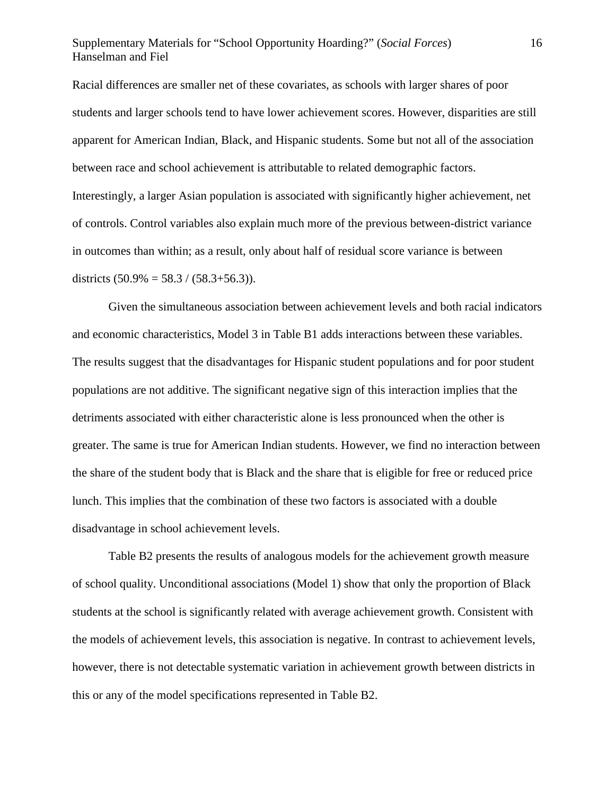### Supplementary Materials for "School Opportunity Hoarding?" (*Social Forces*) 16 Hanselman and Fiel

Racial differences are smaller net of these covariates, as schools with larger shares of poor students and larger schools tend to have lower achievement scores. However, disparities are still apparent for American Indian, Black, and Hispanic students. Some but not all of the association between race and school achievement is attributable to related demographic factors. Interestingly, a larger Asian population is associated with significantly higher achievement, net of controls. Control variables also explain much more of the previous between-district variance in outcomes than within; as a result, only about half of residual score variance is between districts  $(50.9\% = 58.3 / (58.3 + 56.3))$ .

Given the simultaneous association between achievement levels and both racial indicators and economic characteristics, Model 3 in Table B1 adds interactions between these variables. The results suggest that the disadvantages for Hispanic student populations and for poor student populations are not additive. The significant negative sign of this interaction implies that the detriments associated with either characteristic alone is less pronounced when the other is greater. The same is true for American Indian students. However, we find no interaction between the share of the student body that is Black and the share that is eligible for free or reduced price lunch. This implies that the combination of these two factors is associated with a double disadvantage in school achievement levels.

Table B2 presents the results of analogous models for the achievement growth measure of school quality. Unconditional associations (Model 1) show that only the proportion of Black students at the school is significantly related with average achievement growth. Consistent with the models of achievement levels, this association is negative. In contrast to achievement levels, however, there is not detectable systematic variation in achievement growth between districts in this or any of the model specifications represented in Table B2.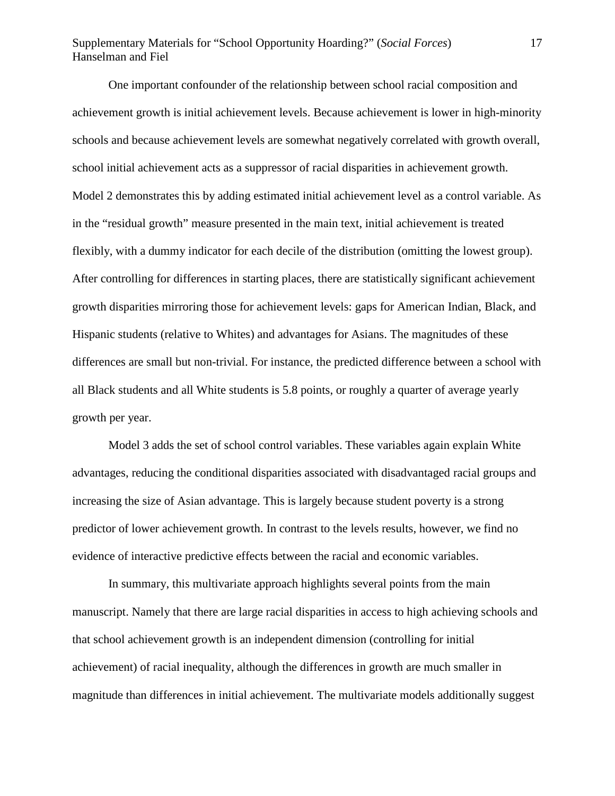## Supplementary Materials for "School Opportunity Hoarding?" (*Social Forces*) 17 Hanselman and Fiel

One important confounder of the relationship between school racial composition and achievement growth is initial achievement levels. Because achievement is lower in high-minority schools and because achievement levels are somewhat negatively correlated with growth overall, school initial achievement acts as a suppressor of racial disparities in achievement growth. Model 2 demonstrates this by adding estimated initial achievement level as a control variable. As in the "residual growth" measure presented in the main text, initial achievement is treated flexibly, with a dummy indicator for each decile of the distribution (omitting the lowest group). After controlling for differences in starting places, there are statistically significant achievement growth disparities mirroring those for achievement levels: gaps for American Indian, Black, and Hispanic students (relative to Whites) and advantages for Asians. The magnitudes of these differences are small but non-trivial. For instance, the predicted difference between a school with all Black students and all White students is 5.8 points, or roughly a quarter of average yearly growth per year.

Model 3 adds the set of school control variables. These variables again explain White advantages, reducing the conditional disparities associated with disadvantaged racial groups and increasing the size of Asian advantage. This is largely because student poverty is a strong predictor of lower achievement growth. In contrast to the levels results, however, we find no evidence of interactive predictive effects between the racial and economic variables.

In summary, this multivariate approach highlights several points from the main manuscript. Namely that there are large racial disparities in access to high achieving schools and that school achievement growth is an independent dimension (controlling for initial achievement) of racial inequality, although the differences in growth are much smaller in magnitude than differences in initial achievement. The multivariate models additionally suggest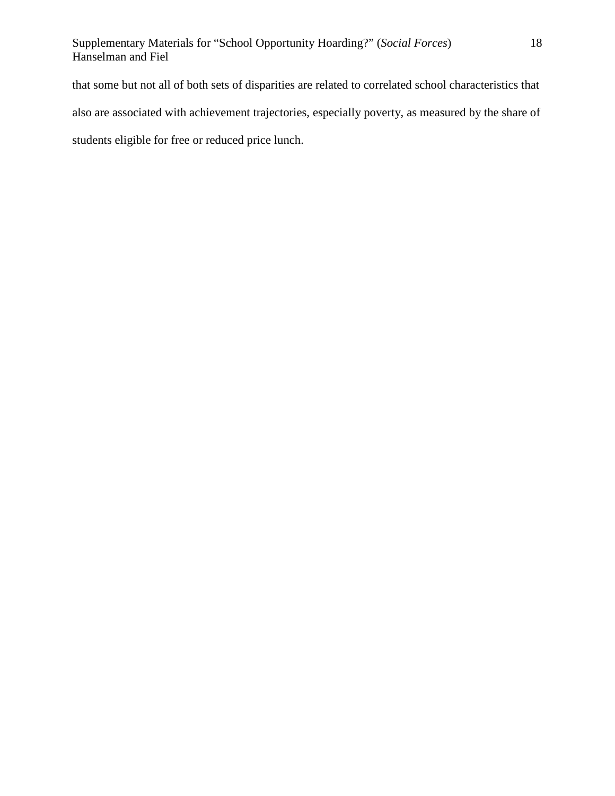that some but not all of both sets of disparities are related to correlated school characteristics that also are associated with achievement trajectories, especially poverty, as measured by the share of students eligible for free or reduced price lunch.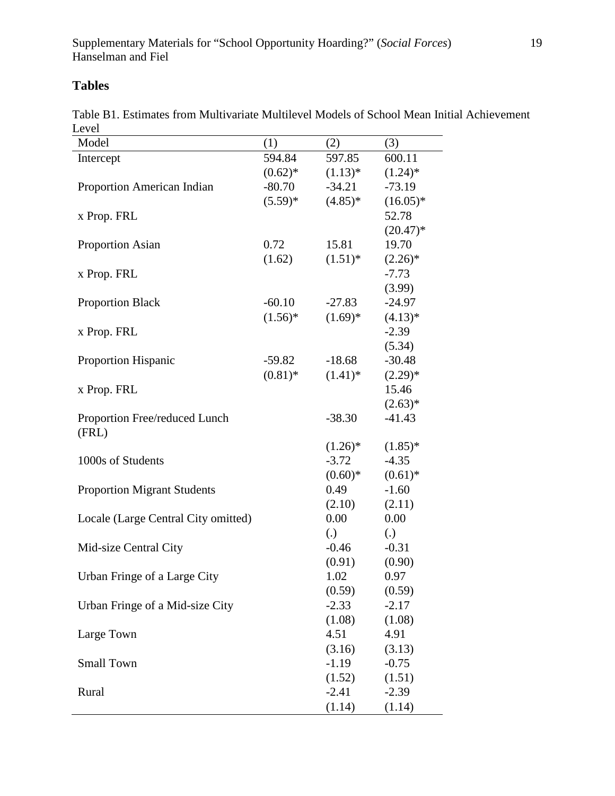# **Tables**

|       | Table B1. Estimates from Multivariate Multilevel Models of School Mean Initial Achievement |  |  |  |  |  |
|-------|--------------------------------------------------------------------------------------------|--|--|--|--|--|
| Level |                                                                                            |  |  |  |  |  |

| Model                               | (1)          | (2)        | (3)               |
|-------------------------------------|--------------|------------|-------------------|
| Intercept                           | 594.84       | 597.85     | 600.11            |
|                                     | $(0.62)^*$   | $(1.13)^*$ | $(1.24)$ *        |
| Proportion American Indian          | $-80.70$     | $-34.21$   | $-73.19$          |
|                                     | $(5.59)^{*}$ | $(4.85)*$  | $(16.05)*$        |
| x Prop. FRL                         |              |            | 52.78             |
|                                     |              |            | $(20.47)^*$       |
| <b>Proportion Asian</b>             | 0.72         | 15.81      | 19.70             |
|                                     | (1.62)       | $(1.51)^*$ | $(2.26)^*$        |
| x Prop. FRL                         |              |            | $-7.73$           |
|                                     |              |            | (3.99)            |
| <b>Proportion Black</b>             | $-60.10$     | $-27.83$   | $-24.97$          |
|                                     | $(1.56)^*$   | $(1.69)*$  | $(4.13)*$         |
| x Prop. FRL                         |              |            | $-2.39$           |
|                                     |              |            | (5.34)            |
| Proportion Hispanic                 | $-59.82$     | $-18.68$   | $-30.48$          |
|                                     | $(0.81)$ *   | $(1.41)^*$ | $(2.29)*$         |
| x Prop. FRL                         |              |            | 15.46             |
|                                     |              |            | $(2.63)*$         |
| Proportion Free/reduced Lunch       |              | $-38.30$   | $-41.43$          |
| (FRL)                               |              |            |                   |
|                                     |              | $(1.26)^*$ | $(1.85)^*$        |
| 1000s of Students                   |              | $-3.72$    | $-4.35$           |
|                                     |              | $(0.60)*$  | $(0.61)$ *        |
| <b>Proportion Migrant Students</b>  |              | 0.49       | $-1.60$           |
|                                     |              | (2.10)     | (2.11)            |
| Locale (Large Central City omitted) |              | 0.00       | 0.00              |
|                                     |              | (.)        | $\left( .\right)$ |
| Mid-size Central City               |              | -0.46      | $-0.31$           |
|                                     |              | (0.91)     | (0.90)            |
| Urban Fringe of a Large City        |              | 1.02       | 0.97              |
|                                     |              | (0.59)     | (0.59)            |
| Urban Fringe of a Mid-size City     |              | $-2.33$    | $-2.17$           |
|                                     |              | (1.08)     | (1.08)            |
| Large Town                          |              | 4.51       | 4.91              |
|                                     |              | (3.16)     | (3.13)            |
| <b>Small Town</b>                   |              | $-1.19$    | $-0.75$           |
|                                     |              | (1.52)     | (1.51)            |
| Rural                               |              | $-2.41$    | $-2.39$           |
|                                     |              | (1.14)     | (1.14)            |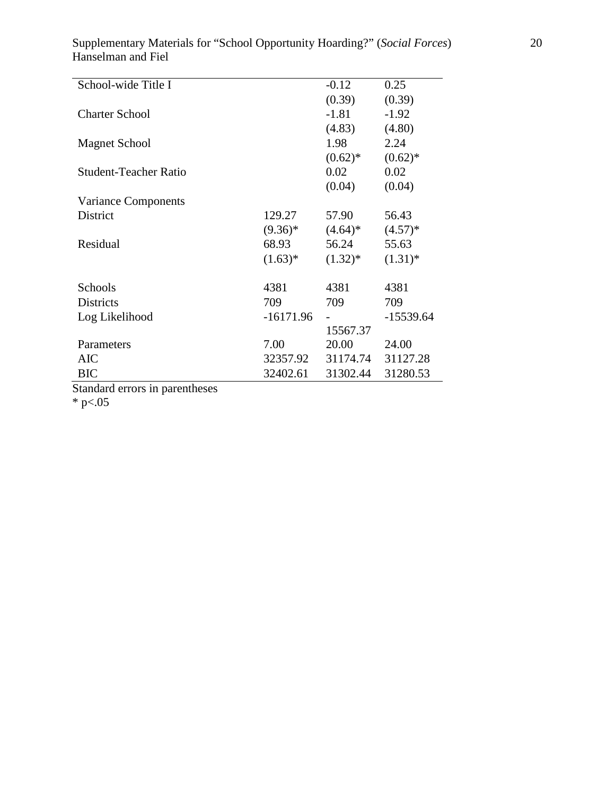Supplementary Materials for "School Opportunity Hoarding?" (*Social Forces*) 20 Hanselman and Fiel

|              | $-0.12$      | 0.25                 |
|--------------|--------------|----------------------|
|              | (0.39)       | (0.39)               |
|              | $-1.81$      | $-1.92$              |
|              | (4.83)       | (4.80)               |
|              | 1.98         | 2.24                 |
|              | $(0.62)^*$   | $(0.62)$ *           |
|              | 0.02         | 0.02                 |
|              | (0.04)       | (0.04)               |
|              |              |                      |
| 129.27       | 57.90        | 56.43                |
| $(9.36)*$    | $(4.64)^*$   | $(4.57)*$            |
| 68.93        | 56.24        | 55.63                |
| $(1.63)^{*}$ | $(1.32)^{*}$ | $(1.31)^*$           |
|              |              |                      |
| 4381         | 4381         | 4381                 |
| 709          | 709          | 709                  |
| $-16171.96$  |              | $-15539.64$          |
|              | 15567.37     |                      |
| 7.00         | 20.00        | 24.00                |
|              |              | 31127.28             |
| 32402.61     | 31302.44     | 31280.53             |
|              |              | 32357.92<br>31174.74 |

Standard errors in parentheses

\* p $< 05$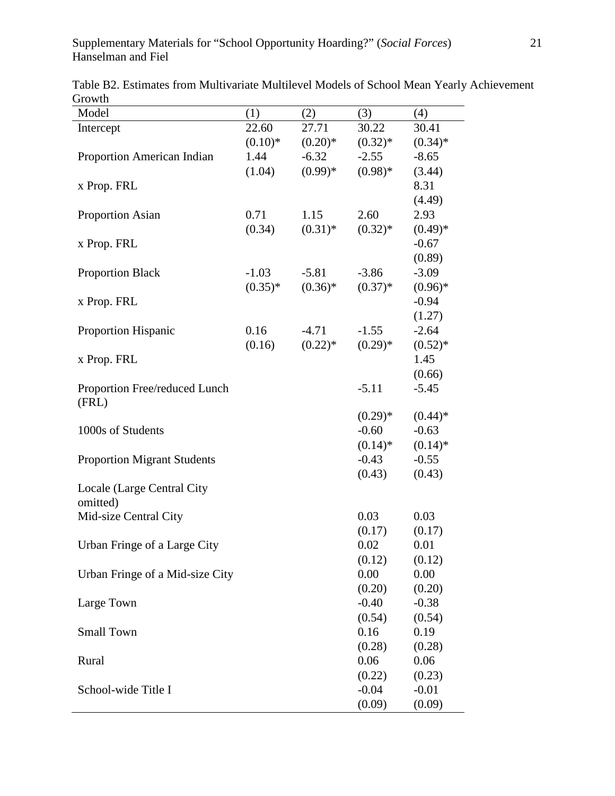| Model                              | (1)       | (2)        | (3)        | (4)        |
|------------------------------------|-----------|------------|------------|------------|
| Intercept                          | 22.60     | 27.71      | 30.22      | 30.41      |
|                                    | $(0.10)*$ | $(0.20)*$  | $(0.32)*$  | $(0.34)$ * |
| Proportion American Indian         | 1.44      | $-6.32$    | $-2.55$    | $-8.65$    |
|                                    | (1.04)    | $(0.99)*$  | $(0.98)*$  | (3.44)     |
| x Prop. FRL                        |           |            |            | 8.31       |
|                                    |           |            |            | (4.49)     |
| <b>Proportion Asian</b>            | 0.71      | 1.15       | 2.60       | 2.93       |
|                                    | (0.34)    | $(0.31)$ * | $(0.32)$ * | $(0.49)*$  |
| x Prop. FRL                        |           |            |            | $-0.67$    |
|                                    |           |            |            | (0.89)     |
| <b>Proportion Black</b>            | $-1.03$   | $-5.81$    | $-3.86$    | $-3.09$    |
|                                    | $(0.35)*$ | $(0.36)*$  | $(0.37)*$  | $(0.96)*$  |
| x Prop. FRL                        |           |            |            | $-0.94$    |
|                                    |           |            |            | (1.27)     |
| Proportion Hispanic                | 0.16      | $-4.71$    | $-1.55$    | $-2.64$    |
|                                    | (0.16)    | $(0.22)$ * | $(0.29)*$  | $(0.52)*$  |
| x Prop. FRL                        |           |            |            | 1.45       |
|                                    |           |            |            | (0.66)     |
| Proportion Free/reduced Lunch      |           |            | $-5.11$    | $-5.45$    |
| (FRL)                              |           |            |            |            |
|                                    |           |            | $(0.29)*$  | $(0.44)$ * |
| 1000s of Students                  |           |            | $-0.60$    | $-0.63$    |
|                                    |           |            | $(0.14)$ * | $(0.14)$ * |
| <b>Proportion Migrant Students</b> |           |            | $-0.43$    | $-0.55$    |
|                                    |           |            | (0.43)     | (0.43)     |
| Locale (Large Central City         |           |            |            |            |
| omitted)                           |           |            |            |            |
| Mid-size Central City              |           |            | 0.03       | 0.03       |
|                                    |           |            | (0.17)     | (0.17)     |
| Urban Fringe of a Large City       |           |            | 0.02       | 0.01       |
|                                    |           |            | (0.12)     | (0.12)     |
| Urban Fringe of a Mid-size City    |           |            | 0.00       | 0.00       |
|                                    |           |            | (0.20)     | (0.20)     |
| Large Town                         |           |            | $-0.40$    | $-0.38$    |
|                                    |           |            | (0.54)     | (0.54)     |
| <b>Small Town</b>                  |           |            | 0.16       | 0.19       |
|                                    |           |            | (0.28)     | (0.28)     |
| Rural                              |           |            | 0.06       | 0.06       |
|                                    |           |            | (0.22)     | (0.23)     |
| School-wide Title I                |           |            | $-0.04$    | $-0.01$    |
|                                    |           |            | (0.09)     | (0.09)     |

Table B2. Estimates from Multivariate Multilevel Models of School Mean Yearly Achievement Growth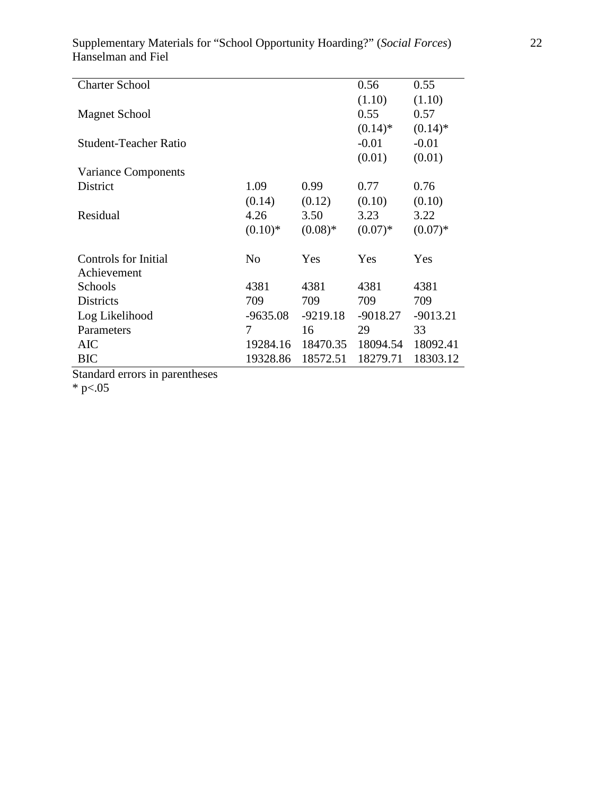| Supplementary Materials for "School Opportunity Hoarding?" (Social Forces) |  |
|----------------------------------------------------------------------------|--|
| Hanselman and Fiel                                                         |  |

|                |            | 0.56       | 0.55       |
|----------------|------------|------------|------------|
|                |            | (1.10)     | (1.10)     |
|                |            | 0.55       | 0.57       |
|                |            | $(0.14)$ * | $(0.14)$ * |
|                |            | $-0.01$    | $-0.01$    |
|                |            | (0.01)     | (0.01)     |
|                |            |            |            |
| 1.09           | 0.99       | 0.77       | 0.76       |
| (0.14)         | (0.12)     | (0.10)     | (0.10)     |
| 4.26           | 3.50       | 3.23       | 3.22       |
| $(0.10)*$      | $(0.08)*$  | $(0.07)*$  | $(0.07)*$  |
| N <sub>0</sub> | Yes        | Yes        | Yes        |
|                |            |            |            |
| 4381           | 4381       | 4381       | 4381       |
| 709            | 709        | 709        | 709        |
| $-9635.08$     | $-9219.18$ | $-9018.27$ | $-9013.21$ |
| 7              | 16         | 29         | 33         |
| 19284.16       | 18470.35   | 18094.54   | 18092.41   |
| 19328.86       | 18572.51   | 18279.71   | 18303.12   |
|                |            |            |            |

Standard errors in parentheses

\* p $< 05$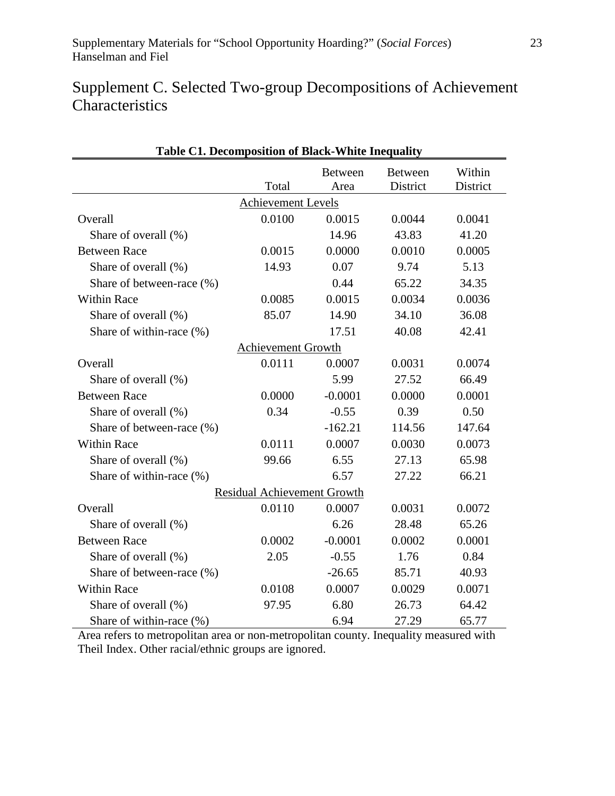## Supplement C. Selected Two-group Decompositions of Achievement **Characteristics**

| <b>Table C1. Decomposition of Black-White Inequality</b> |                                    |           |                |          |  |
|----------------------------------------------------------|------------------------------------|-----------|----------------|----------|--|
|                                                          |                                    | Between   | <b>Between</b> | Within   |  |
|                                                          | Total                              | Area      | District       | District |  |
|                                                          | <b>Achievement Levels</b>          |           |                |          |  |
| Overall                                                  | 0.0100                             | 0.0015    | 0.0044         | 0.0041   |  |
| Share of overall (%)                                     |                                    | 14.96     | 43.83          | 41.20    |  |
| <b>Between Race</b>                                      | 0.0015                             | 0.0000    | 0.0010         | 0.0005   |  |
| Share of overall (%)                                     | 14.93                              | 0.07      | 9.74           | 5.13     |  |
| Share of between-race (%)                                |                                    | 0.44      | 65.22          | 34.35    |  |
| <b>Within Race</b>                                       | 0.0085                             | 0.0015    | 0.0034         | 0.0036   |  |
| Share of overall (%)                                     | 85.07                              | 14.90     | 34.10          | 36.08    |  |
| Share of within-race (%)                                 |                                    | 17.51     | 40.08          | 42.41    |  |
|                                                          | <b>Achievement Growth</b>          |           |                |          |  |
| Overall                                                  | 0.0111                             | 0.0007    | 0.0031         | 0.0074   |  |
| Share of overall (%)                                     |                                    | 5.99      | 27.52          | 66.49    |  |
| <b>Between Race</b>                                      | 0.0000                             | $-0.0001$ | 0.0000         | 0.0001   |  |
| Share of overall (%)                                     | 0.34                               | $-0.55$   | 0.39           | 0.50     |  |
| Share of between-race (%)                                |                                    | $-162.21$ | 114.56         | 147.64   |  |
| <b>Within Race</b>                                       | 0.0111                             | 0.0007    | 0.0030         | 0.0073   |  |
| Share of overall (%)                                     | 99.66                              | 6.55      | 27.13          | 65.98    |  |
| Share of within-race (%)                                 |                                    | 6.57      | 27.22          | 66.21    |  |
|                                                          | <b>Residual Achievement Growth</b> |           |                |          |  |
| Overall                                                  | 0.0110                             | 0.0007    | 0.0031         | 0.0072   |  |
| Share of overall (%)                                     |                                    | 6.26      | 28.48          | 65.26    |  |
| <b>Between Race</b>                                      | 0.0002                             | $-0.0001$ | 0.0002         | 0.0001   |  |
| Share of overall (%)                                     | 2.05                               | $-0.55$   | 1.76           | 0.84     |  |
| Share of between-race (%)                                |                                    | $-26.65$  | 85.71          | 40.93    |  |
| <b>Within Race</b>                                       | 0.0108                             | 0.0007    | 0.0029         | 0.0071   |  |
| Share of overall (%)                                     | 97.95                              | 6.80      | 26.73          | 64.42    |  |
| Share of within-race (%)                                 |                                    | 6.94      | 27.29          | 65.77    |  |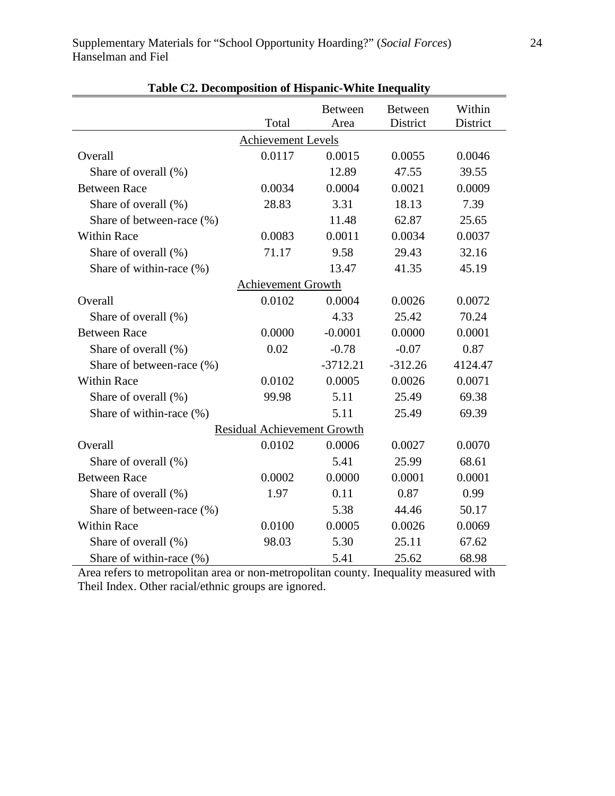|                           |                                    | <b>Between</b>       | <b>Between</b>       | Within   |
|---------------------------|------------------------------------|----------------------|----------------------|----------|
|                           | Total                              | Area                 | District             | District |
|                           | <b>Achievement Levels</b>          |                      |                      |          |
| Overall                   | 0.0117                             | 0.0015               | 0.0055               | 0.0046   |
| Share of overall (%)      |                                    | 12.89                | 47.55                | 39.55    |
| <b>Between Race</b>       | 0.0034                             | 0.0004               | 0.0021               | 0.0009   |
| Share of overall (%)      | 28.83                              | 3.31                 | 18.13                | 7.39     |
| Share of between-race (%) |                                    | 11.48                | 62.87                | 25.65    |
| <b>Within Race</b>        | 0.0083                             | 0.0011               | 0.0034               | 0.0037   |
| Share of overall (%)      | 71.17                              | 9.58                 | 29.43                | 32.16    |
| Share of within-race (%)  |                                    | 13.47                | 41.35                | 45.19    |
|                           | <b>Achievement Growth</b>          |                      |                      |          |
| Overall                   | 0.0102                             | 0.0004               | 0.0026               | 0.0072   |
| Share of overall (%)      |                                    | 4.33                 | 25.42                | 70.24    |
| <b>Between Race</b>       | 0.0000                             | $-0.0001$            | 0.0000               | 0.0001   |
| Share of overall (%)      | 0.02                               | $-0.78$              | $-0.07$              | 0.87     |
| Share of between-race (%) |                                    | $-3712.21$           | $-312.26$            | 4124.47  |
| <b>Within Race</b>        | 0.0102                             | 0.0005               | 0.0026               | 0.0071   |
| Share of overall (%)      | 99.98                              | 5.11                 | 25.49                | 69.38    |
| Share of within-race (%)  |                                    | 5.11                 | 25.49                | 69.39    |
|                           | <b>Residual Achievement Growth</b> |                      |                      |          |
| Overall                   | 0.0102                             | 0.0006               | 0.0027               | 0.0070   |
| Share of overall (%)      |                                    | 5.41                 | 25.99                | 68.61    |
| <b>Between Race</b>       | 0.0002                             | 0.0000               | 0.0001               | 0.0001   |
| Share of overall (%)      | 1.97                               | 0.11                 | 0.87                 | 0.99     |
| Share of between-race (%) |                                    | 5.38                 | 44.46                | 50.17    |
| <b>Within Race</b>        | 0.0100                             | 0.0005               | 0.0026               | 0.0069   |
| Share of overall (%)      | 98.03                              | 5.30                 | 25.11                | 67.62    |
| Share of within-race (%)  |                                    | 5.41                 | 25.62                | 68.98    |
| $\mathbf{r}$              |                                    | $\ddot{\phantom{a}}$ | $\ddot{\phantom{a}}$ |          |

|  | Table C2. Decomposition of Hispanic-White Inequality |  |
|--|------------------------------------------------------|--|
|  |                                                      |  |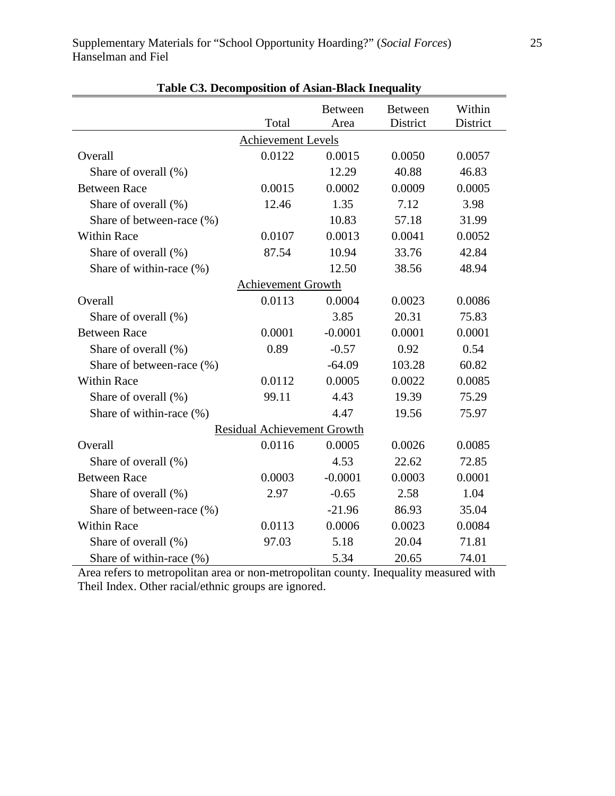|                           |                                    | <b>Between</b>       | <b>Between</b> | Within   |
|---------------------------|------------------------------------|----------------------|----------------|----------|
|                           | Total                              | Area                 | District       | District |
|                           | <b>Achievement Levels</b>          |                      |                |          |
| Overall                   | 0.0122                             | 0.0015               | 0.0050         | 0.0057   |
| Share of overall (%)      |                                    | 12.29                | 40.88          | 46.83    |
| <b>Between Race</b>       | 0.0015                             | 0.0002               | 0.0009         | 0.0005   |
| Share of overall (%)      | 12.46                              | 1.35                 | 7.12           | 3.98     |
| Share of between-race (%) |                                    | 10.83                | 57.18          | 31.99    |
| <b>Within Race</b>        | 0.0107                             | 0.0013               | 0.0041         | 0.0052   |
| Share of overall (%)      | 87.54                              | 10.94                | 33.76          | 42.84    |
| Share of within-race (%)  |                                    | 12.50                | 38.56          | 48.94    |
|                           | <b>Achievement Growth</b>          |                      |                |          |
| Overall                   | 0.0113                             | 0.0004               | 0.0023         | 0.0086   |
| Share of overall (%)      |                                    | 3.85                 | 20.31          | 75.83    |
| <b>Between Race</b>       | 0.0001                             | $-0.0001$            | 0.0001         | 0.0001   |
| Share of overall (%)      | 0.89                               | $-0.57$              | 0.92           | 0.54     |
| Share of between-race (%) |                                    | $-64.09$             | 103.28         | 60.82    |
| <b>Within Race</b>        | 0.0112                             | 0.0005               | 0.0022         | 0.0085   |
| Share of overall (%)      | 99.11                              | 4.43                 | 19.39          | 75.29    |
| Share of within-race (%)  |                                    | 4.47                 | 19.56          | 75.97    |
|                           | <b>Residual Achievement Growth</b> |                      |                |          |
| Overall                   | 0.0116                             | 0.0005               | 0.0026         | 0.0085   |
| Share of overall (%)      |                                    | 4.53                 | 22.62          | 72.85    |
| <b>Between Race</b>       | 0.0003                             | $-0.0001$            | 0.0003         | 0.0001   |
| Share of overall (%)      | 2.97                               | $-0.65$              | 2.58           | 1.04     |
| Share of between-race (%) |                                    | $-21.96$             | 86.93          | 35.04    |
| <b>Within Race</b>        | 0.0113                             | 0.0006               | 0.0023         | 0.0084   |
| Share of overall (%)      | 97.03                              | 5.18                 | 20.04          | 71.81    |
| Share of within-race (%)  |                                    | 5.34                 | 20.65          | 74.01    |
|                           |                                    | $\ddot{\phantom{0}}$ |                |          |

|  |  |  | Table C3. Decomposition of Asian-Black Inequality |  |
|--|--|--|---------------------------------------------------|--|
|--|--|--|---------------------------------------------------|--|